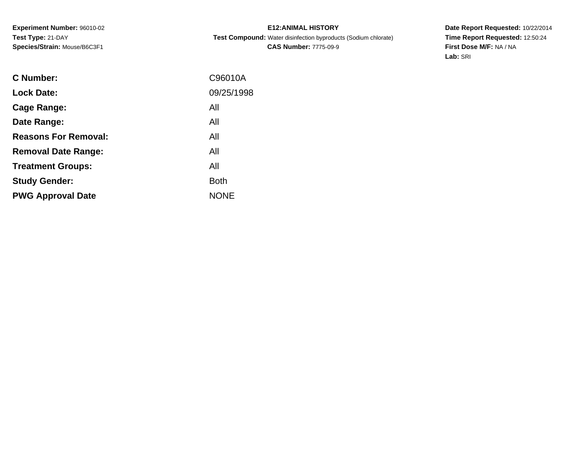**E12:ANIMAL HISTORY Test Compound:** Water disinfection byproducts (Sodium chlorate)**CAS Number:** 7775-09-9

| C Number:                   | C96010A     |
|-----------------------------|-------------|
| <b>Lock Date:</b>           | 09/25/1998  |
| Cage Range:                 | All         |
| Date Range:                 | All         |
| <b>Reasons For Removal:</b> | All         |
| <b>Removal Date Range:</b>  | All         |
| <b>Treatment Groups:</b>    | All         |
| <b>Study Gender:</b>        | <b>Both</b> |
| <b>PWG Approval Date</b>    | <b>NONE</b> |
|                             |             |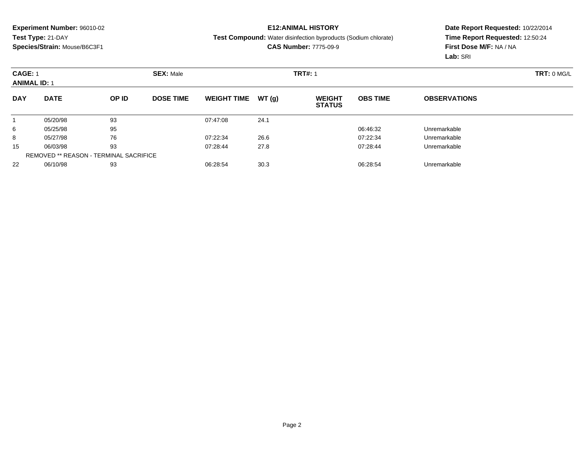## **E12:ANIMAL HISTORY**

#### **Test Compound:** Water disinfection byproducts (Sodium chlorate)

### **CAS Number:** 7775-09-9

| <b>CAGE: 1</b><br><b>ANIMAL ID: 1</b> |                                               |       | <b>SEX: Male</b> |                    |       | <b>TRT#: 1</b>                 | TRT: 0 MG/L     |                     |  |
|---------------------------------------|-----------------------------------------------|-------|------------------|--------------------|-------|--------------------------------|-----------------|---------------------|--|
| <b>DAY</b>                            | <b>DATE</b>                                   | OP ID | <b>DOSE TIME</b> | <b>WEIGHT TIME</b> | WT(g) | <b>WEIGHT</b><br><b>STATUS</b> | <b>OBS TIME</b> | <b>OBSERVATIONS</b> |  |
|                                       | 05/20/98                                      | 93    |                  | 07:47:08           | 24.1  |                                |                 |                     |  |
| 6                                     | 05/25/98                                      | 95    |                  |                    |       |                                | 06:46:32        | Unremarkable        |  |
| 8                                     | 05/27/98                                      | 76    |                  | 07:22:34           | 26.6  |                                | 07:22:34        | Unremarkable        |  |
| 15                                    | 06/03/98                                      | 93    |                  | 07:28:44           | 27.8  |                                | 07:28:44        | Unremarkable        |  |
|                                       | <b>REMOVED ** REASON - TERMINAL SACRIFICE</b> |       |                  |                    |       |                                |                 |                     |  |
| 22                                    | 06/10/98                                      | 93    |                  | 06:28:54           | 30.3  |                                | 06:28:54        | Unremarkable        |  |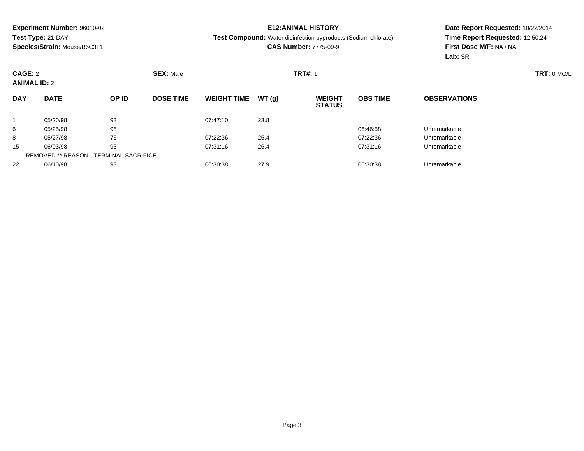## **E12:ANIMAL HISTORY**

#### **Test Compound:** Water disinfection byproducts (Sodium chlorate)

### **CAS Number:** 7775-09-9

| CAGE: 2<br><b>ANIMAL ID: 2</b> |                                               |       | <b>SEX: Male</b> |                    |       | <b>TRT#: 1</b>                 | TRT: 0 MG/L     |                     |  |
|--------------------------------|-----------------------------------------------|-------|------------------|--------------------|-------|--------------------------------|-----------------|---------------------|--|
| <b>DAY</b>                     | <b>DATE</b>                                   | OP ID | <b>DOSE TIME</b> | <b>WEIGHT TIME</b> | WT(g) | <b>WEIGHT</b><br><b>STATUS</b> | <b>OBS TIME</b> | <b>OBSERVATIONS</b> |  |
|                                | 05/20/98                                      | 93    |                  | 07:47:10           | 23.8  |                                |                 |                     |  |
| 6                              | 05/25/98                                      | 95    |                  |                    |       |                                | 06:46:58        | Unremarkable        |  |
| 8                              | 05/27/98                                      | 76    |                  | 07:22:36           | 25.4  |                                | 07:22:36        | Unremarkable        |  |
| 15                             | 06/03/98                                      | 93    |                  | 07:31:16           | 26.4  |                                | 07:31:16        | Unremarkable        |  |
|                                | <b>REMOVED ** REASON - TERMINAL SACRIFICE</b> |       |                  |                    |       |                                |                 |                     |  |
| 22                             | 06/10/98                                      | 93    |                  | 06:30:38           | 27.9  |                                | 06:30:38        | Unremarkable        |  |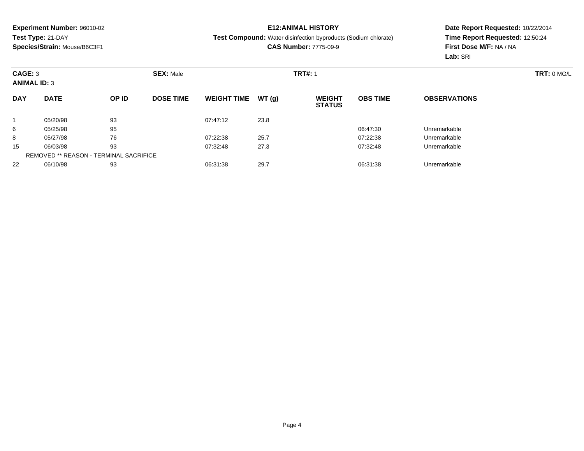## **E12:ANIMAL HISTORY**

#### **Test Compound:** Water disinfection byproducts (Sodium chlorate)

### **CAS Number:** 7775-09-9

| CAGE: 3<br><b>ANIMAL ID: 3</b> |                                               |       | <b>SEX: Male</b> | <b>TRT#: 1</b>     |       |                                |                 |                     |  |  |
|--------------------------------|-----------------------------------------------|-------|------------------|--------------------|-------|--------------------------------|-----------------|---------------------|--|--|
| <b>DAY</b>                     | <b>DATE</b>                                   | OP ID | <b>DOSE TIME</b> | <b>WEIGHT TIME</b> | WT(g) | <b>WEIGHT</b><br><b>STATUS</b> | <b>OBS TIME</b> | <b>OBSERVATIONS</b> |  |  |
|                                | 05/20/98                                      | 93    |                  | 07:47:12           | 23.8  |                                |                 |                     |  |  |
| 6                              | 05/25/98                                      | 95    |                  |                    |       |                                | 06:47:30        | Unremarkable        |  |  |
| 8                              | 05/27/98                                      | 76    |                  | 07:22:38           | 25.7  |                                | 07:22:38        | Unremarkable        |  |  |
| 15                             | 06/03/98                                      | 93    |                  | 07:32:48           | 27.3  |                                | 07:32:48        | Unremarkable        |  |  |
|                                | <b>REMOVED ** REASON - TERMINAL SACRIFICE</b> |       |                  |                    |       |                                |                 |                     |  |  |
| 22                             | 06/10/98                                      | 93    |                  | 06:31:38           | 29.7  |                                | 06:31:38        | Unremarkable        |  |  |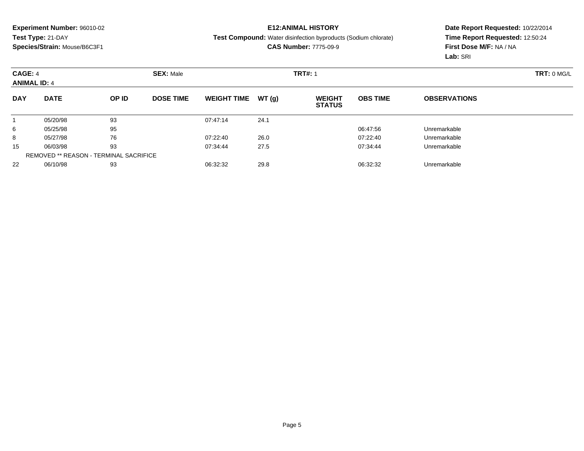## **E12:ANIMAL HISTORY**

#### **Test Compound:** Water disinfection byproducts (Sodium chlorate)

### **CAS Number:** 7775-09-9

| CAGE: 4<br><b>ANIMAL ID: 4</b> |                                               |       | <b>SEX: Male</b> |                    |        | <b>TRT#: 1</b>                 |                 | TRT: 0 MGL          |  |
|--------------------------------|-----------------------------------------------|-------|------------------|--------------------|--------|--------------------------------|-----------------|---------------------|--|
| <b>DAY</b>                     | <b>DATE</b>                                   | OP ID | <b>DOSE TIME</b> | <b>WEIGHT TIME</b> | WT (q) | <b>WEIGHT</b><br><b>STATUS</b> | <b>OBS TIME</b> | <b>OBSERVATIONS</b> |  |
|                                | 05/20/98                                      | 93    |                  | 07:47:14           | 24.1   |                                |                 |                     |  |
| 6                              | 05/25/98                                      | 95    |                  |                    |        |                                | 06:47:56        | Unremarkable        |  |
| 8                              | 05/27/98                                      | 76    |                  | 07:22:40           | 26.0   |                                | 07:22:40        | Unremarkable        |  |
| 15                             | 06/03/98                                      | 93    |                  | 07:34:44           | 27.5   |                                | 07:34:44        | Unremarkable        |  |
|                                | <b>REMOVED ** REASON - TERMINAL SACRIFICE</b> |       |                  |                    |        |                                |                 |                     |  |
| 22                             | 06/10/98                                      | 93    |                  | 06:32:32           | 29.8   |                                | 06:32:32        | Unremarkable        |  |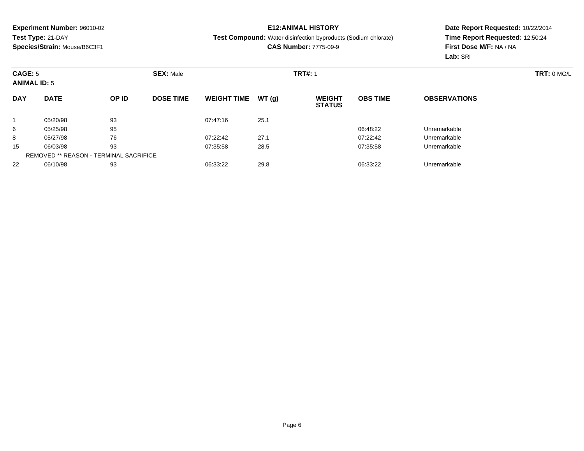## **E12:ANIMAL HISTORY**

#### **Test Compound:** Water disinfection byproducts (Sodium chlorate)

### **CAS Number:** 7775-09-9

| CAGE: 5<br><b>ANIMAL ID: 5</b> |                                               |       | <b>SEX: Male</b> | <b>TRT#: 1</b>     |       |                                |                 |                     |  |  |
|--------------------------------|-----------------------------------------------|-------|------------------|--------------------|-------|--------------------------------|-----------------|---------------------|--|--|
| <b>DAY</b>                     | <b>DATE</b>                                   | OP ID | <b>DOSE TIME</b> | <b>WEIGHT TIME</b> | WT(g) | <b>WEIGHT</b><br><b>STATUS</b> | <b>OBS TIME</b> | <b>OBSERVATIONS</b> |  |  |
|                                | 05/20/98                                      | 93    |                  | 07:47:16           | 25.1  |                                |                 |                     |  |  |
| 6                              | 05/25/98                                      | 95    |                  |                    |       |                                | 06:48:22        | Unremarkable        |  |  |
| 8                              | 05/27/98                                      | 76    |                  | 07:22:42           | 27.1  |                                | 07:22:42        | Unremarkable        |  |  |
| 15                             | 06/03/98                                      | 93    |                  | 07:35:58           | 28.5  |                                | 07:35:58        | Unremarkable        |  |  |
|                                | <b>REMOVED ** REASON - TERMINAL SACRIFICE</b> |       |                  |                    |       |                                |                 |                     |  |  |
| 22                             | 06/10/98                                      | 93    |                  | 06:33:22           | 29.8  |                                | 06:33:22        | Unremarkable        |  |  |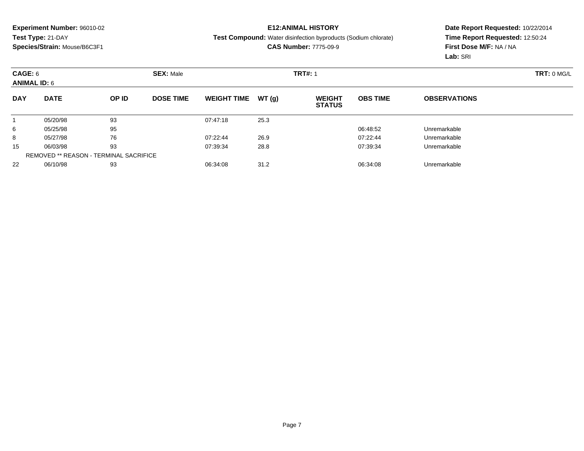## **E12:ANIMAL HISTORY**

#### **Test Compound:** Water disinfection byproducts (Sodium chlorate)

### **CAS Number:** 7775-09-9

| CAGE: 6<br><b>ANIMAL ID: 6</b> |                                               |       | <b>SEX: Male</b> |                    |        | <b>TRT#: 1</b>                 |                 | TRT: 0 MGL          |  |
|--------------------------------|-----------------------------------------------|-------|------------------|--------------------|--------|--------------------------------|-----------------|---------------------|--|
| <b>DAY</b>                     | <b>DATE</b>                                   | OP ID | <b>DOSE TIME</b> | <b>WEIGHT TIME</b> | WT (q) | <b>WEIGHT</b><br><b>STATUS</b> | <b>OBS TIME</b> | <b>OBSERVATIONS</b> |  |
|                                | 05/20/98                                      | 93    |                  | 07:47:18           | 25.3   |                                |                 |                     |  |
| 6                              | 05/25/98                                      | 95    |                  |                    |        |                                | 06:48:52        | Unremarkable        |  |
| 8                              | 05/27/98                                      | 76    |                  | 07:22:44           | 26.9   |                                | 07:22:44        | Unremarkable        |  |
| 15                             | 06/03/98                                      | 93    |                  | 07:39:34           | 28.8   |                                | 07:39:34        | Unremarkable        |  |
|                                | <b>REMOVED ** REASON - TERMINAL SACRIFICE</b> |       |                  |                    |        |                                |                 |                     |  |
| 22                             | 06/10/98                                      | 93    |                  | 06:34:08           | 31.2   |                                | 06:34:08        | Unremarkable        |  |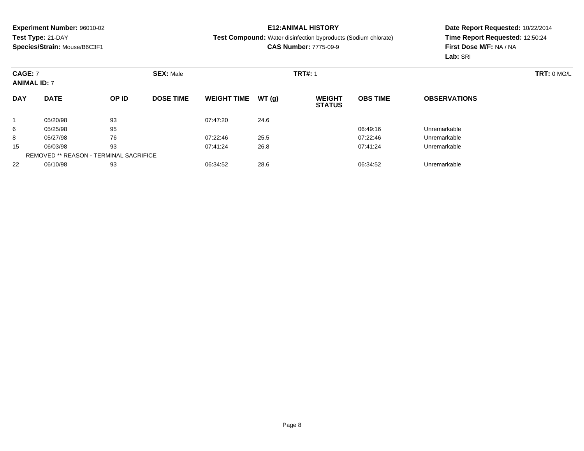## **E12:ANIMAL HISTORY**

#### **Test Compound:** Water disinfection byproducts (Sodium chlorate)

### **CAS Number:** 7775-09-9

| <b>CAGE: 7</b><br><b>ANIMAL ID: 7</b> |                                               |       | <b>SEX: Male</b> |                    |       | <b>TRT#: 1</b>                 | TRT: 0 MG/L     |                     |  |
|---------------------------------------|-----------------------------------------------|-------|------------------|--------------------|-------|--------------------------------|-----------------|---------------------|--|
| <b>DAY</b>                            | <b>DATE</b>                                   | OP ID | <b>DOSE TIME</b> | <b>WEIGHT TIME</b> | WT(g) | <b>WEIGHT</b><br><b>STATUS</b> | <b>OBS TIME</b> | <b>OBSERVATIONS</b> |  |
|                                       | 05/20/98                                      | 93    |                  | 07:47:20           | 24.6  |                                |                 |                     |  |
| 6                                     | 05/25/98                                      | 95    |                  |                    |       |                                | 06:49:16        | Unremarkable        |  |
| 8                                     | 05/27/98                                      | 76    |                  | 07:22:46           | 25.5  |                                | 07:22:46        | Unremarkable        |  |
| 15                                    | 06/03/98                                      | 93    |                  | 07:41:24           | 26.8  |                                | 07:41:24        | Unremarkable        |  |
|                                       | <b>REMOVED ** REASON - TERMINAL SACRIFICE</b> |       |                  |                    |       |                                |                 |                     |  |
| 22                                    | 06/10/98                                      | 93    |                  | 06:34:52           | 28.6  |                                | 06:34:52        | Unremarkable        |  |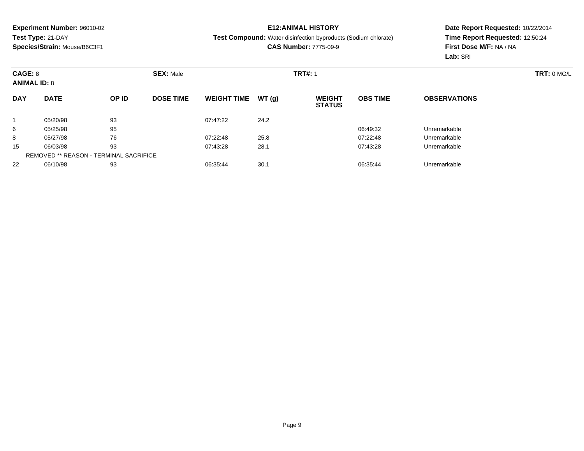## **E12:ANIMAL HISTORY**

#### **Test Compound:** Water disinfection byproducts (Sodium chlorate)

### **CAS Number:** 7775-09-9

| CAGE: 8<br><b>ANIMAL ID: 8</b> |                                               |       | <b>SEX: Male</b> | <b>TRT#: 1</b>     |       |                                |                 |                     |  |  |
|--------------------------------|-----------------------------------------------|-------|------------------|--------------------|-------|--------------------------------|-----------------|---------------------|--|--|
| <b>DAY</b>                     | <b>DATE</b>                                   | OP ID | <b>DOSE TIME</b> | <b>WEIGHT TIME</b> | WT(g) | <b>WEIGHT</b><br><b>STATUS</b> | <b>OBS TIME</b> | <b>OBSERVATIONS</b> |  |  |
|                                | 05/20/98                                      | 93    |                  | 07:47:22           | 24.2  |                                |                 |                     |  |  |
| 6                              | 05/25/98                                      | 95    |                  |                    |       |                                | 06:49:32        | Unremarkable        |  |  |
| 8                              | 05/27/98                                      | 76    |                  | 07:22:48           | 25.8  |                                | 07:22:48        | Unremarkable        |  |  |
| 15                             | 06/03/98                                      | 93    |                  | 07:43:28           | 28.1  |                                | 07:43:28        | Unremarkable        |  |  |
|                                | <b>REMOVED ** REASON - TERMINAL SACRIFICE</b> |       |                  |                    |       |                                |                 |                     |  |  |
| 22                             | 06/10/98                                      | 93    |                  | 06:35:44           | 30.1  |                                | 06:35:44        | Unremarkable        |  |  |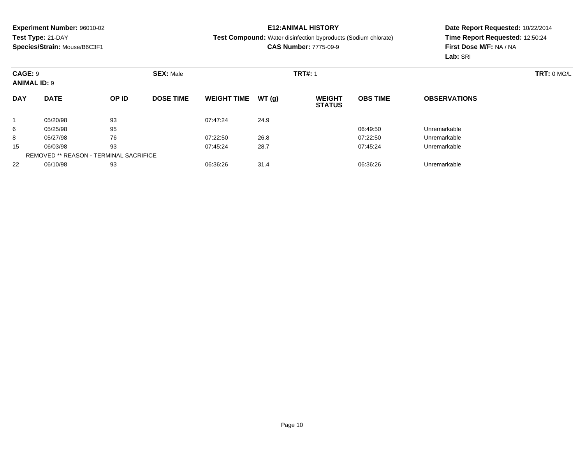## **E12:ANIMAL HISTORY**

#### **Test Compound:** Water disinfection byproducts (Sodium chlorate)

### **CAS Number:** 7775-09-9

| CAGE: 9<br><b>ANIMAL ID: 9</b> |                                               |       | <b>SEX: Male</b> | <b>TRT#: 1</b>     |       |                                |                 |                     |  |  |
|--------------------------------|-----------------------------------------------|-------|------------------|--------------------|-------|--------------------------------|-----------------|---------------------|--|--|
| <b>DAY</b>                     | <b>DATE</b>                                   | OP ID | <b>DOSE TIME</b> | <b>WEIGHT TIME</b> | WT(g) | <b>WEIGHT</b><br><b>STATUS</b> | <b>OBS TIME</b> | <b>OBSERVATIONS</b> |  |  |
|                                | 05/20/98                                      | 93    |                  | 07:47:24           | 24.9  |                                |                 |                     |  |  |
| 6                              | 05/25/98                                      | 95    |                  |                    |       |                                | 06:49:50        | Unremarkable        |  |  |
| 8                              | 05/27/98                                      | 76    |                  | 07:22:50           | 26.8  |                                | 07:22:50        | Unremarkable        |  |  |
| 15                             | 06/03/98                                      | 93    |                  | 07:45:24           | 28.7  |                                | 07:45:24        | Unremarkable        |  |  |
|                                | <b>REMOVED ** REASON - TERMINAL SACRIFICE</b> |       |                  |                    |       |                                |                 |                     |  |  |
| 22                             | 06/10/98                                      | 93    |                  | 06:36:26           | 31.4  |                                | 06:36:26        | Unremarkable        |  |  |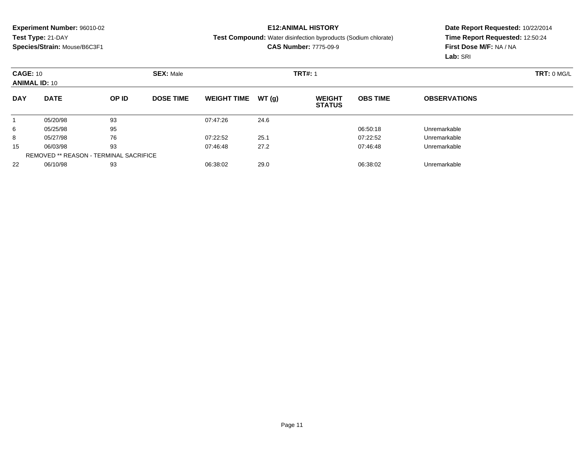## **E12:ANIMAL HISTORY**

#### **Test Compound:** Water disinfection byproducts (Sodium chlorate)

### **CAS Number:** 7775-09-9

| <b>CAGE: 10</b><br><b>ANIMAL ID: 10</b> |                                               |       | <b>SEX: Male</b> |                    |       | <b>TRT#: 1</b>                 |                 |                     |  |  |  |
|-----------------------------------------|-----------------------------------------------|-------|------------------|--------------------|-------|--------------------------------|-----------------|---------------------|--|--|--|
| <b>DAY</b>                              | <b>DATE</b>                                   | OP ID | <b>DOSE TIME</b> | <b>WEIGHT TIME</b> | WT(g) | <b>WEIGHT</b><br><b>STATUS</b> | <b>OBS TIME</b> | <b>OBSERVATIONS</b> |  |  |  |
|                                         | 05/20/98                                      | 93    |                  | 07:47:26           | 24.6  |                                |                 |                     |  |  |  |
| 6                                       | 05/25/98                                      | 95    |                  |                    |       |                                | 06:50:18        | Unremarkable        |  |  |  |
| 8                                       | 05/27/98                                      | 76    |                  | 07:22:52           | 25.1  |                                | 07:22:52        | Unremarkable        |  |  |  |
| 15                                      | 06/03/98                                      | 93    |                  | 07:46:48           | 27.2  |                                | 07:46:48        | Unremarkable        |  |  |  |
|                                         | <b>REMOVED ** REASON - TERMINAL SACRIFICE</b> |       |                  |                    |       |                                |                 |                     |  |  |  |
| 22                                      | 06/10/98                                      | 93    |                  | 06:38:02           | 29.0  |                                | 06:38:02        | Unremarkable        |  |  |  |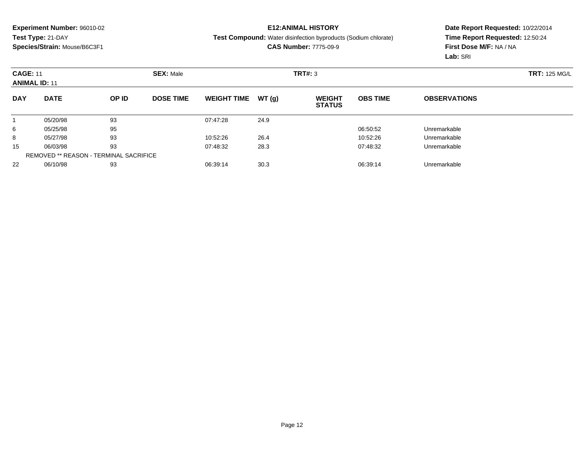## **E12:ANIMAL HISTORY**

#### **Test Compound:** Water disinfection byproducts (Sodium chlorate)

**CAS Number:** 7775-09-9

| <b>CAGE: 11</b><br><b>ANIMAL ID: 11</b> |                                               |       | <b>SEX: Male</b> |                    |       | <b>TRT#: 3</b>                 | <b>TRT: 125 MG/L</b> |                     |  |
|-----------------------------------------|-----------------------------------------------|-------|------------------|--------------------|-------|--------------------------------|----------------------|---------------------|--|
| <b>DAY</b>                              | <b>DATE</b>                                   | OP ID | <b>DOSE TIME</b> | <b>WEIGHT TIME</b> | WT(g) | <b>WEIGHT</b><br><b>STATUS</b> | <b>OBS TIME</b>      | <b>OBSERVATIONS</b> |  |
|                                         | 05/20/98                                      | 93    |                  | 07:47:28           | 24.9  |                                |                      |                     |  |
| 6                                       | 05/25/98                                      | 95    |                  |                    |       |                                | 06:50:52             | Unremarkable        |  |
| 8                                       | 05/27/98                                      | 93    |                  | 10:52:26           | 26.4  |                                | 10:52:26             | Unremarkable        |  |
| 15                                      | 06/03/98                                      | 93    |                  | 07:48:32           | 28.3  |                                | 07:48:32             | Unremarkable        |  |
|                                         | <b>REMOVED ** REASON - TERMINAL SACRIFICE</b> |       |                  |                    |       |                                |                      |                     |  |
| 22                                      | 06/10/98                                      | 93    |                  | 06:39:14           | 30.3  |                                | 06:39:14             | Unremarkable        |  |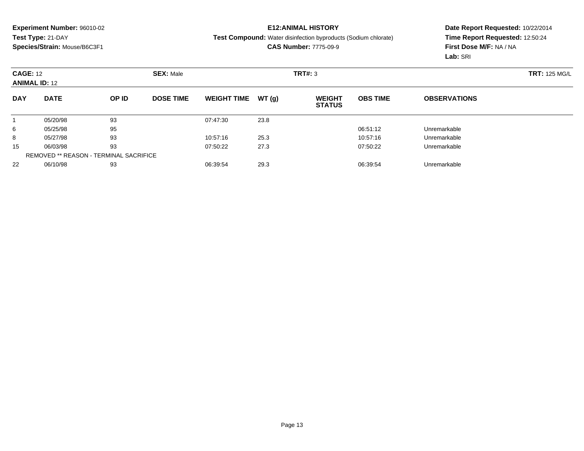## **E12:ANIMAL HISTORY**

#### **Test Compound:** Water disinfection byproducts (Sodium chlorate)

**CAS Number:** 7775-09-9

| <b>CAGE: 12</b><br><b>ANIMAL ID: 12</b> |                                               |       | <b>SEX: Male</b> |                    |       | <b>TRT#: 3</b>                 |                 |                     | <b>TRT: 125 MG/L</b> |
|-----------------------------------------|-----------------------------------------------|-------|------------------|--------------------|-------|--------------------------------|-----------------|---------------------|----------------------|
| <b>DAY</b>                              | <b>DATE</b>                                   | OP ID | <b>DOSE TIME</b> | <b>WEIGHT TIME</b> | WT(g) | <b>WEIGHT</b><br><b>STATUS</b> | <b>OBS TIME</b> | <b>OBSERVATIONS</b> |                      |
|                                         | 05/20/98                                      | 93    |                  | 07:47:30           | 23.8  |                                |                 |                     |                      |
| 6                                       | 05/25/98                                      | 95    |                  |                    |       |                                | 06:51:12        | Unremarkable        |                      |
| 8                                       | 05/27/98                                      | 93    |                  | 10:57:16           | 25.3  |                                | 10:57:16        | Unremarkable        |                      |
| 15                                      | 06/03/98                                      | 93    |                  | 07:50:22           | 27.3  |                                | 07:50:22        | Unremarkable        |                      |
|                                         | <b>REMOVED ** REASON - TERMINAL SACRIFICE</b> |       |                  |                    |       |                                |                 |                     |                      |
| 22                                      | 06/10/98                                      | 93    |                  | 06:39:54           | 29.3  |                                | 06:39:54        | Unremarkable        |                      |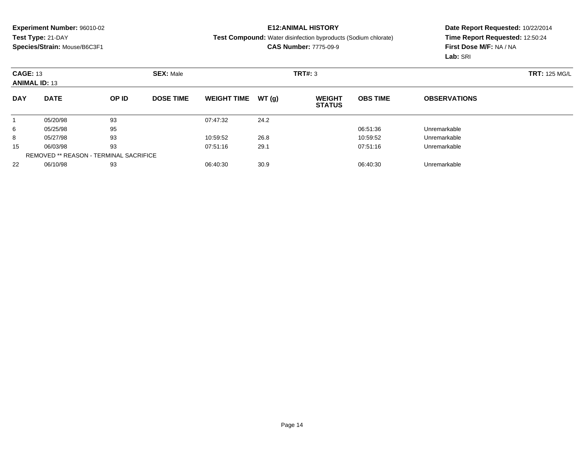## **E12:ANIMAL HISTORY**

#### **Test Compound:** Water disinfection byproducts (Sodium chlorate)

**CAS Number:** 7775-09-9

|            | <b>CAGE: 13</b><br><b>SEX: Male</b><br><b>ANIMAL ID: 13</b> |       |                  |                    |       | <b>TRT#: 3</b>                 |                 |                     | <b>TRT: 125 MG/L</b> |
|------------|-------------------------------------------------------------|-------|------------------|--------------------|-------|--------------------------------|-----------------|---------------------|----------------------|
| <b>DAY</b> | <b>DATE</b>                                                 | OP ID | <b>DOSE TIME</b> | <b>WEIGHT TIME</b> | WT(g) | <b>WEIGHT</b><br><b>STATUS</b> | <b>OBS TIME</b> | <b>OBSERVATIONS</b> |                      |
|            | 05/20/98                                                    | 93    |                  | 07:47:32           | 24.2  |                                |                 |                     |                      |
| 6          | 05/25/98                                                    | 95    |                  |                    |       |                                | 06:51:36        | Unremarkable        |                      |
| 8          | 05/27/98                                                    | 93    |                  | 10:59:52           | 26.8  |                                | 10:59:52        | Unremarkable        |                      |
| 15         | 06/03/98                                                    | 93    |                  | 07:51:16           | 29.1  |                                | 07:51:16        | Unremarkable        |                      |
|            | <b>REMOVED ** REASON - TERMINAL SACRIFICE</b>               |       |                  |                    |       |                                |                 |                     |                      |
| 22         | 06/10/98                                                    | 93    |                  | 06:40:30           | 30.9  |                                | 06:40:30        | Unremarkable        |                      |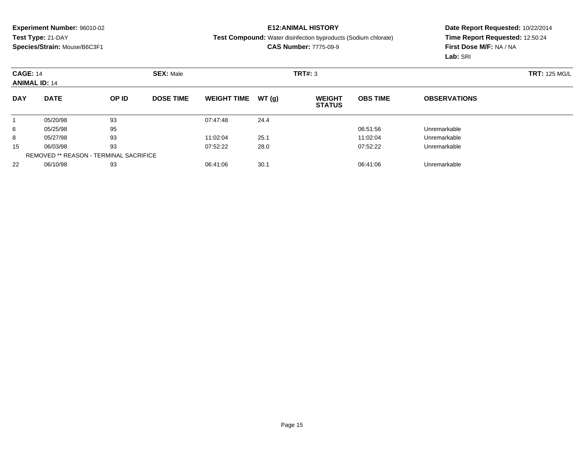## **E12:ANIMAL HISTORY**

#### **Test Compound:** Water disinfection byproducts (Sodium chlorate)

**CAS Number:** 7775-09-9

|            | <b>CAGE: 14</b><br><b>SEX: Male</b><br><b>ANIMAL ID: 14</b> |       |                  |                    |       | TRT#: 3                        |                 |                     |  |
|------------|-------------------------------------------------------------|-------|------------------|--------------------|-------|--------------------------------|-----------------|---------------------|--|
| <b>DAY</b> | <b>DATE</b>                                                 | OP ID | <b>DOSE TIME</b> | <b>WEIGHT TIME</b> | WT(g) | <b>WEIGHT</b><br><b>STATUS</b> | <b>OBS TIME</b> | <b>OBSERVATIONS</b> |  |
|            | 05/20/98                                                    | 93    |                  | 07:47:48           | 24.4  |                                |                 |                     |  |
| 6          | 05/25/98                                                    | 95    |                  |                    |       |                                | 06:51:56        | Unremarkable        |  |
| 8          | 05/27/98                                                    | 93    |                  | 11:02:04           | 25.1  |                                | 11:02:04        | Unremarkable        |  |
| 15         | 06/03/98                                                    | 93    |                  | 07:52:22           | 28.0  |                                | 07:52:22        | Unremarkable        |  |
|            | <b>REMOVED ** REASON - TERMINAL SACRIFICE</b>               |       |                  |                    |       |                                |                 |                     |  |
| 22         | 06/10/98                                                    | 93    |                  | 06:41:06           | 30.1  |                                | 06:41:06        | Unremarkable        |  |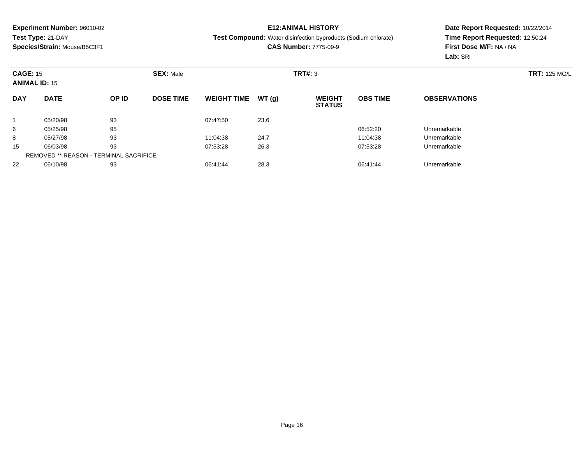## **E12:ANIMAL HISTORY**

#### **Test Compound:** Water disinfection byproducts (Sodium chlorate)

**CAS Number:** 7775-09-9

|            | <b>CAGE: 15</b><br><b>SEX: Male</b><br><b>ANIMAL ID: 15</b> |       |                  |                    |       | TRT#: 3                        | <b>TRT: 125 MG/L</b> |                     |  |
|------------|-------------------------------------------------------------|-------|------------------|--------------------|-------|--------------------------------|----------------------|---------------------|--|
| <b>DAY</b> | <b>DATE</b>                                                 | OP ID | <b>DOSE TIME</b> | <b>WEIGHT TIME</b> | WT(g) | <b>WEIGHT</b><br><b>STATUS</b> | <b>OBS TIME</b>      | <b>OBSERVATIONS</b> |  |
|            | 05/20/98                                                    | 93    |                  | 07:47:50           | 23.6  |                                |                      |                     |  |
| 6          | 05/25/98                                                    | 95    |                  |                    |       |                                | 06:52:20             | Unremarkable        |  |
| 8          | 05/27/98                                                    | 93    |                  | 11:04:38           | 24.7  |                                | 11:04:38             | Unremarkable        |  |
| 15         | 06/03/98                                                    | 93    |                  | 07:53:28           | 26.3  |                                | 07:53:28             | Unremarkable        |  |
|            | <b>REMOVED ** REASON - TERMINAL SACRIFICE</b>               |       |                  |                    |       |                                |                      |                     |  |
| 22         | 06/10/98                                                    | 93    |                  | 06:41:44           | 28.3  |                                | 06:41:44             | Unremarkable        |  |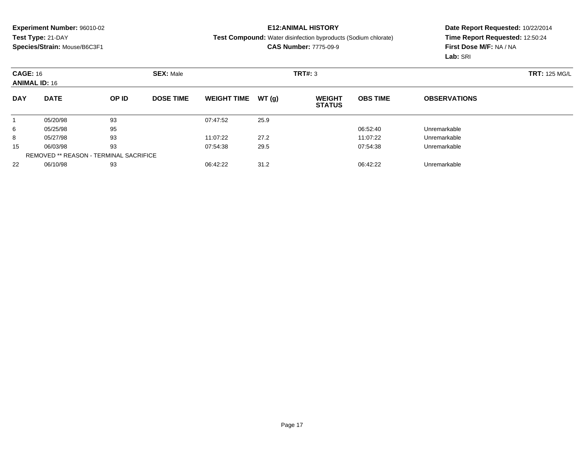## **E12:ANIMAL HISTORY**

#### **Test Compound:** Water disinfection byproducts (Sodium chlorate)

**CAS Number:** 7775-09-9

|            | <b>CAGE: 16</b><br><b>SEX: Male</b><br><b>ANIMAL ID: 16</b> |       |                  |                    |       | <b>TRT: 125 MG/L</b>           |                 |                     |  |
|------------|-------------------------------------------------------------|-------|------------------|--------------------|-------|--------------------------------|-----------------|---------------------|--|
| <b>DAY</b> | <b>DATE</b>                                                 | OP ID | <b>DOSE TIME</b> | <b>WEIGHT TIME</b> | WT(g) | <b>WEIGHT</b><br><b>STATUS</b> | <b>OBS TIME</b> | <b>OBSERVATIONS</b> |  |
|            | 05/20/98                                                    | 93    |                  | 07:47:52           | 25.9  |                                |                 |                     |  |
| 6          | 05/25/98                                                    | 95    |                  |                    |       |                                | 06:52:40        | Unremarkable        |  |
| 8          | 05/27/98                                                    | 93    |                  | 11:07:22           | 27.2  |                                | 11:07:22        | Unremarkable        |  |
| 15         | 06/03/98                                                    | 93    |                  | 07:54:38           | 29.5  |                                | 07:54:38        | Unremarkable        |  |
|            | <b>REMOVED ** REASON - TERMINAL SACRIFICE</b>               |       |                  |                    |       |                                |                 |                     |  |
| 22         | 06/10/98                                                    | 93    |                  | 06:42:22           | 31.2  |                                | 06:42:22        | Unremarkable        |  |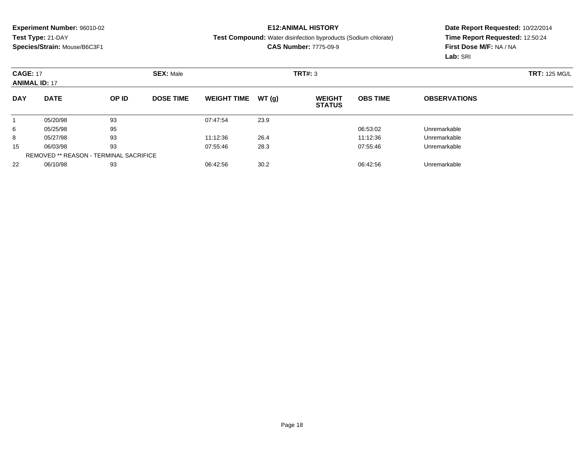## **E12:ANIMAL HISTORY**

#### **Test Compound:** Water disinfection byproducts (Sodium chlorate)

**CAS Number:** 7775-09-9

|            | <b>CAGE: 17</b><br><b>SEX: Male</b><br><b>ANIMAL ID: 17</b> |       |                  |                    |       | TRT#: 3                        |                 | <b>TRT: 125 MG/L</b> |  |
|------------|-------------------------------------------------------------|-------|------------------|--------------------|-------|--------------------------------|-----------------|----------------------|--|
| <b>DAY</b> | <b>DATE</b>                                                 | OP ID | <b>DOSE TIME</b> | <b>WEIGHT TIME</b> | WT(g) | <b>WEIGHT</b><br><b>STATUS</b> | <b>OBS TIME</b> | <b>OBSERVATIONS</b>  |  |
|            | 05/20/98                                                    | 93    |                  | 07:47:54           | 23.9  |                                |                 |                      |  |
| 6          | 05/25/98                                                    | 95    |                  |                    |       |                                | 06:53:02        | Unremarkable         |  |
| 8          | 05/27/98                                                    | 93    |                  | 11:12:36           | 26.4  |                                | 11:12:36        | Unremarkable         |  |
| 15         | 06/03/98                                                    | 93    |                  | 07:55:46           | 28.3  |                                | 07:55:46        | Unremarkable         |  |
|            | REMOVED ** REASON - TERMINAL SACRIFICE                      |       |                  |                    |       |                                |                 |                      |  |
| 22         | 06/10/98                                                    | 93    |                  | 06:42:56           | 30.2  |                                | 06:42:56        | Unremarkable         |  |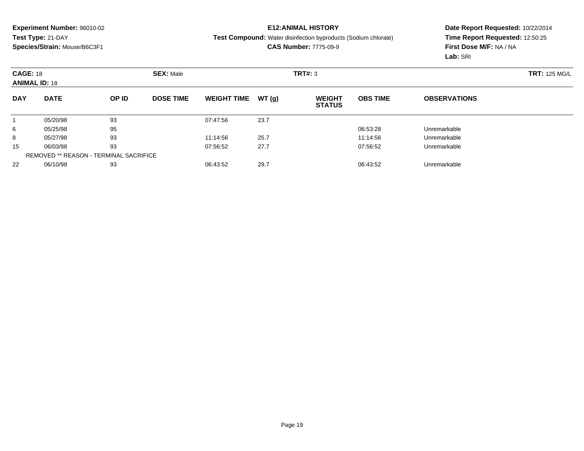## **E12:ANIMAL HISTORY**

#### **Test Compound:** Water disinfection byproducts (Sodium chlorate)

**CAS Number:** 7775-09-9

|            | <b>CAGE: 18</b><br><b>SEX: Male</b><br><b>ANIMAL ID: 18</b> |       |                  |                    |       | <b>TRT: 125 MG/L</b>           |                 |                     |  |
|------------|-------------------------------------------------------------|-------|------------------|--------------------|-------|--------------------------------|-----------------|---------------------|--|
| <b>DAY</b> | <b>DATE</b>                                                 | OP ID | <b>DOSE TIME</b> | <b>WEIGHT TIME</b> | WT(g) | <b>WEIGHT</b><br><b>STATUS</b> | <b>OBS TIME</b> | <b>OBSERVATIONS</b> |  |
|            | 05/20/98                                                    | 93    |                  | 07:47:56           | 23.7  |                                |                 |                     |  |
| 6          | 05/25/98                                                    | 95    |                  |                    |       |                                | 06:53:28        | Unremarkable        |  |
| 8          | 05/27/98                                                    | 93    |                  | 11:14:56           | 25.7  |                                | 11:14:56        | Unremarkable        |  |
| 15         | 06/03/98                                                    | 93    |                  | 07:56:52           | 27.7  |                                | 07:56:52        | Unremarkable        |  |
|            | <b>REMOVED ** REASON - TERMINAL SACRIFICE</b>               |       |                  |                    |       |                                |                 |                     |  |
| 22         | 06/10/98                                                    | 93    |                  | 06:43:52           | 29.7  |                                | 06:43:52        | Unremarkable        |  |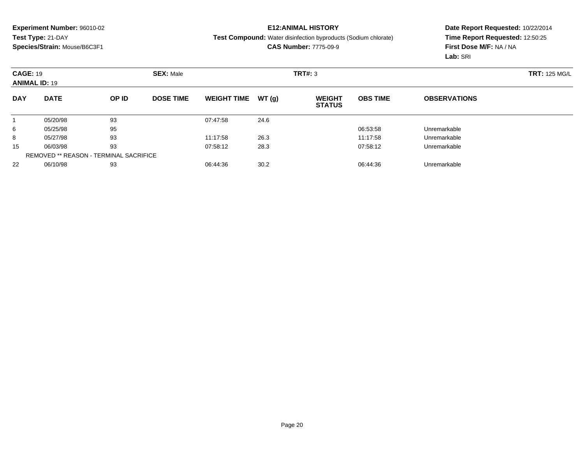## **E12:ANIMAL HISTORY**

#### **Test Compound:** Water disinfection byproducts (Sodium chlorate)

**CAS Number:** 7775-09-9

|            | <b>CAGE: 19</b><br><b>ANIMAL ID: 19</b>       |       | <b>SEX: Male</b> |                    |       |                                | TRT#: 3         |                     |  |  |
|------------|-----------------------------------------------|-------|------------------|--------------------|-------|--------------------------------|-----------------|---------------------|--|--|
| <b>DAY</b> | <b>DATE</b>                                   | OP ID | <b>DOSE TIME</b> | <b>WEIGHT TIME</b> | WT(g) | <b>WEIGHT</b><br><b>STATUS</b> | <b>OBS TIME</b> | <b>OBSERVATIONS</b> |  |  |
|            | 05/20/98                                      | 93    |                  | 07:47:58           | 24.6  |                                |                 |                     |  |  |
| 6          | 05/25/98                                      | 95    |                  |                    |       |                                | 06:53:58        | Unremarkable        |  |  |
| 8          | 05/27/98                                      | 93    |                  | 11:17:58           | 26.3  |                                | 11:17:58        | Unremarkable        |  |  |
| 15         | 06/03/98                                      | 93    |                  | 07:58:12           | 28.3  |                                | 07:58:12        | Unremarkable        |  |  |
|            | <b>REMOVED ** REASON - TERMINAL SACRIFICE</b> |       |                  |                    |       |                                |                 |                     |  |  |
| 22         | 06/10/98                                      | 93    |                  | 06:44:36           | 30.2  |                                | 06:44:36        | Unremarkable        |  |  |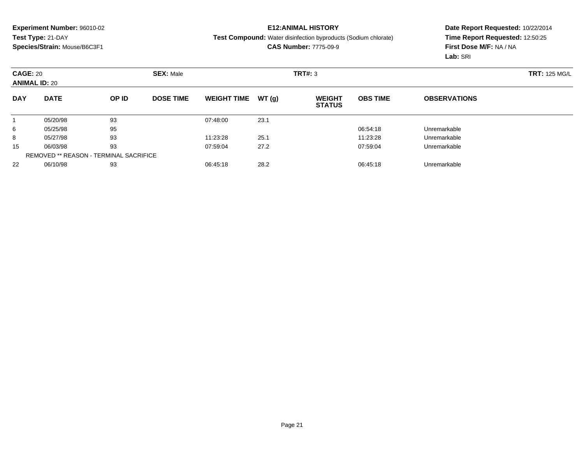## **E12:ANIMAL HISTORY**

#### **Test Compound:** Water disinfection byproducts (Sodium chlorate)

**CAS Number:** 7775-09-9

|            | <b>CAGE: 20</b><br><b>SEX: Male</b><br><b>ANIMAL ID: 20</b> |       |                  |                    |       | <b>TRT#: 3</b>                 |                 |                     | <b>TRT: 125 MG/L</b> |
|------------|-------------------------------------------------------------|-------|------------------|--------------------|-------|--------------------------------|-----------------|---------------------|----------------------|
| <b>DAY</b> | <b>DATE</b>                                                 | OP ID | <b>DOSE TIME</b> | <b>WEIGHT TIME</b> | WT(g) | <b>WEIGHT</b><br><b>STATUS</b> | <b>OBS TIME</b> | <b>OBSERVATIONS</b> |                      |
|            | 05/20/98                                                    | 93    |                  | 07:48:00           | 23.1  |                                |                 |                     |                      |
| 6          | 05/25/98                                                    | 95    |                  |                    |       |                                | 06:54:18        | Unremarkable        |                      |
| 8          | 05/27/98                                                    | 93    |                  | 11:23:28           | 25.1  |                                | 11:23:28        | Unremarkable        |                      |
| 15         | 06/03/98                                                    | 93    |                  | 07:59:04           | 27.2  |                                | 07:59:04        | Unremarkable        |                      |
|            | <b>REMOVED ** REASON - TERMINAL SACRIFICE</b>               |       |                  |                    |       |                                |                 |                     |                      |
| 22         | 06/10/98                                                    | 93    |                  | 06:45:18           | 28.2  |                                | 06:45:18        | Unremarkable        |                      |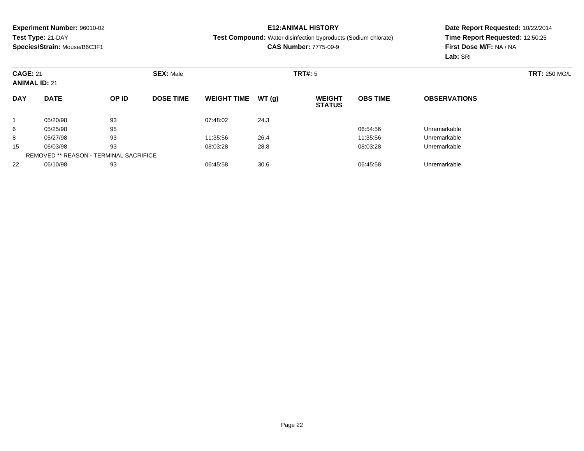## **E12:ANIMAL HISTORY**

#### **Test Compound:** Water disinfection byproducts (Sodium chlorate)

**CAS Number:** 7775-09-9

|            | <b>CAGE: 21</b><br><b>ANIMAL ID: 21</b>       |       | <b>SEX: Male</b> |                    |       | TRT#: 5                        |                 | <b>TRT: 250 MG/L</b> |  |
|------------|-----------------------------------------------|-------|------------------|--------------------|-------|--------------------------------|-----------------|----------------------|--|
| <b>DAY</b> | <b>DATE</b>                                   | OP ID | <b>DOSE TIME</b> | <b>WEIGHT TIME</b> | WT(g) | <b>WEIGHT</b><br><b>STATUS</b> | <b>OBS TIME</b> | <b>OBSERVATIONS</b>  |  |
|            | 05/20/98                                      | 93    |                  | 07:48:02           | 24.3  |                                |                 |                      |  |
| 6          | 05/25/98                                      | 95    |                  |                    |       |                                | 06:54:56        | Unremarkable         |  |
| 8          | 05/27/98                                      | 93    |                  | 11:35:56           | 26.4  |                                | 11:35:56        | Unremarkable         |  |
| 15         | 06/03/98                                      | 93    |                  | 08:03:28           | 28.8  |                                | 08:03:28        | Unremarkable         |  |
|            | <b>REMOVED ** REASON - TERMINAL SACRIFICE</b> |       |                  |                    |       |                                |                 |                      |  |
| 22         | 06/10/98                                      | 93    |                  | 06:45:58           | 30.6  |                                | 06:45:58        | Unremarkable         |  |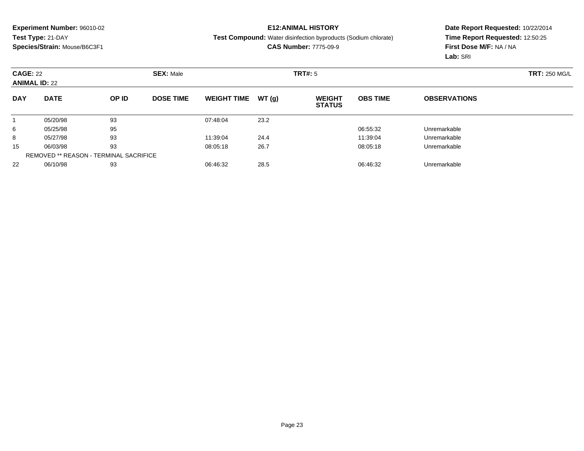## **E12:ANIMAL HISTORY**

**Test Compound:** Water disinfection byproducts (Sodium chlorate)

**CAS Number:** 7775-09-9

|            | <b>CAGE: 22</b><br><b>ANIMAL ID: 22</b>       |       | <b>SEX: Male</b> |                    |       | TRT#: 5                        |                 |                     | <b>TRT: 250 MG/L</b> |
|------------|-----------------------------------------------|-------|------------------|--------------------|-------|--------------------------------|-----------------|---------------------|----------------------|
| <b>DAY</b> | <b>DATE</b>                                   | OP ID | <b>DOSE TIME</b> | <b>WEIGHT TIME</b> | WT(g) | <b>WEIGHT</b><br><b>STATUS</b> | <b>OBS TIME</b> | <b>OBSERVATIONS</b> |                      |
|            | 05/20/98                                      | 93    |                  | 07:48:04           | 23.2  |                                |                 |                     |                      |
| 6          | 05/25/98                                      | 95    |                  |                    |       |                                | 06:55:32        | Unremarkable        |                      |
| 8          | 05/27/98                                      | 93    |                  | 11:39:04           | 24.4  |                                | 11:39:04        | Unremarkable        |                      |
| 15         | 06/03/98                                      | 93    |                  | 08:05:18           | 26.7  |                                | 08:05:18        | Unremarkable        |                      |
|            | <b>REMOVED ** REASON - TERMINAL SACRIFICE</b> |       |                  |                    |       |                                |                 |                     |                      |
| 22         | 06/10/98                                      | 93    |                  | 06:46:32           | 28.5  |                                | 06:46:32        | Unremarkable        |                      |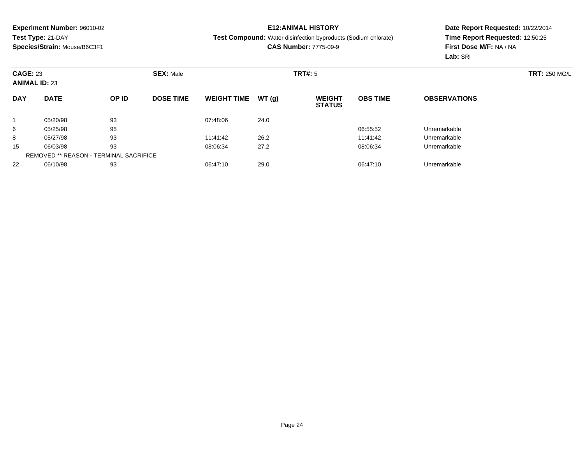## **E12:ANIMAL HISTORY**

**Test Compound:** Water disinfection byproducts (Sodium chlorate)

**CAS Number:** 7775-09-9

|            | <b>CAGE: 23</b><br><b>SEX: Male</b><br><b>ANIMAL ID: 23</b> |       |                  |                    |       | TRT#: 5                        |                 |                     |  |  |  |
|------------|-------------------------------------------------------------|-------|------------------|--------------------|-------|--------------------------------|-----------------|---------------------|--|--|--|
| <b>DAY</b> | <b>DATE</b>                                                 | OP ID | <b>DOSE TIME</b> | <b>WEIGHT TIME</b> | WT(g) | <b>WEIGHT</b><br><b>STATUS</b> | <b>OBS TIME</b> | <b>OBSERVATIONS</b> |  |  |  |
|            | 05/20/98                                                    | 93    |                  | 07:48:06           | 24.0  |                                |                 |                     |  |  |  |
| 6          | 05/25/98                                                    | 95    |                  |                    |       |                                | 06:55:52        | Unremarkable        |  |  |  |
| 8          | 05/27/98                                                    | 93    |                  | 11:41:42           | 26.2  |                                | 11:41:42        | Unremarkable        |  |  |  |
| 15         | 06/03/98                                                    | 93    |                  | 08:06:34           | 27.2  |                                | 08:06:34        | Unremarkable        |  |  |  |
|            | <b>REMOVED ** REASON - TERMINAL SACRIFICE</b>               |       |                  |                    |       |                                |                 |                     |  |  |  |
| 22         | 06/10/98                                                    | 93    |                  | 06:47:10           | 29.0  |                                | 06:47:10        | Unremarkable        |  |  |  |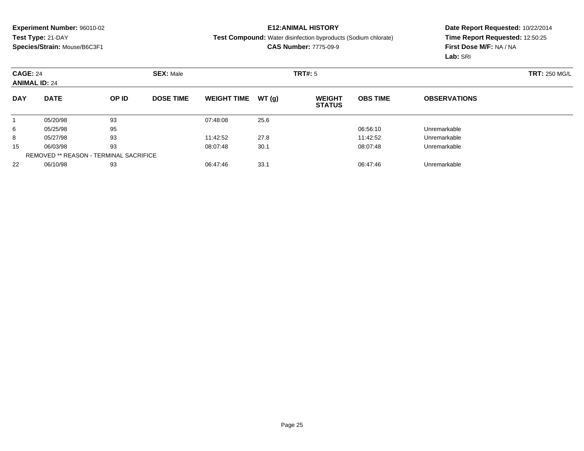## **E12:ANIMAL HISTORY**

**Test Compound:** Water disinfection byproducts (Sodium chlorate)

**CAS Number:** 7775-09-9

| <b>CAGE: 24</b><br><b>ANIMAL ID: 24</b> |                                               |       | <b>SEX: Male</b> |                    |       | TRT#: 5                        |                 |                     | <b>TRT: 250 MG/L</b> |
|-----------------------------------------|-----------------------------------------------|-------|------------------|--------------------|-------|--------------------------------|-----------------|---------------------|----------------------|
| <b>DAY</b>                              | <b>DATE</b>                                   | OP ID | <b>DOSE TIME</b> | <b>WEIGHT TIME</b> | WT(g) | <b>WEIGHT</b><br><b>STATUS</b> | <b>OBS TIME</b> | <b>OBSERVATIONS</b> |                      |
|                                         | 05/20/98                                      | 93    |                  | 07:48:08           | 25.6  |                                |                 |                     |                      |
| 6                                       | 05/25/98                                      | 95    |                  |                    |       |                                | 06:56:10        | Unremarkable        |                      |
| 8                                       | 05/27/98                                      | 93    |                  | 11:42:52           | 27.8  |                                | 11:42:52        | Unremarkable        |                      |
| 15                                      | 06/03/98                                      | 93    |                  | 08:07:48           | 30.1  |                                | 08:07:48        | Unremarkable        |                      |
|                                         | <b>REMOVED ** REASON - TERMINAL SACRIFICE</b> |       |                  |                    |       |                                |                 |                     |                      |
| 22                                      | 06/10/98                                      | 93    |                  | 06:47:46           | 33.1  |                                | 06:47:46        | Unremarkable        |                      |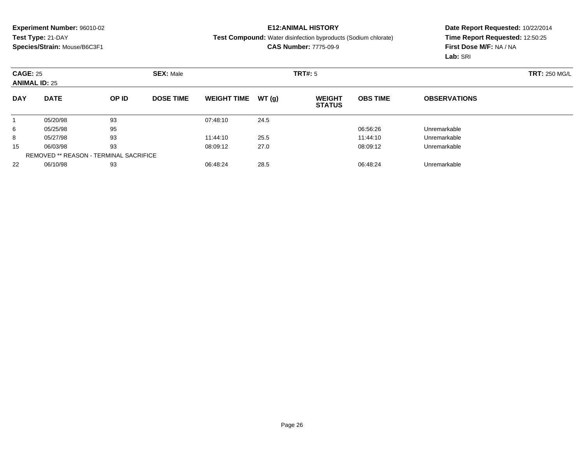## **E12:ANIMAL HISTORY**

#### **Test Compound:** Water disinfection byproducts (Sodium chlorate)

**CAS Number:** 7775-09-9

| <b>CAGE: 25</b><br><b>ANIMAL ID: 25</b> |                                               |       | <b>SEX: Male</b> |                    | <b>TRT#: 5</b> |                                |                 |                     | <b>TRT: 250 MG/L</b> |
|-----------------------------------------|-----------------------------------------------|-------|------------------|--------------------|----------------|--------------------------------|-----------------|---------------------|----------------------|
| <b>DAY</b>                              | <b>DATE</b>                                   | OP ID | <b>DOSE TIME</b> | <b>WEIGHT TIME</b> | WT(g)          | <b>WEIGHT</b><br><b>STATUS</b> | <b>OBS TIME</b> | <b>OBSERVATIONS</b> |                      |
|                                         | 05/20/98                                      | 93    |                  | 07:48:10           | 24.5           |                                |                 |                     |                      |
| 6                                       | 05/25/98                                      | 95    |                  |                    |                |                                | 06:56:26        | Unremarkable        |                      |
| 8                                       | 05/27/98                                      | 93    |                  | 11:44:10           | 25.5           |                                | 11:44:10        | Unremarkable        |                      |
| 15                                      | 06/03/98                                      | 93    |                  | 08:09:12           | 27.0           |                                | 08:09:12        | Unremarkable        |                      |
|                                         | <b>REMOVED ** REASON - TERMINAL SACRIFICE</b> |       |                  |                    |                |                                |                 |                     |                      |
| 22                                      | 06/10/98                                      | 93    |                  | 06:48:24           | 28.5           |                                | 06:48:24        | Unremarkable        |                      |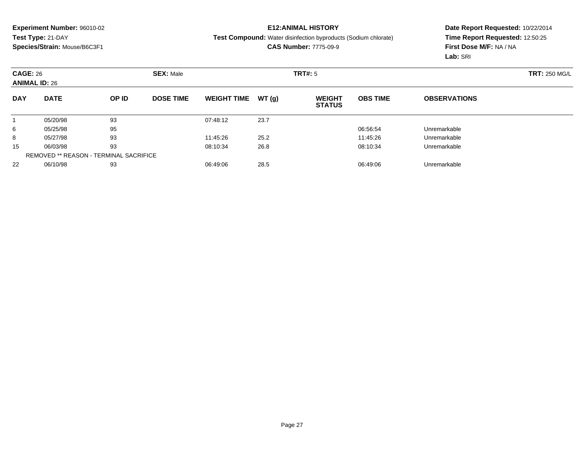## **E12:ANIMAL HISTORY**

**Test Compound:** Water disinfection byproducts (Sodium chlorate)

**CAS Number:** 7775-09-9

|            | <b>CAGE: 26</b><br><b>SEX: Male</b><br><b>ANIMAL ID: 26</b> |       |                  |                    |       | TRT#: 5                        |                 | <b>TRT: 250 MG/L</b> |  |
|------------|-------------------------------------------------------------|-------|------------------|--------------------|-------|--------------------------------|-----------------|----------------------|--|
| <b>DAY</b> | <b>DATE</b>                                                 | OP ID | <b>DOSE TIME</b> | <b>WEIGHT TIME</b> | WT(g) | <b>WEIGHT</b><br><b>STATUS</b> | <b>OBS TIME</b> | <b>OBSERVATIONS</b>  |  |
|            | 05/20/98                                                    | 93    |                  | 07:48:12           | 23.7  |                                |                 |                      |  |
| 6          | 05/25/98                                                    | 95    |                  |                    |       |                                | 06:56:54        | Unremarkable         |  |
| 8          | 05/27/98                                                    | 93    |                  | 11:45:26           | 25.2  |                                | 11:45:26        | Unremarkable         |  |
| 15         | 06/03/98                                                    | 93    |                  | 08:10:34           | 26.8  |                                | 08:10:34        | Unremarkable         |  |
|            | <b>REMOVED ** REASON - TERMINAL SACRIFICE</b>               |       |                  |                    |       |                                |                 |                      |  |
| 22         | 06/10/98                                                    | 93    |                  | 06:49:06           | 28.5  |                                | 06:49:06        | Unremarkable         |  |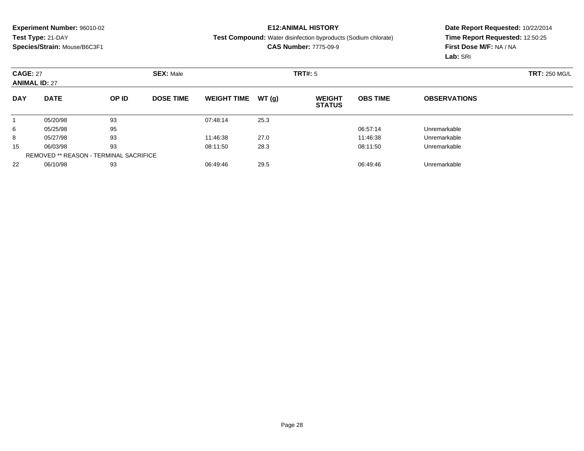## **E12:ANIMAL HISTORY**

#### **Test Compound:** Water disinfection byproducts (Sodium chlorate)

**CAS Number:** 7775-09-9

| <b>CAGE: 27</b><br><b>ANIMAL ID: 27</b> |                                               | <b>SEX: Male</b> |                  |                    | TRT#: 5 |                                |                 | <b>TRT: 250 MG/L</b> |  |
|-----------------------------------------|-----------------------------------------------|------------------|------------------|--------------------|---------|--------------------------------|-----------------|----------------------|--|
| <b>DAY</b>                              | <b>DATE</b>                                   | OP ID            | <b>DOSE TIME</b> | <b>WEIGHT TIME</b> | WT(g)   | <b>WEIGHT</b><br><b>STATUS</b> | <b>OBS TIME</b> | <b>OBSERVATIONS</b>  |  |
|                                         | 05/20/98                                      | 93               |                  | 07:48:14           | 25.3    |                                |                 |                      |  |
| 6                                       | 05/25/98                                      | 95               |                  |                    |         |                                | 06:57:14        | Unremarkable         |  |
| 8                                       | 05/27/98                                      | 93               |                  | 11:46:38           | 27.0    |                                | 11:46:38        | Unremarkable         |  |
| 15                                      | 06/03/98                                      | 93               |                  | 08:11:50           | 28.3    |                                | 08:11:50        | Unremarkable         |  |
|                                         | <b>REMOVED ** REASON - TERMINAL SACRIFICE</b> |                  |                  |                    |         |                                |                 |                      |  |
| 22                                      | 06/10/98                                      | 93               |                  | 06:49:46           | 29.5    |                                | 06:49:46        | Unremarkable         |  |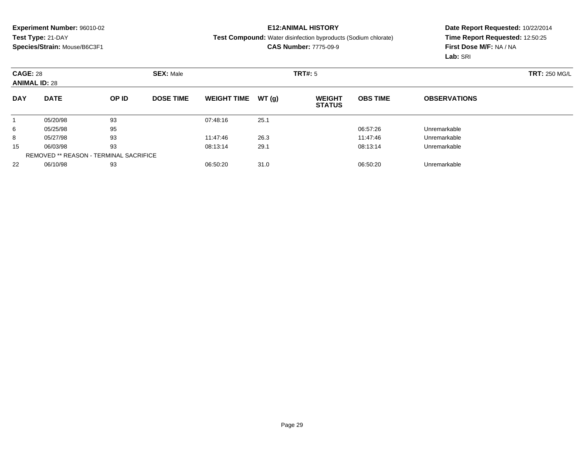## **E12:ANIMAL HISTORY**

**Test Compound:** Water disinfection byproducts (Sodium chlorate)

**CAS Number:** 7775-09-9

|            | <b>CAGE: 28</b><br><b>ANIMAL ID: 28</b>       |       | <b>SEX: Male</b> |                    |       |                                | TRT#: 5         |                     |  |  |
|------------|-----------------------------------------------|-------|------------------|--------------------|-------|--------------------------------|-----------------|---------------------|--|--|
| <b>DAY</b> | <b>DATE</b>                                   | OP ID | <b>DOSE TIME</b> | <b>WEIGHT TIME</b> | WT(g) | <b>WEIGHT</b><br><b>STATUS</b> | <b>OBS TIME</b> | <b>OBSERVATIONS</b> |  |  |
|            | 05/20/98                                      | 93    |                  | 07:48:16           | 25.1  |                                |                 |                     |  |  |
| 6          | 05/25/98                                      | 95    |                  |                    |       |                                | 06:57:26        | Unremarkable        |  |  |
| 8          | 05/27/98                                      | 93    |                  | 11:47:46           | 26.3  |                                | 11:47:46        | Unremarkable        |  |  |
| 15         | 06/03/98                                      | 93    |                  | 08:13:14           | 29.1  |                                | 08:13:14        | Unremarkable        |  |  |
|            | <b>REMOVED ** REASON - TERMINAL SACRIFICE</b> |       |                  |                    |       |                                |                 |                     |  |  |
| 22         | 06/10/98                                      | 93    |                  | 06:50:20           | 31.0  |                                | 06:50:20        | Unremarkable        |  |  |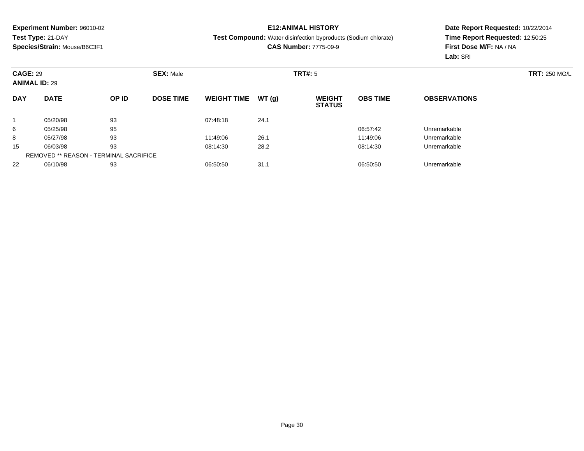## **E12:ANIMAL HISTORY**

#### **Test Compound:** Water disinfection byproducts (Sodium chlorate)

**CAS Number:** 7775-09-9

| <b>CAGE: 29</b><br><b>ANIMAL ID: 29</b> |                                               |       | <b>SEX: Male</b> |                    |       | <b>TRT#: 5</b>                 |                 | <b>TRT: 250 MG/L</b> |  |
|-----------------------------------------|-----------------------------------------------|-------|------------------|--------------------|-------|--------------------------------|-----------------|----------------------|--|
| <b>DAY</b>                              | <b>DATE</b>                                   | OP ID | <b>DOSE TIME</b> | <b>WEIGHT TIME</b> | WT(g) | <b>WEIGHT</b><br><b>STATUS</b> | <b>OBS TIME</b> | <b>OBSERVATIONS</b>  |  |
|                                         | 05/20/98                                      | 93    |                  | 07:48:18           | 24.1  |                                |                 |                      |  |
| 6                                       | 05/25/98                                      | 95    |                  |                    |       |                                | 06:57:42        | Unremarkable         |  |
| 8                                       | 05/27/98                                      | 93    |                  | 11:49:06           | 26.1  |                                | 11:49:06        | Unremarkable         |  |
| 15                                      | 06/03/98                                      | 93    |                  | 08:14:30           | 28.2  |                                | 08:14:30        | Unremarkable         |  |
|                                         | <b>REMOVED ** REASON - TERMINAL SACRIFICE</b> |       |                  |                    |       |                                |                 |                      |  |
| 22                                      | 06/10/98                                      | 93    |                  | 06:50:50           | 31.1  |                                | 06:50:50        | Unremarkable         |  |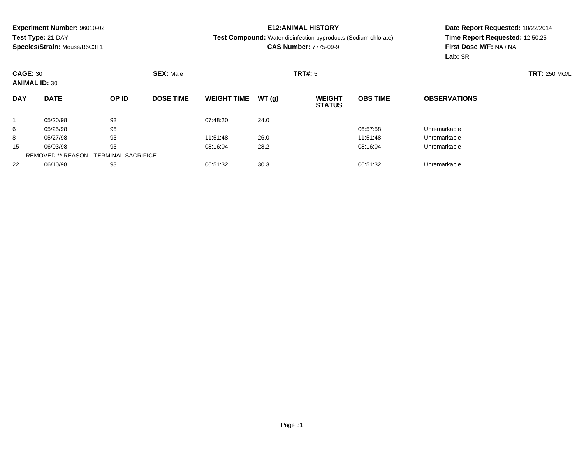## **E12:ANIMAL HISTORY**

#### **Test Compound:** Water disinfection byproducts (Sodium chlorate)

**CAS Number:** 7775-09-9

|            | <b>CAGE: 30</b><br><b>ANIMAL ID: 30</b>       |       | <b>SEX: Male</b> |                    | TRT#: 5 |                                |                 |                     | <b>TRT: 250 MG/L</b> |
|------------|-----------------------------------------------|-------|------------------|--------------------|---------|--------------------------------|-----------------|---------------------|----------------------|
| <b>DAY</b> | <b>DATE</b>                                   | OP ID | <b>DOSE TIME</b> | <b>WEIGHT TIME</b> | WT(q)   | <b>WEIGHT</b><br><b>STATUS</b> | <b>OBS TIME</b> | <b>OBSERVATIONS</b> |                      |
|            | 05/20/98                                      | 93    |                  | 07:48:20           | 24.0    |                                |                 |                     |                      |
| 6          | 05/25/98                                      | 95    |                  |                    |         |                                | 06:57:58        | Unremarkable        |                      |
| 8          | 05/27/98                                      | 93    |                  | 11:51:48           | 26.0    |                                | 11:51:48        | Unremarkable        |                      |
| 15         | 06/03/98                                      | 93    |                  | 08:16:04           | 28.2    |                                | 08:16:04        | Unremarkable        |                      |
|            | <b>REMOVED ** REASON - TERMINAL SACRIFICE</b> |       |                  |                    |         |                                |                 |                     |                      |
| 22         | 06/10/98                                      | 93    |                  | 06:51:32           | 30.3    |                                | 06:51:32        | Unremarkable        |                      |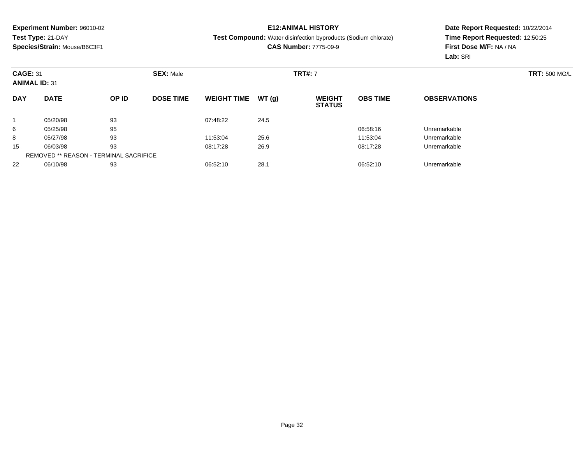## **E12:ANIMAL HISTORY**

#### **Test Compound:** Water disinfection byproducts (Sodium chlorate)

**CAS Number:** 7775-09-9

|            | <b>CAGE: 31</b><br><b>ANIMAL ID: 31</b> |       | <b>SEX: Male</b> |                    |       | <b>TRT#: 7</b>                 |                 | <b>TRT: 500 MG/L</b> |  |
|------------|-----------------------------------------|-------|------------------|--------------------|-------|--------------------------------|-----------------|----------------------|--|
| <b>DAY</b> | <b>DATE</b>                             | OP ID | <b>DOSE TIME</b> | <b>WEIGHT TIME</b> | WT(g) | <b>WEIGHT</b><br><b>STATUS</b> | <b>OBS TIME</b> | <b>OBSERVATIONS</b>  |  |
|            | 05/20/98                                | 93    |                  | 07:48:22           | 24.5  |                                |                 |                      |  |
| 6          | 05/25/98                                | 95    |                  |                    |       |                                | 06:58:16        | Unremarkable         |  |
| 8          | 05/27/98                                | 93    |                  | 11:53:04           | 25.6  |                                | 11:53:04        | Unremarkable         |  |
| 15         | 06/03/98                                | 93    |                  | 08:17:28           | 26.9  |                                | 08:17:28        | Unremarkable         |  |
|            | REMOVED ** REASON - TERMINAL SACRIFICE  |       |                  |                    |       |                                |                 |                      |  |
| 22         | 06/10/98                                | 93    |                  | 06:52:10           | 28.1  |                                | 06:52:10        | Unremarkable         |  |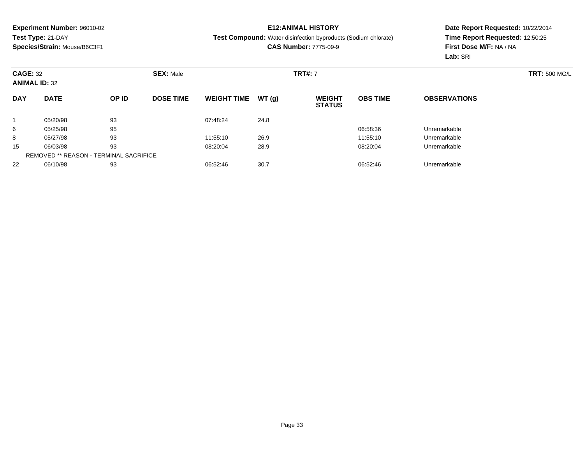## **E12:ANIMAL HISTORY**

**Test Compound:** Water disinfection byproducts (Sodium chlorate)

**CAS Number:** 7775-09-9

|            | <b>CAGE: 32</b><br><b>ANIMAL ID: 32</b> |       | <b>SEX: Male</b> |                    |       |                                | <b>TRT#: 7</b>  |                     |  |  |
|------------|-----------------------------------------|-------|------------------|--------------------|-------|--------------------------------|-----------------|---------------------|--|--|
| <b>DAY</b> | <b>DATE</b>                             | OP ID | <b>DOSE TIME</b> | <b>WEIGHT TIME</b> | WT(g) | <b>WEIGHT</b><br><b>STATUS</b> | <b>OBS TIME</b> | <b>OBSERVATIONS</b> |  |  |
|            | 05/20/98                                | 93    |                  | 07:48:24           | 24.8  |                                |                 |                     |  |  |
| 6          | 05/25/98                                | 95    |                  |                    |       |                                | 06:58:36        | Unremarkable        |  |  |
| 8          | 05/27/98                                | 93    |                  | 11:55:10           | 26.9  |                                | 11:55:10        | Unremarkable        |  |  |
| 15         | 06/03/98                                | 93    |                  | 08:20:04           | 28.9  |                                | 08:20:04        | Unremarkable        |  |  |
|            | REMOVED ** REASON - TERMINAL SACRIFICE  |       |                  |                    |       |                                |                 |                     |  |  |
| 22         | 06/10/98                                | 93    |                  | 06:52:46           | 30.7  |                                | 06:52:46        | Unremarkable        |  |  |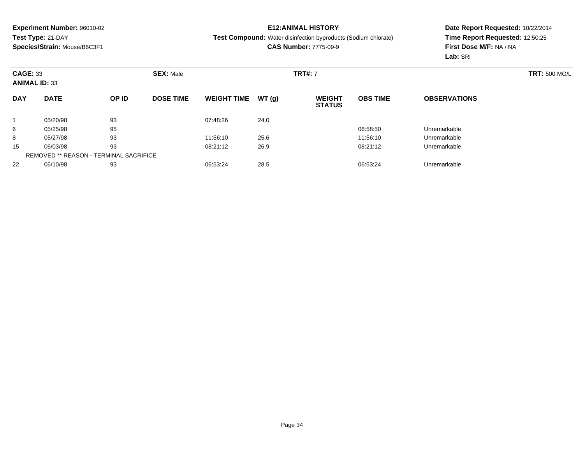## **E12:ANIMAL HISTORY**

**Test Compound:** Water disinfection byproducts (Sodium chlorate)

**CAS Number:** 7775-09-9

| <b>CAGE: 33</b><br><b>ANIMAL ID: 33</b> |                                               |       | <b>SEX: Male</b> |                    |       | <b>TRT#: 7</b>                 |                 |                     | <b>TRT: 500 MG/L</b> |
|-----------------------------------------|-----------------------------------------------|-------|------------------|--------------------|-------|--------------------------------|-----------------|---------------------|----------------------|
| <b>DAY</b>                              | <b>DATE</b>                                   | OP ID | <b>DOSE TIME</b> | <b>WEIGHT TIME</b> | WT(g) | <b>WEIGHT</b><br><b>STATUS</b> | <b>OBS TIME</b> | <b>OBSERVATIONS</b> |                      |
|                                         | 05/20/98                                      | 93    |                  | 07:48:26           | 24.0  |                                |                 |                     |                      |
| 6                                       | 05/25/98                                      | 95    |                  |                    |       |                                | 06:58:50        | Unremarkable        |                      |
| 8                                       | 05/27/98                                      | 93    |                  | 11:56:10           | 25.6  |                                | 11:56:10        | Unremarkable        |                      |
| 15                                      | 06/03/98                                      | 93    |                  | 08:21:12           | 26.9  |                                | 08:21:12        | Unremarkable        |                      |
|                                         | <b>REMOVED ** REASON - TERMINAL SACRIFICE</b> |       |                  |                    |       |                                |                 |                     |                      |
| 22                                      | 06/10/98                                      | 93    |                  | 06:53:24           | 28.5  |                                | 06:53:24        | Unremarkable        |                      |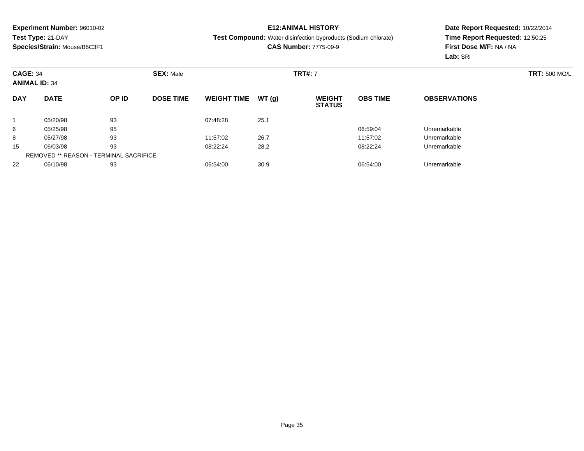## **E12:ANIMAL HISTORY**

**Test Compound:** Water disinfection byproducts (Sodium chlorate)

**CAS Number:** 7775-09-9

|            | <b>CAGE: 34</b><br><b>ANIMAL ID: 34</b>       |       |                  | <b>SEX: Male</b>   |       |                                | <b>TRT#: 7</b>  |                     |  |  |  |
|------------|-----------------------------------------------|-------|------------------|--------------------|-------|--------------------------------|-----------------|---------------------|--|--|--|
| <b>DAY</b> | <b>DATE</b>                                   | OP ID | <b>DOSE TIME</b> | <b>WEIGHT TIME</b> | WT(g) | <b>WEIGHT</b><br><b>STATUS</b> | <b>OBS TIME</b> | <b>OBSERVATIONS</b> |  |  |  |
|            | 05/20/98                                      | 93    |                  | 07:48:28           | 25.1  |                                |                 |                     |  |  |  |
| 6          | 05/25/98                                      | 95    |                  |                    |       |                                | 06:59:04        | Unremarkable        |  |  |  |
| 8          | 05/27/98                                      | 93    |                  | 11:57:02           | 26.7  |                                | 11:57:02        | Unremarkable        |  |  |  |
| 15         | 06/03/98                                      | 93    |                  | 08:22:24           | 28.2  |                                | 08:22:24        | Unremarkable        |  |  |  |
|            | <b>REMOVED ** REASON - TERMINAL SACRIFICE</b> |       |                  |                    |       |                                |                 |                     |  |  |  |
| 22         | 06/10/98                                      | 93    |                  | 06:54:00           | 30.9  |                                | 06:54:00        | Unremarkable        |  |  |  |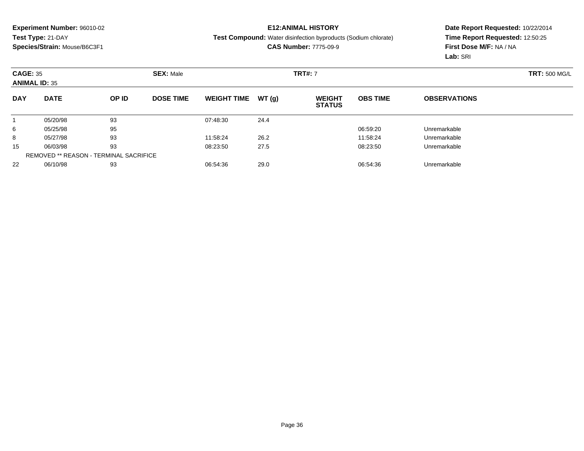## **E12:ANIMAL HISTORY**

**Test Compound:** Water disinfection byproducts (Sodium chlorate)

**CAS Number:** 7775-09-9

|            | <b>CAGE: 35</b><br><b>SEX: Male</b><br><b>ANIMAL ID: 35</b> |       |                  |                    |       | <b>TRT#: 7</b>                 |                 |                     | <b>TRT: 500 MG/L</b> |
|------------|-------------------------------------------------------------|-------|------------------|--------------------|-------|--------------------------------|-----------------|---------------------|----------------------|
| <b>DAY</b> | <b>DATE</b>                                                 | OP ID | <b>DOSE TIME</b> | <b>WEIGHT TIME</b> | WT(g) | <b>WEIGHT</b><br><b>STATUS</b> | <b>OBS TIME</b> | <b>OBSERVATIONS</b> |                      |
|            | 05/20/98                                                    | 93    |                  | 07:48:30           | 24.4  |                                |                 |                     |                      |
| 6          | 05/25/98                                                    | 95    |                  |                    |       |                                | 06:59:20        | Unremarkable        |                      |
| 8          | 05/27/98                                                    | 93    |                  | 11:58:24           | 26.2  |                                | 11:58:24        | Unremarkable        |                      |
| 15         | 06/03/98                                                    | 93    |                  | 08:23:50           | 27.5  |                                | 08:23:50        | Unremarkable        |                      |
|            | <b>REMOVED ** REASON - TERMINAL SACRIFICE</b>               |       |                  |                    |       |                                |                 |                     |                      |
| 22         | 06/10/98                                                    | 93    |                  | 06:54:36           | 29.0  |                                | 06:54:36        | Unremarkable        |                      |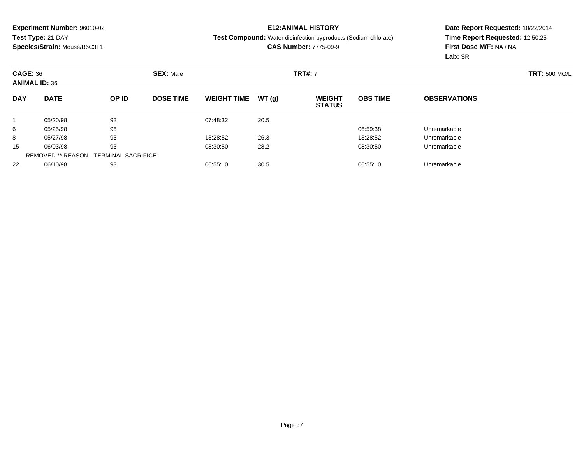## **E12:ANIMAL HISTORY**

**Test Compound:** Water disinfection byproducts (Sodium chlorate)

**CAS Number:** 7775-09-9

| <b>CAGE: 36</b><br><b>ANIMAL ID: 36</b> |                                               |       | <b>SEX: Male</b> |                    |       |                                | <b>TRT#: 7</b>  |                     |  |  |
|-----------------------------------------|-----------------------------------------------|-------|------------------|--------------------|-------|--------------------------------|-----------------|---------------------|--|--|
| <b>DAY</b>                              | <b>DATE</b>                                   | OP ID | <b>DOSE TIME</b> | <b>WEIGHT TIME</b> | WT(g) | <b>WEIGHT</b><br><b>STATUS</b> | <b>OBS TIME</b> | <b>OBSERVATIONS</b> |  |  |
|                                         | 05/20/98                                      | 93    |                  | 07:48:32           | 20.5  |                                |                 |                     |  |  |
| 6                                       | 05/25/98                                      | 95    |                  |                    |       |                                | 06:59:38        | Unremarkable        |  |  |
| 8                                       | 05/27/98                                      | 93    |                  | 13:28:52           | 26.3  |                                | 13:28:52        | Unremarkable        |  |  |
| 15                                      | 06/03/98                                      | 93    |                  | 08:30:50           | 28.2  |                                | 08:30:50        | Unremarkable        |  |  |
|                                         | <b>REMOVED ** REASON - TERMINAL SACRIFICE</b> |       |                  |                    |       |                                |                 |                     |  |  |
| 22                                      | 06/10/98                                      | 93    |                  | 06:55:10           | 30.5  |                                | 06:55:10        | Unremarkable        |  |  |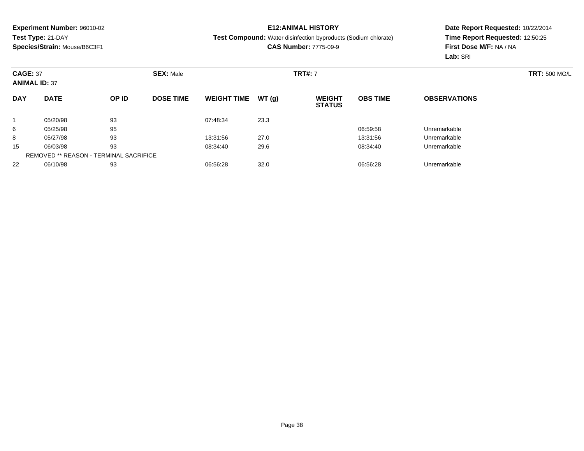### **E12:ANIMAL HISTORY**

**Test Compound:** Water disinfection byproducts (Sodium chlorate)

**CAS Number:** 7775-09-9

|            | <b>CAGE: 37</b><br><b>ANIMAL ID: 37</b>       |       | <b>SEX: Male</b> |                    |       |                                | <b>TRT#: 7</b>  |                     |  |  |
|------------|-----------------------------------------------|-------|------------------|--------------------|-------|--------------------------------|-----------------|---------------------|--|--|
| <b>DAY</b> | <b>DATE</b>                                   | OP ID | <b>DOSE TIME</b> | <b>WEIGHT TIME</b> | WT(g) | <b>WEIGHT</b><br><b>STATUS</b> | <b>OBS TIME</b> | <b>OBSERVATIONS</b> |  |  |
|            | 05/20/98                                      | 93    |                  | 07:48:34           | 23.3  |                                |                 |                     |  |  |
| 6          | 05/25/98                                      | 95    |                  |                    |       |                                | 06:59:58        | Unremarkable        |  |  |
| 8          | 05/27/98                                      | 93    |                  | 13:31:56           | 27.0  |                                | 13:31:56        | Unremarkable        |  |  |
| 15         | 06/03/98                                      | 93    |                  | 08:34:40           | 29.6  |                                | 08:34:40        | Unremarkable        |  |  |
|            | <b>REMOVED ** REASON - TERMINAL SACRIFICE</b> |       |                  |                    |       |                                |                 |                     |  |  |
| 22         | 06/10/98                                      | 93    |                  | 06:56:28           | 32.0  |                                | 06:56:28        | Unremarkable        |  |  |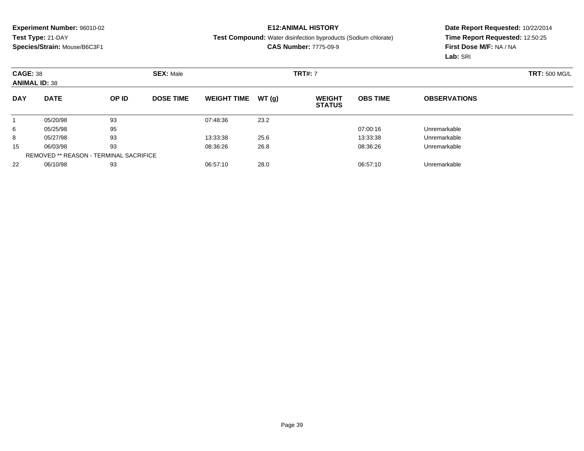## **E12:ANIMAL HISTORY**

**Test Compound:** Water disinfection byproducts (Sodium chlorate)

**CAS Number:** 7775-09-9

| <b>CAGE: 38</b><br><b>ANIMAL ID: 38</b> |                                               |       | <b>SEX: Male</b> |                    |       |                                | <b>TRT#: 7</b>  |                     |  |  |
|-----------------------------------------|-----------------------------------------------|-------|------------------|--------------------|-------|--------------------------------|-----------------|---------------------|--|--|
| <b>DAY</b>                              | <b>DATE</b>                                   | OP ID | <b>DOSE TIME</b> | <b>WEIGHT TIME</b> | WT(g) | <b>WEIGHT</b><br><b>STATUS</b> | <b>OBS TIME</b> | <b>OBSERVATIONS</b> |  |  |
|                                         | 05/20/98                                      | 93    |                  | 07:48:36           | 23.2  |                                |                 |                     |  |  |
| 6                                       | 05/25/98                                      | 95    |                  |                    |       |                                | 07:00:16        | Unremarkable        |  |  |
| 8                                       | 05/27/98                                      | 93    |                  | 13:33:38           | 25.6  |                                | 13:33:38        | Unremarkable        |  |  |
| 15                                      | 06/03/98                                      | 93    |                  | 08:36:26           | 26.8  |                                | 08:36:26        | Unremarkable        |  |  |
|                                         | <b>REMOVED ** REASON - TERMINAL SACRIFICE</b> |       |                  |                    |       |                                |                 |                     |  |  |
| 22                                      | 06/10/98                                      | 93    |                  | 06:57:10           | 28.0  |                                | 06:57:10        | Unremarkable        |  |  |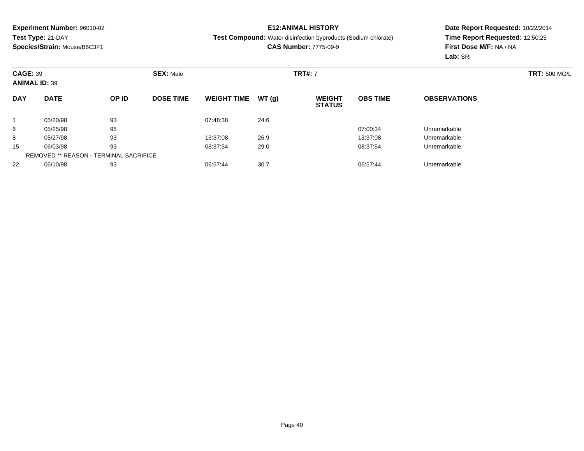## **E12:ANIMAL HISTORY**

**Test Compound:** Water disinfection byproducts (Sodium chlorate)

**CAS Number:** 7775-09-9

|            | <b>CAGE: 39</b><br><b>ANIMAL ID: 39</b> |       | <b>SEX: Male</b> |                    |       | <b>TRT#: 7</b>                 |                 | <b>TRT: 500 MG/L</b> |  |
|------------|-----------------------------------------|-------|------------------|--------------------|-------|--------------------------------|-----------------|----------------------|--|
| <b>DAY</b> | <b>DATE</b>                             | OP ID | <b>DOSE TIME</b> | <b>WEIGHT TIME</b> | WT(g) | <b>WEIGHT</b><br><b>STATUS</b> | <b>OBS TIME</b> | <b>OBSERVATIONS</b>  |  |
|            | 05/20/98                                | 93    |                  | 07:48:38           | 24.6  |                                |                 |                      |  |
| 6          | 05/25/98                                | 95    |                  |                    |       |                                | 07:00:34        | Unremarkable         |  |
| 8          | 05/27/98                                | 93    |                  | 13:37:08           | 26.9  |                                | 13:37:08        | Unremarkable         |  |
| 15         | 06/03/98                                | 93    |                  | 08:37:54           | 29.0  |                                | 08:37:54        | Unremarkable         |  |
|            | REMOVED ** REASON - TERMINAL SACRIFICE  |       |                  |                    |       |                                |                 |                      |  |
| 22         | 06/10/98                                | 93    |                  | 06:57:44           | 30.7  |                                | 06:57:44        | Unremarkable         |  |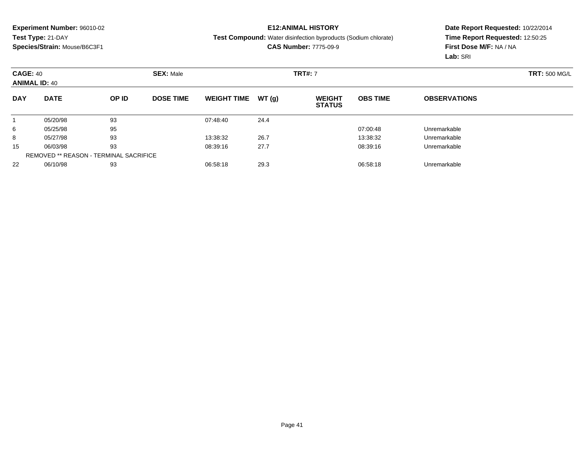### **E12:ANIMAL HISTORY**

**Test Compound:** Water disinfection byproducts (Sodium chlorate)

**CAS Number:** 7775-09-9

|            | <b>CAGE: 40</b><br><b>SEX: Male</b><br><b>ANIMAL ID: 40</b> |       |                  |                    |       | <b>TRT#: 7</b>                 |                 |                     | <b>TRT: 500 MG/L</b> |
|------------|-------------------------------------------------------------|-------|------------------|--------------------|-------|--------------------------------|-----------------|---------------------|----------------------|
| <b>DAY</b> | <b>DATE</b>                                                 | OP ID | <b>DOSE TIME</b> | <b>WEIGHT TIME</b> | WT(g) | <b>WEIGHT</b><br><b>STATUS</b> | <b>OBS TIME</b> | <b>OBSERVATIONS</b> |                      |
|            | 05/20/98                                                    | 93    |                  | 07:48:40           | 24.4  |                                |                 |                     |                      |
| 6          | 05/25/98                                                    | 95    |                  |                    |       |                                | 07:00:48        | Unremarkable        |                      |
| 8          | 05/27/98                                                    | 93    |                  | 13:38:32           | 26.7  |                                | 13:38:32        | Unremarkable        |                      |
| 15         | 06/03/98                                                    | 93    |                  | 08:39:16           | 27.7  |                                | 08:39:16        | Unremarkable        |                      |
|            | REMOVED ** REASON - TERMINAL SACRIFICE                      |       |                  |                    |       |                                |                 |                     |                      |
| 22         | 06/10/98                                                    | 93    |                  | 06:58:18           | 29.3  |                                | 06:58:18        | Unremarkable        |                      |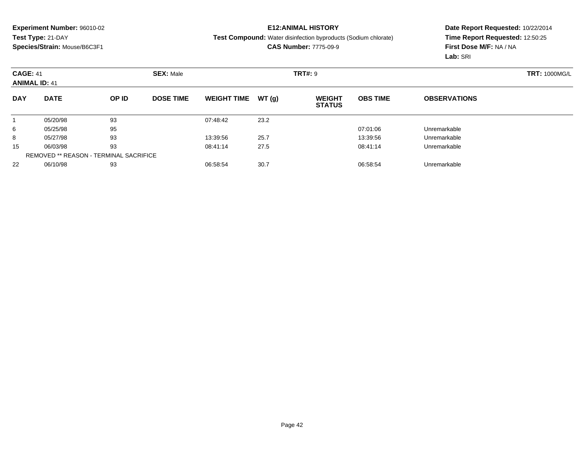## **E12:ANIMAL HISTORY**

#### **Test Compound:** Water disinfection byproducts (Sodium chlorate)

**CAS Number:** 7775-09-9

|            | <b>CAGE: 41</b><br><b>ANIMAL ID: 41</b>       |       | <b>SEX: Male</b> |                    |       |                                | <b>TRT#: 9</b>  |                     |  |  |
|------------|-----------------------------------------------|-------|------------------|--------------------|-------|--------------------------------|-----------------|---------------------|--|--|
| <b>DAY</b> | <b>DATE</b>                                   | OP ID | <b>DOSE TIME</b> | <b>WEIGHT TIME</b> | WT(g) | <b>WEIGHT</b><br><b>STATUS</b> | <b>OBS TIME</b> | <b>OBSERVATIONS</b> |  |  |
|            | 05/20/98                                      | 93    |                  | 07:48:42           | 23.2  |                                |                 |                     |  |  |
| 6          | 05/25/98                                      | 95    |                  |                    |       |                                | 07:01:06        | Unremarkable        |  |  |
| 8          | 05/27/98                                      | 93    |                  | 13:39:56           | 25.7  |                                | 13:39:56        | Unremarkable        |  |  |
| 15         | 06/03/98                                      | 93    |                  | 08:41:14           | 27.5  |                                | 08:41:14        | Unremarkable        |  |  |
|            | <b>REMOVED ** REASON - TERMINAL SACRIFICE</b> |       |                  |                    |       |                                |                 |                     |  |  |
| 22         | 06/10/98                                      | 93    |                  | 06:58:54           | 30.7  |                                | 06:58:54        | Unremarkable        |  |  |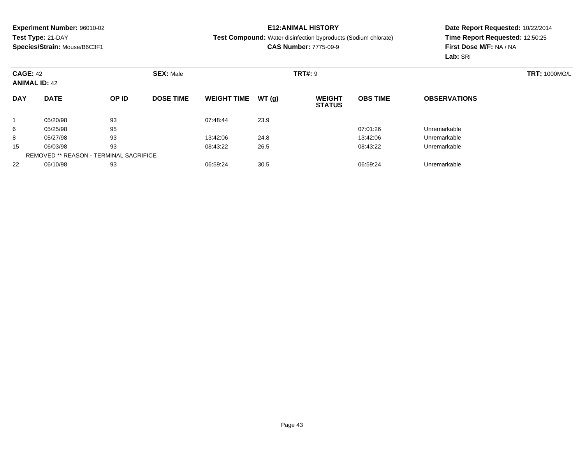## **E12:ANIMAL HISTORY**

**Test Compound:** Water disinfection byproducts (Sodium chlorate)

**CAS Number:** 7775-09-9

|            | <b>CAGE: 42</b><br><b>ANIMAL ID: 42</b>       |       | <b>SEX: Male</b> |                    |       |                                | <b>TRT#: 9</b>  |                     |  |  |  |
|------------|-----------------------------------------------|-------|------------------|--------------------|-------|--------------------------------|-----------------|---------------------|--|--|--|
| <b>DAY</b> | <b>DATE</b>                                   | OP ID | <b>DOSE TIME</b> | <b>WEIGHT TIME</b> | WT(g) | <b>WEIGHT</b><br><b>STATUS</b> | <b>OBS TIME</b> | <b>OBSERVATIONS</b> |  |  |  |
|            | 05/20/98                                      | 93    |                  | 07:48:44           | 23.9  |                                |                 |                     |  |  |  |
| 6          | 05/25/98                                      | 95    |                  |                    |       |                                | 07:01:26        | Unremarkable        |  |  |  |
| 8          | 05/27/98                                      | 93    |                  | 13:42:06           | 24.8  |                                | 13:42:06        | Unremarkable        |  |  |  |
| 15         | 06/03/98                                      | 93    |                  | 08:43:22           | 26.5  |                                | 08:43:22        | Unremarkable        |  |  |  |
|            | <b>REMOVED ** REASON - TERMINAL SACRIFICE</b> |       |                  |                    |       |                                |                 |                     |  |  |  |
| 22         | 06/10/98                                      | 93    |                  | 06:59:24           | 30.5  |                                | 06:59:24        | Unremarkable        |  |  |  |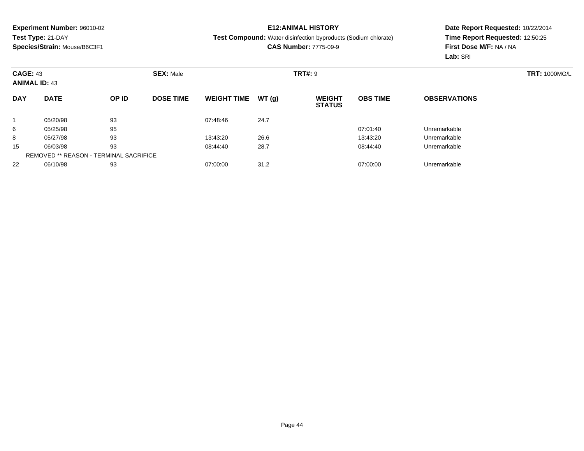## **E12:ANIMAL HISTORY**

#### **Test Compound:** Water disinfection byproducts (Sodium chlorate)

**CAS Number:** 7775-09-9

| <b>CAGE: 43</b><br><b>ANIMAL ID: 43</b> |                                               |       | <b>SEX: Male</b> |                    |       | <b>TRT#: 9</b>                 |                 |                     | <b>TRT: 1000MG/L</b> |
|-----------------------------------------|-----------------------------------------------|-------|------------------|--------------------|-------|--------------------------------|-----------------|---------------------|----------------------|
| <b>DAY</b>                              | <b>DATE</b>                                   | OP ID | <b>DOSE TIME</b> | <b>WEIGHT TIME</b> | WT(g) | <b>WEIGHT</b><br><b>STATUS</b> | <b>OBS TIME</b> | <b>OBSERVATIONS</b> |                      |
|                                         | 05/20/98                                      | 93    |                  | 07:48:46           | 24.7  |                                |                 |                     |                      |
| 6                                       | 05/25/98                                      | 95    |                  |                    |       |                                | 07:01:40        | Unremarkable        |                      |
| 8                                       | 05/27/98                                      | 93    |                  | 13:43:20           | 26.6  |                                | 13:43:20        | Unremarkable        |                      |
| 15                                      | 06/03/98                                      | 93    |                  | 08:44:40           | 28.7  |                                | 08:44:40        | Unremarkable        |                      |
|                                         | <b>REMOVED ** REASON - TERMINAL SACRIFICE</b> |       |                  |                    |       |                                |                 |                     |                      |
| 22                                      | 06/10/98                                      | 93    |                  | 07:00:00           | 31.2  |                                | 07:00:00        | Unremarkable        |                      |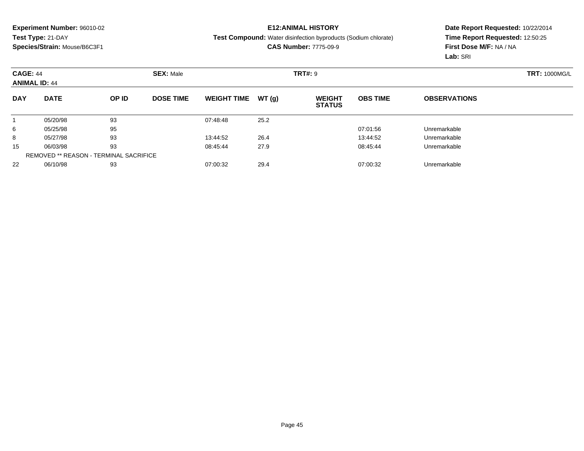### **E12:ANIMAL HISTORY**

#### **Test Compound:** Water disinfection byproducts (Sodium chlorate)

**CAS Number:** 7775-09-9

|            | <b>CAGE: 44</b><br><b>ANIMAL ID: 44</b>       |       | <b>SEX: Male</b> |                    |       |                                | <b>TRT#: 9</b>  |                     |  |  |
|------------|-----------------------------------------------|-------|------------------|--------------------|-------|--------------------------------|-----------------|---------------------|--|--|
| <b>DAY</b> | <b>DATE</b>                                   | OP ID | <b>DOSE TIME</b> | <b>WEIGHT TIME</b> | WT(g) | <b>WEIGHT</b><br><b>STATUS</b> | <b>OBS TIME</b> | <b>OBSERVATIONS</b> |  |  |
|            | 05/20/98                                      | 93    |                  | 07:48:48           | 25.2  |                                |                 |                     |  |  |
| 6          | 05/25/98                                      | 95    |                  |                    |       |                                | 07:01:56        | Unremarkable        |  |  |
| 8          | 05/27/98                                      | 93    |                  | 13:44:52           | 26.4  |                                | 13:44:52        | Unremarkable        |  |  |
| 15         | 06/03/98                                      | 93    |                  | 08:45:44           | 27.9  |                                | 08:45:44        | Unremarkable        |  |  |
|            | <b>REMOVED ** REASON - TERMINAL SACRIFICE</b> |       |                  |                    |       |                                |                 |                     |  |  |
| 22         | 06/10/98                                      | 93    |                  | 07:00:32           | 29.4  |                                | 07:00:32        | Unremarkable        |  |  |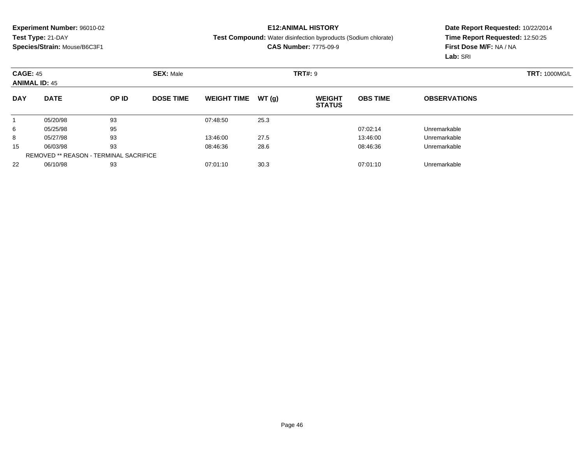## **E12:ANIMAL HISTORY**

#### **Test Compound:** Water disinfection byproducts (Sodium chlorate)

**CAS Number:** 7775-09-9

| <b>CAGE: 45</b><br><b>ANIMAL ID: 45</b> |                                               |       | <b>SEX: Male</b> |                    |       |                                | <b>TRT#: 9</b>  |                     |  |  |
|-----------------------------------------|-----------------------------------------------|-------|------------------|--------------------|-------|--------------------------------|-----------------|---------------------|--|--|
| <b>DAY</b>                              | <b>DATE</b>                                   | OP ID | <b>DOSE TIME</b> | <b>WEIGHT TIME</b> | WT(g) | <b>WEIGHT</b><br><b>STATUS</b> | <b>OBS TIME</b> | <b>OBSERVATIONS</b> |  |  |
|                                         | 05/20/98                                      | 93    |                  | 07:48:50           | 25.3  |                                |                 |                     |  |  |
| 6                                       | 05/25/98                                      | 95    |                  |                    |       |                                | 07:02:14        | Unremarkable        |  |  |
| 8                                       | 05/27/98                                      | 93    |                  | 13:46:00           | 27.5  |                                | 13:46:00        | Unremarkable        |  |  |
| 15                                      | 06/03/98                                      | 93    |                  | 08:46:36           | 28.6  |                                | 08:46:36        | Unremarkable        |  |  |
|                                         | <b>REMOVED ** REASON - TERMINAL SACRIFICE</b> |       |                  |                    |       |                                |                 |                     |  |  |
| 22                                      | 06/10/98                                      | 93    |                  | 07:01:10           | 30.3  |                                | 07:01:10        | Unremarkable        |  |  |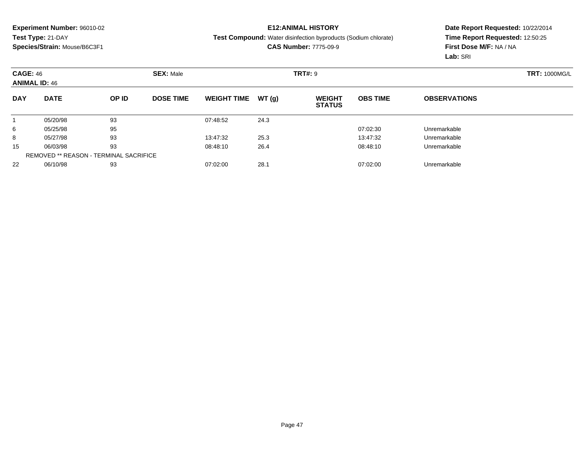### **E12:ANIMAL HISTORY**

**Test Compound:** Water disinfection byproducts (Sodium chlorate)

**CAS Number:** 7775-09-9

|            | <b>CAGE: 46</b><br><b>ANIMAL ID: 46</b>       |       | <b>SEX: Male</b> |                    |       | <b>TRT#: 9</b>                 |                 |                     |  |  |  |
|------------|-----------------------------------------------|-------|------------------|--------------------|-------|--------------------------------|-----------------|---------------------|--|--|--|
| <b>DAY</b> | <b>DATE</b>                                   | OP ID | <b>DOSE TIME</b> | <b>WEIGHT TIME</b> | WT(g) | <b>WEIGHT</b><br><b>STATUS</b> | <b>OBS TIME</b> | <b>OBSERVATIONS</b> |  |  |  |
|            | 05/20/98                                      | 93    |                  | 07:48:52           | 24.3  |                                |                 |                     |  |  |  |
| 6          | 05/25/98                                      | 95    |                  |                    |       |                                | 07:02:30        | Unremarkable        |  |  |  |
| 8          | 05/27/98                                      | 93    |                  | 13:47:32           | 25.3  |                                | 13:47:32        | Unremarkable        |  |  |  |
| 15         | 06/03/98                                      | 93    |                  | 08:48:10           | 26.4  |                                | 08:48:10        | Unremarkable        |  |  |  |
|            | <b>REMOVED ** REASON - TERMINAL SACRIFICE</b> |       |                  |                    |       |                                |                 |                     |  |  |  |
| 22         | 06/10/98                                      | 93    |                  | 07:02:00           | 28.1  |                                | 07:02:00        | Unremarkable        |  |  |  |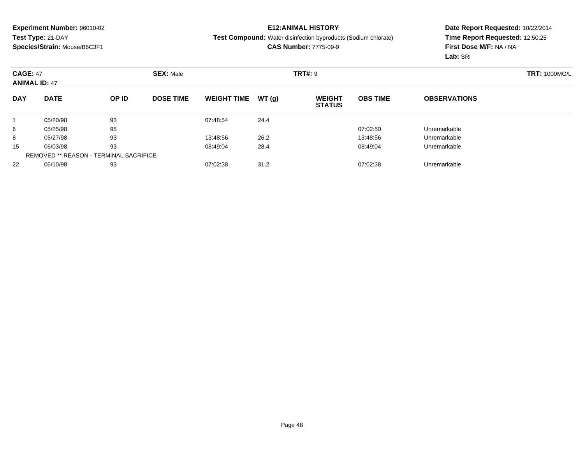## **E12:ANIMAL HISTORY**

**Test Compound:** Water disinfection byproducts (Sodium chlorate)

**CAS Number:** 7775-09-9

|            | <b>CAGE: 47</b><br><b>ANIMAL ID: 47</b>       |       | <b>SEX: Male</b> |                    |       |                                | <b>TRT#: 9</b>  |                     |  |  |
|------------|-----------------------------------------------|-------|------------------|--------------------|-------|--------------------------------|-----------------|---------------------|--|--|
| <b>DAY</b> | <b>DATE</b>                                   | OP ID | <b>DOSE TIME</b> | <b>WEIGHT TIME</b> | WT(g) | <b>WEIGHT</b><br><b>STATUS</b> | <b>OBS TIME</b> | <b>OBSERVATIONS</b> |  |  |
|            | 05/20/98                                      | 93    |                  | 07:48:54           | 24.4  |                                |                 |                     |  |  |
| 6          | 05/25/98                                      | 95    |                  |                    |       |                                | 07:02:50        | Unremarkable        |  |  |
| 8          | 05/27/98                                      | 93    |                  | 13:48:56           | 26.2  |                                | 13:48:56        | Unremarkable        |  |  |
| 15         | 06/03/98                                      | 93    |                  | 08:49:04           | 28.4  |                                | 08:49:04        | Unremarkable        |  |  |
|            | <b>REMOVED ** REASON - TERMINAL SACRIFICE</b> |       |                  |                    |       |                                |                 |                     |  |  |
| 22         | 06/10/98                                      | 93    |                  | 07:02:38           | 31.2  |                                | 07:02:38        | Unremarkable        |  |  |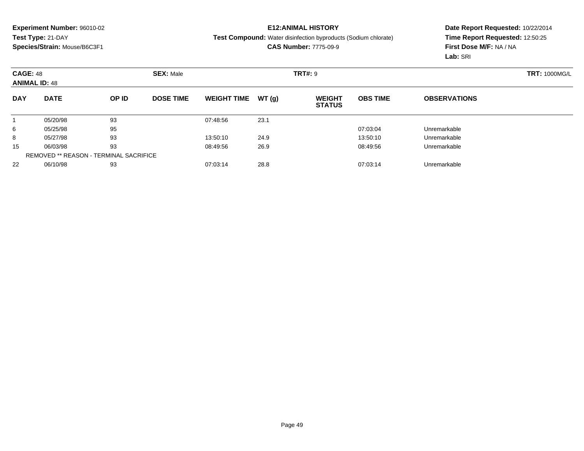### **E12:ANIMAL HISTORY**

#### **Test Compound:** Water disinfection byproducts (Sodium chlorate)

**CAS Number:** 7775-09-9

|            | <b>CAGE: 48</b><br><b>ANIMAL ID: 48</b>       |       | <b>SEX: Male</b> |                    |       | <b>TRT#: 9</b>                 |                 |                     | <b>TRT: 1000MG/L</b> |
|------------|-----------------------------------------------|-------|------------------|--------------------|-------|--------------------------------|-----------------|---------------------|----------------------|
| <b>DAY</b> | <b>DATE</b>                                   | OP ID | <b>DOSE TIME</b> | <b>WEIGHT TIME</b> | WT(g) | <b>WEIGHT</b><br><b>STATUS</b> | <b>OBS TIME</b> | <b>OBSERVATIONS</b> |                      |
|            | 05/20/98                                      | 93    |                  | 07:48:56           | 23.1  |                                |                 |                     |                      |
| 6          | 05/25/98                                      | 95    |                  |                    |       |                                | 07:03:04        | Unremarkable        |                      |
| 8          | 05/27/98                                      | 93    |                  | 13:50:10           | 24.9  |                                | 13:50:10        | Unremarkable        |                      |
| 15         | 06/03/98                                      | 93    |                  | 08:49:56           | 26.9  |                                | 08:49:56        | Unremarkable        |                      |
|            | <b>REMOVED ** REASON - TERMINAL SACRIFICE</b> |       |                  |                    |       |                                |                 |                     |                      |
| 22         | 06/10/98                                      | 93    |                  | 07:03:14           | 28.8  |                                | 07:03:14        | Unremarkable        |                      |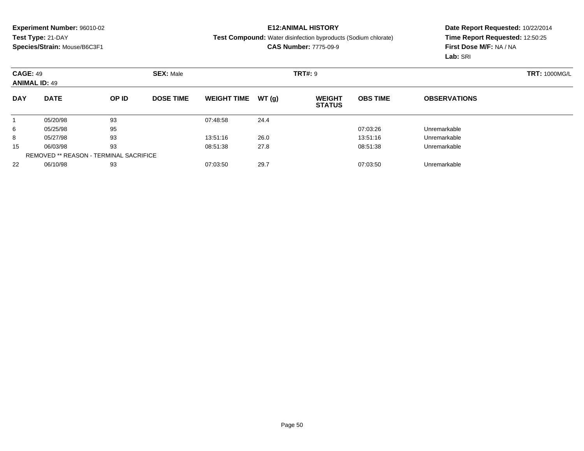### **E12:ANIMAL HISTORY**

#### **Test Compound:** Water disinfection byproducts (Sodium chlorate)

**CAS Number:** 7775-09-9

|            | <b>CAGE: 49</b><br><b>ANIMAL ID: 49</b>       |       | <b>SEX: Male</b> |                    |       | <b>TRT#: 9</b>                 |                 |                     | <b>TRT: 1000MG/L</b> |
|------------|-----------------------------------------------|-------|------------------|--------------------|-------|--------------------------------|-----------------|---------------------|----------------------|
| <b>DAY</b> | <b>DATE</b>                                   | OP ID | <b>DOSE TIME</b> | <b>WEIGHT TIME</b> | WT(g) | <b>WEIGHT</b><br><b>STATUS</b> | <b>OBS TIME</b> | <b>OBSERVATIONS</b> |                      |
|            | 05/20/98                                      | 93    |                  | 07:48:58           | 24.4  |                                |                 |                     |                      |
| 6          | 05/25/98                                      | 95    |                  |                    |       |                                | 07:03:26        | Unremarkable        |                      |
| 8          | 05/27/98                                      | 93    |                  | 13:51:16           | 26.0  |                                | 13:51:16        | Unremarkable        |                      |
| 15         | 06/03/98                                      | 93    |                  | 08:51:38           | 27.8  |                                | 08:51:38        | Unremarkable        |                      |
|            | <b>REMOVED ** REASON - TERMINAL SACRIFICE</b> |       |                  |                    |       |                                |                 |                     |                      |
| 22         | 06/10/98                                      | 93    |                  | 07:03:50           | 29.7  |                                | 07:03:50        | Unremarkable        |                      |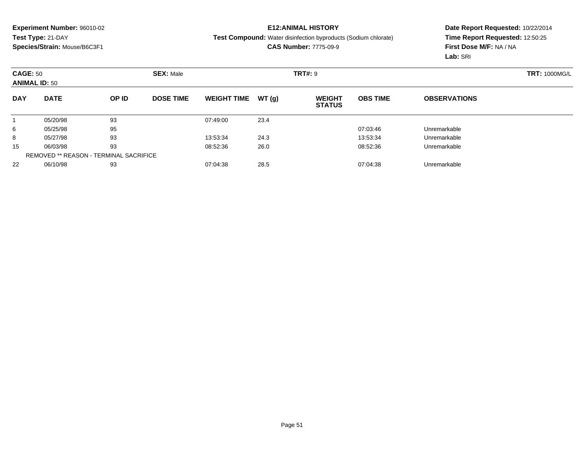## **E12:ANIMAL HISTORY**

#### **Test Compound:** Water disinfection byproducts (Sodium chlorate)

**CAS Number:** 7775-09-9

|            | <b>CAGE: 50</b><br><b>ANIMAL ID: 50</b>       |       | <b>SEX: Male</b> |                    |       | <b>TRT#: 9</b>                 |                 | <b>TRT: 1000MG/L</b> |  |
|------------|-----------------------------------------------|-------|------------------|--------------------|-------|--------------------------------|-----------------|----------------------|--|
| <b>DAY</b> | <b>DATE</b>                                   | OP ID | <b>DOSE TIME</b> | <b>WEIGHT TIME</b> | WT(g) | <b>WEIGHT</b><br><b>STATUS</b> | <b>OBS TIME</b> | <b>OBSERVATIONS</b>  |  |
|            | 05/20/98                                      | 93    |                  | 07:49:00           | 23.4  |                                |                 |                      |  |
| 6          | 05/25/98                                      | 95    |                  |                    |       |                                | 07:03:46        | Unremarkable         |  |
| 8          | 05/27/98                                      | 93    |                  | 13:53:34           | 24.3  |                                | 13:53:34        | Unremarkable         |  |
| 15         | 06/03/98                                      | 93    |                  | 08:52:36           | 26.0  |                                | 08:52:36        | Unremarkable         |  |
|            | <b>REMOVED ** REASON - TERMINAL SACRIFICE</b> |       |                  |                    |       |                                |                 |                      |  |
| 22         | 06/10/98                                      | 93    |                  | 07:04:38           | 28.5  |                                | 07:04:38        | Unremarkable         |  |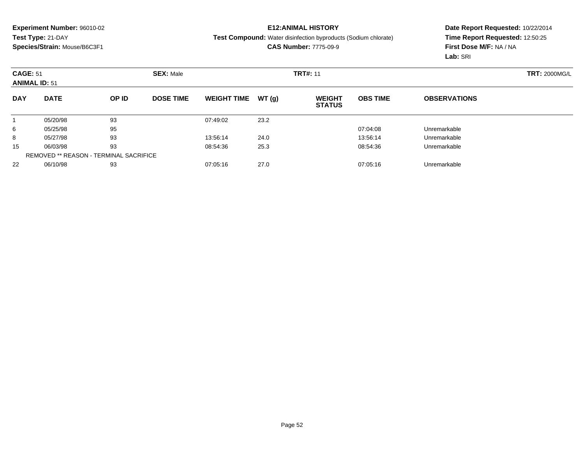## **E12:ANIMAL HISTORY**

#### **Test Compound:** Water disinfection byproducts (Sodium chlorate)

**CAS Number:** 7775-09-9

| <b>CAGE: 51</b><br><b>ANIMAL ID: 51</b> |                                               |       | <b>SEX: Male</b> |                    |        | <b>TRT#: 11</b>                |                 | <b>TRT: 2000MG/L</b> |  |
|-----------------------------------------|-----------------------------------------------|-------|------------------|--------------------|--------|--------------------------------|-----------------|----------------------|--|
| <b>DAY</b>                              | <b>DATE</b>                                   | OP ID | <b>DOSE TIME</b> | <b>WEIGHT TIME</b> | WT (q) | <b>WEIGHT</b><br><b>STATUS</b> | <b>OBS TIME</b> | <b>OBSERVATIONS</b>  |  |
|                                         | 05/20/98                                      | 93    |                  | 07:49:02           | 23.2   |                                |                 |                      |  |
| 6                                       | 05/25/98                                      | 95    |                  |                    |        |                                | 07:04:08        | Unremarkable         |  |
| 8                                       | 05/27/98                                      | 93    |                  | 13:56:14           | 24.0   |                                | 13:56:14        | Unremarkable         |  |
| 15                                      | 06/03/98                                      | 93    |                  | 08:54:36           | 25.3   |                                | 08:54:36        | Unremarkable         |  |
|                                         | <b>REMOVED ** REASON - TERMINAL SACRIFICE</b> |       |                  |                    |        |                                |                 |                      |  |
| 22                                      | 06/10/98                                      | 93    |                  | 07:05:16           | 27.0   |                                | 07:05:16        | Unremarkable         |  |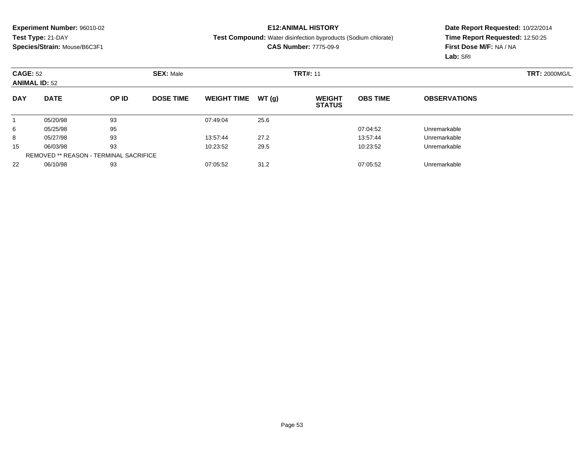## **E12:ANIMAL HISTORY**

#### **Test Compound:** Water disinfection byproducts (Sodium chlorate)

**CAS Number:** 7775-09-9

|            | <b>CAGE: 52</b><br><b>ANIMAL ID: 52</b>       |       | <b>SEX: Male</b> |                    |       | <b>TRT#: 11</b>                |                 | <b>TRT: 2000MG/L</b> |  |
|------------|-----------------------------------------------|-------|------------------|--------------------|-------|--------------------------------|-----------------|----------------------|--|
| <b>DAY</b> | <b>DATE</b>                                   | OP ID | <b>DOSE TIME</b> | <b>WEIGHT TIME</b> | WT(g) | <b>WEIGHT</b><br><b>STATUS</b> | <b>OBS TIME</b> | <b>OBSERVATIONS</b>  |  |
|            | 05/20/98                                      | 93    |                  | 07:49:04           | 25.6  |                                |                 |                      |  |
| 6          | 05/25/98                                      | 95    |                  |                    |       |                                | 07:04:52        | Unremarkable         |  |
| 8          | 05/27/98                                      | 93    |                  | 13:57:44           | 27.2  |                                | 13:57:44        | Unremarkable         |  |
| 15         | 06/03/98                                      | 93    |                  | 10:23:52           | 29.5  |                                | 10:23:52        | Unremarkable         |  |
|            | <b>REMOVED ** REASON - TERMINAL SACRIFICE</b> |       |                  |                    |       |                                |                 |                      |  |
| 22         | 06/10/98                                      | 93    |                  | 07:05:52           | 31.2  |                                | 07:05:52        | Unremarkable         |  |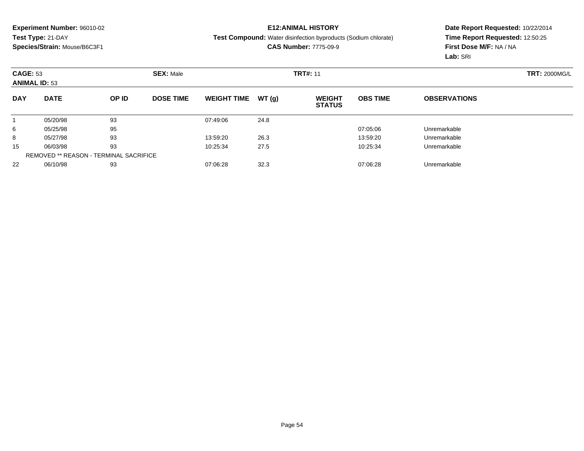## **E12:ANIMAL HISTORY**

#### **Test Compound:** Water disinfection byproducts (Sodium chlorate)

**CAS Number:** 7775-09-9

|            | <b>CAGE: 53</b><br><b>ANIMAL ID: 53</b>       |       | <b>SEX: Male</b> |                    |       | <b>TRT#: 11</b>                |                 | <b>TRT: 2000MG/L</b> |  |
|------------|-----------------------------------------------|-------|------------------|--------------------|-------|--------------------------------|-----------------|----------------------|--|
| <b>DAY</b> | <b>DATE</b>                                   | OP ID | <b>DOSE TIME</b> | <b>WEIGHT TIME</b> | WT(g) | <b>WEIGHT</b><br><b>STATUS</b> | <b>OBS TIME</b> | <b>OBSERVATIONS</b>  |  |
|            | 05/20/98                                      | 93    |                  | 07:49:06           | 24.8  |                                |                 |                      |  |
| 6          | 05/25/98                                      | 95    |                  |                    |       |                                | 07:05:06        | Unremarkable         |  |
| 8          | 05/27/98                                      | 93    |                  | 13:59:20           | 26.3  |                                | 13:59:20        | Unremarkable         |  |
| 15         | 06/03/98                                      | 93    |                  | 10:25:34           | 27.5  |                                | 10:25:34        | Unremarkable         |  |
|            | <b>REMOVED ** REASON - TERMINAL SACRIFICE</b> |       |                  |                    |       |                                |                 |                      |  |
| 22         | 06/10/98                                      | 93    |                  | 07:06:28           | 32.3  |                                | 07:06:28        | Unremarkable         |  |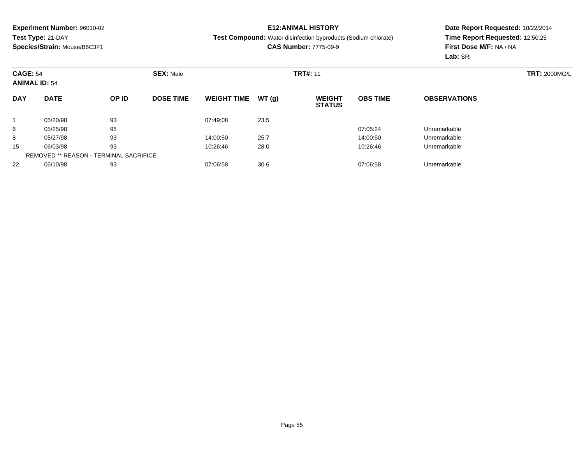## **E12:ANIMAL HISTORY**

**Test Compound:** Water disinfection byproducts (Sodium chlorate)

**CAS Number:** 7775-09-9

|            | <b>CAGE: 54</b><br><b>ANIMAL ID: 54</b>       |       | <b>SEX: Male</b> |                    |       | <b>TRT#: 11</b>                |                 | <b>TRT: 2000MG/L</b> |  |
|------------|-----------------------------------------------|-------|------------------|--------------------|-------|--------------------------------|-----------------|----------------------|--|
| <b>DAY</b> | <b>DATE</b>                                   | OP ID | <b>DOSE TIME</b> | <b>WEIGHT TIME</b> | WT(g) | <b>WEIGHT</b><br><b>STATUS</b> | <b>OBS TIME</b> | <b>OBSERVATIONS</b>  |  |
|            | 05/20/98                                      | 93    |                  | 07:49:08           | 23.5  |                                |                 |                      |  |
| 6          | 05/25/98                                      | 95    |                  |                    |       |                                | 07:05:24        | Unremarkable         |  |
| 8          | 05/27/98                                      | 93    |                  | 14:00:50           | 25.7  |                                | 14:00:50        | Unremarkable         |  |
| 15         | 06/03/98                                      | 93    |                  | 10:26:46           | 28.0  |                                | 10:26:46        | Unremarkable         |  |
|            | <b>REMOVED ** REASON - TERMINAL SACRIFICE</b> |       |                  |                    |       |                                |                 |                      |  |
| 22         | 06/10/98                                      | 93    |                  | 07:06:58           | 30.6  |                                | 07:06:58        | Unremarkable         |  |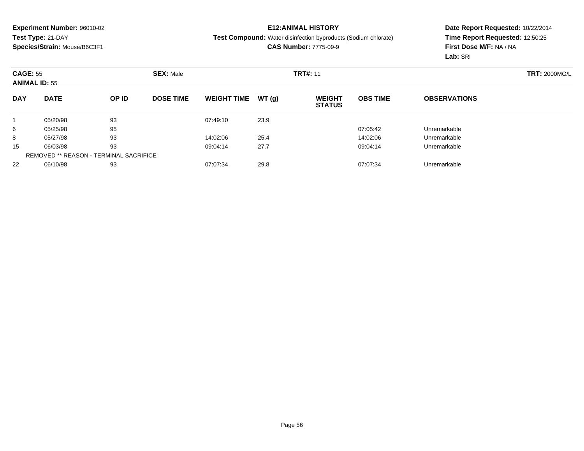## **E12:ANIMAL HISTORY**

**Test Compound:** Water disinfection byproducts (Sodium chlorate)

**CAS Number:** 7775-09-9

|            | <b>CAGE: 55</b><br><b>ANIMAL ID: 55</b>       |       | <b>SEX: Male</b> |                    |       |                                | <b>TRT#: 11</b> |                     |  |  |
|------------|-----------------------------------------------|-------|------------------|--------------------|-------|--------------------------------|-----------------|---------------------|--|--|
| <b>DAY</b> | <b>DATE</b>                                   | OP ID | <b>DOSE TIME</b> | <b>WEIGHT TIME</b> | WT(g) | <b>WEIGHT</b><br><b>STATUS</b> | <b>OBS TIME</b> | <b>OBSERVATIONS</b> |  |  |
|            | 05/20/98                                      | 93    |                  | 07:49:10           | 23.9  |                                |                 |                     |  |  |
| 6          | 05/25/98                                      | 95    |                  |                    |       |                                | 07:05:42        | Unremarkable        |  |  |
| 8          | 05/27/98                                      | 93    |                  | 14:02:06           | 25.4  |                                | 14:02:06        | Unremarkable        |  |  |
| 15         | 06/03/98                                      | 93    |                  | 09:04:14           | 27.7  |                                | 09:04:14        | Unremarkable        |  |  |
|            | <b>REMOVED ** REASON - TERMINAL SACRIFICE</b> |       |                  |                    |       |                                |                 |                     |  |  |
| 22         | 06/10/98                                      | 93    |                  | 07:07:34           | 29.8  |                                | 07:07:34        | Unremarkable        |  |  |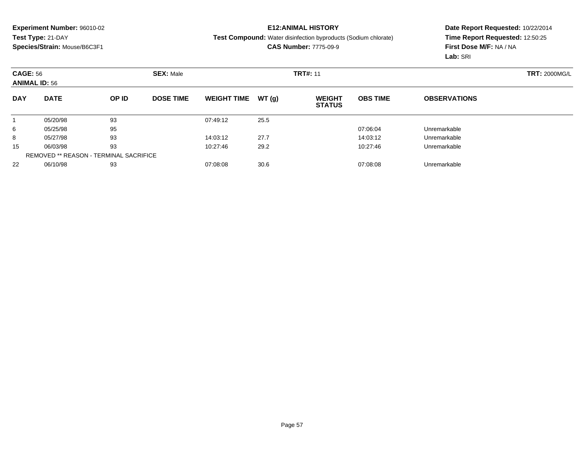## **E12:ANIMAL HISTORY**

**Test Compound:** Water disinfection byproducts (Sodium chlorate)

**CAS Number:** 7775-09-9

|            | <b>CAGE: 56</b><br><b>ANIMAL ID: 56</b>       |       | <b>SEX: Male</b> |                    |       |                                | <b>TRT#: 11</b> |                     |  |  |
|------------|-----------------------------------------------|-------|------------------|--------------------|-------|--------------------------------|-----------------|---------------------|--|--|
| <b>DAY</b> | <b>DATE</b>                                   | OP ID | <b>DOSE TIME</b> | <b>WEIGHT TIME</b> | WT(g) | <b>WEIGHT</b><br><b>STATUS</b> | <b>OBS TIME</b> | <b>OBSERVATIONS</b> |  |  |
|            | 05/20/98                                      | 93    |                  | 07:49:12           | 25.5  |                                |                 |                     |  |  |
| 6          | 05/25/98                                      | 95    |                  |                    |       |                                | 07:06:04        | Unremarkable        |  |  |
| 8          | 05/27/98                                      | 93    |                  | 14:03:12           | 27.7  |                                | 14:03:12        | Unremarkable        |  |  |
| 15         | 06/03/98                                      | 93    |                  | 10:27:46           | 29.2  |                                | 10:27:46        | Unremarkable        |  |  |
|            | <b>REMOVED ** REASON - TERMINAL SACRIFICE</b> |       |                  |                    |       |                                |                 |                     |  |  |
| 22         | 06/10/98                                      | 93    |                  | 07:08:08           | 30.6  |                                | 07:08:08        | Unremarkable        |  |  |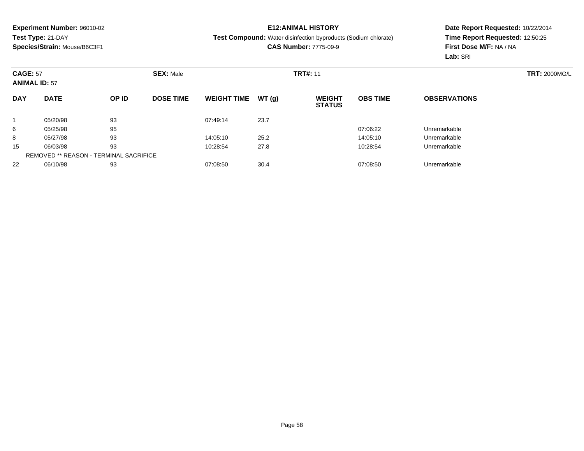## **E12:ANIMAL HISTORY**

#### **Test Compound:** Water disinfection byproducts (Sodium chlorate)

**CAS Number:** 7775-09-9

| <b>CAGE: 57</b><br><b>ANIMAL ID: 57</b> |                                               |       | <b>SEX: Male</b> |                    |        | <b>TRT#: 11</b>                |                 | <b>TRT: 2000MG/L</b> |  |
|-----------------------------------------|-----------------------------------------------|-------|------------------|--------------------|--------|--------------------------------|-----------------|----------------------|--|
| <b>DAY</b>                              | <b>DATE</b>                                   | OP ID | <b>DOSE TIME</b> | <b>WEIGHT TIME</b> | WT (q) | <b>WEIGHT</b><br><b>STATUS</b> | <b>OBS TIME</b> | <b>OBSERVATIONS</b>  |  |
|                                         | 05/20/98                                      | 93    |                  | 07:49:14           | 23.7   |                                |                 |                      |  |
| 6                                       | 05/25/98                                      | 95    |                  |                    |        |                                | 07:06:22        | Unremarkable         |  |
| 8                                       | 05/27/98                                      | 93    |                  | 14:05:10           | 25.2   |                                | 14:05:10        | Unremarkable         |  |
| 15                                      | 06/03/98                                      | 93    |                  | 10:28:54           | 27.8   |                                | 10:28:54        | Unremarkable         |  |
|                                         | <b>REMOVED ** REASON - TERMINAL SACRIFICE</b> |       |                  |                    |        |                                |                 |                      |  |
| 22                                      | 06/10/98                                      | 93    |                  | 07:08:50           | 30.4   |                                | 07:08:50        | Unremarkable         |  |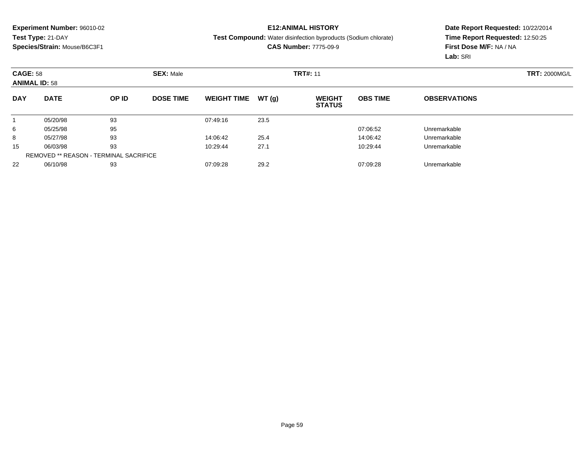## **E12:ANIMAL HISTORY**

**Test Compound:** Water disinfection byproducts (Sodium chlorate)

**CAS Number:** 7775-09-9

| <b>CAGE: 58</b><br><b>ANIMAL ID: 58</b> |                                               |       | <b>SEX: Male</b> |                    |       |                                | <b>TRT#: 11</b> |                     |  |  |
|-----------------------------------------|-----------------------------------------------|-------|------------------|--------------------|-------|--------------------------------|-----------------|---------------------|--|--|
| <b>DAY</b>                              | <b>DATE</b>                                   | OP ID | <b>DOSE TIME</b> | <b>WEIGHT TIME</b> | WT(g) | <b>WEIGHT</b><br><b>STATUS</b> | <b>OBS TIME</b> | <b>OBSERVATIONS</b> |  |  |
|                                         | 05/20/98                                      | 93    |                  | 07:49:16           | 23.5  |                                |                 |                     |  |  |
| 6                                       | 05/25/98                                      | 95    |                  |                    |       |                                | 07:06:52        | Unremarkable        |  |  |
| 8                                       | 05/27/98                                      | 93    |                  | 14:06:42           | 25.4  |                                | 14:06:42        | Unremarkable        |  |  |
| 15                                      | 06/03/98                                      | 93    |                  | 10:29:44           | 27.1  |                                | 10:29:44        | Unremarkable        |  |  |
|                                         | <b>REMOVED ** REASON - TERMINAL SACRIFICE</b> |       |                  |                    |       |                                |                 |                     |  |  |
| 22                                      | 06/10/98                                      | 93    |                  | 07:09:28           | 29.2  |                                | 07:09:28        | Unremarkable        |  |  |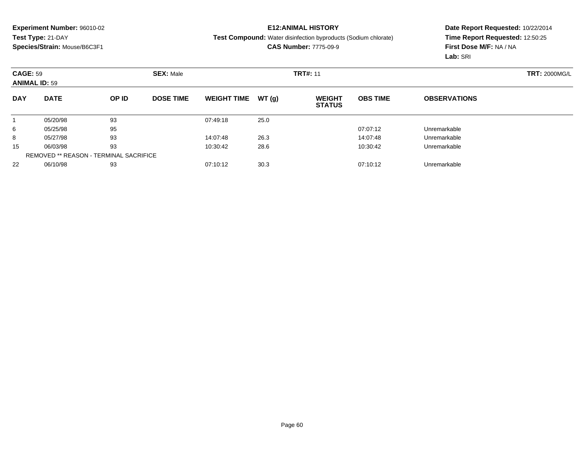## **E12:ANIMAL HISTORY**

**Test Compound:** Water disinfection byproducts (Sodium chlorate)

**CAS Number:** 7775-09-9

| <b>CAGE: 59</b><br><b>ANIMAL ID: 59</b> |                                               |       | <b>SEX: Male</b> |                    |       |                                | <b>TRT#: 11</b> |                     |  |  |
|-----------------------------------------|-----------------------------------------------|-------|------------------|--------------------|-------|--------------------------------|-----------------|---------------------|--|--|
| <b>DAY</b>                              | <b>DATE</b>                                   | OP ID | <b>DOSE TIME</b> | <b>WEIGHT TIME</b> | WT(g) | <b>WEIGHT</b><br><b>STATUS</b> | <b>OBS TIME</b> | <b>OBSERVATIONS</b> |  |  |
|                                         | 05/20/98                                      | 93    |                  | 07:49:18           | 25.0  |                                |                 |                     |  |  |
| 6                                       | 05/25/98                                      | 95    |                  |                    |       |                                | 07:07:12        | Unremarkable        |  |  |
| 8                                       | 05/27/98                                      | 93    |                  | 14:07:48           | 26.3  |                                | 14:07:48        | Unremarkable        |  |  |
| 15                                      | 06/03/98                                      | 93    |                  | 10:30:42           | 28.6  |                                | 10:30:42        | Unremarkable        |  |  |
|                                         | <b>REMOVED ** REASON - TERMINAL SACRIFICE</b> |       |                  |                    |       |                                |                 |                     |  |  |
| 22                                      | 06/10/98                                      | 93    |                  | 07:10:12           | 30.3  |                                | 07:10:12        | Unremarkable        |  |  |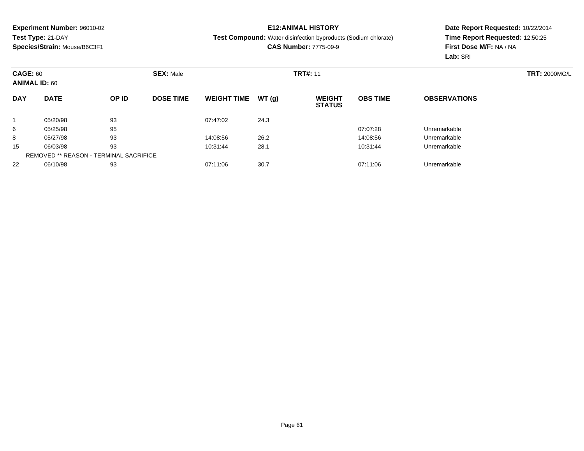## **E12:ANIMAL HISTORY**

**Test Compound:** Water disinfection byproducts (Sodium chlorate)

**CAS Number:** 7775-09-9

|            | <b>CAGE: 60</b><br><b>ANIMAL ID: 60</b>       |       | <b>SEX: Male</b> |                    |       | <b>TRT#: 11</b>                |                 | <b>TRT: 2000MG/L</b> |  |
|------------|-----------------------------------------------|-------|------------------|--------------------|-------|--------------------------------|-----------------|----------------------|--|
| <b>DAY</b> | <b>DATE</b>                                   | OP ID | <b>DOSE TIME</b> | <b>WEIGHT TIME</b> | WT(g) | <b>WEIGHT</b><br><b>STATUS</b> | <b>OBS TIME</b> | <b>OBSERVATIONS</b>  |  |
|            | 05/20/98                                      | 93    |                  | 07:47:02           | 24.3  |                                |                 |                      |  |
| 6          | 05/25/98                                      | 95    |                  |                    |       |                                | 07:07:28        | Unremarkable         |  |
| 8          | 05/27/98                                      | 93    |                  | 14:08:56           | 26.2  |                                | 14:08:56        | Unremarkable         |  |
| 15         | 06/03/98                                      | 93    |                  | 10:31:44           | 28.1  |                                | 10:31:44        | Unremarkable         |  |
|            | <b>REMOVED ** REASON - TERMINAL SACRIFICE</b> |       |                  |                    |       |                                |                 |                      |  |
| 22         | 06/10/98                                      | 93    |                  | 07:11:06           | 30.7  |                                | 07:11:06        | Unremarkable         |  |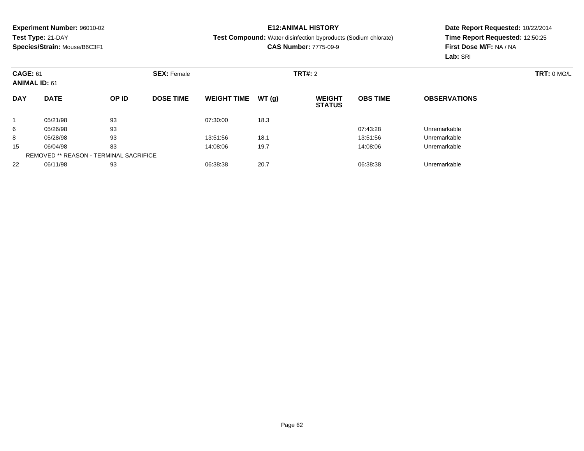## **E12:ANIMAL HISTORY**

**Test Compound:** Water disinfection byproducts (Sodium chlorate)

**CAS Number:** 7775-09-9

|            | <b>CAGE: 61</b><br><b>ANIMAL ID: 61</b>       |       | <b>SEX: Female</b> |                    |       | TRT#: 2                        | TRT: 0 MGL      |                     |  |
|------------|-----------------------------------------------|-------|--------------------|--------------------|-------|--------------------------------|-----------------|---------------------|--|
| <b>DAY</b> | <b>DATE</b>                                   | OP ID | <b>DOSE TIME</b>   | <b>WEIGHT TIME</b> | WT(g) | <b>WEIGHT</b><br><b>STATUS</b> | <b>OBS TIME</b> | <b>OBSERVATIONS</b> |  |
|            | 05/21/98                                      | 93    |                    | 07:30:00           | 18.3  |                                |                 |                     |  |
| 6          | 05/26/98                                      | 93    |                    |                    |       |                                | 07:43:28        | Unremarkable        |  |
| 8          | 05/28/98                                      | 93    |                    | 13:51:56           | 18.1  |                                | 13:51:56        | Unremarkable        |  |
| 15         | 06/04/98                                      | 83    |                    | 14:08:06           | 19.7  |                                | 14:08:06        | Unremarkable        |  |
|            | <b>REMOVED ** REASON - TERMINAL SACRIFICE</b> |       |                    |                    |       |                                |                 |                     |  |
| 22         | 06/11/98                                      | 93    |                    | 06:38:38           | 20.7  |                                | 06:38:38        | Unremarkable        |  |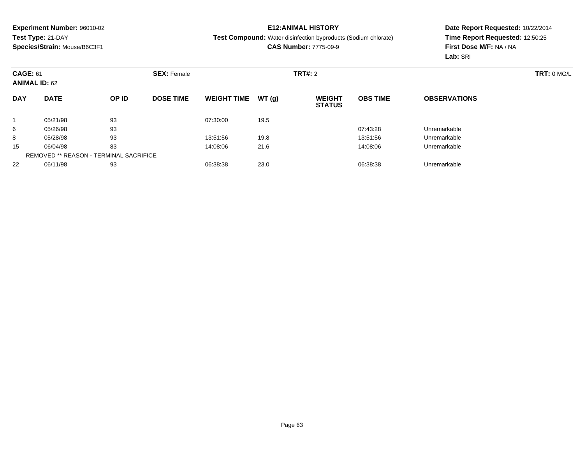## **E12:ANIMAL HISTORY**

#### **Test Compound:** Water disinfection byproducts (Sodium chlorate)

**CAS Number:** 7775-09-9

| <b>CAGE: 61</b><br><b>ANIMAL ID: 62</b> |                                               |       | <b>SEX: Female</b> |                    | TRT#: 2 |                                |                 | TRT: 0 MG/L         |  |
|-----------------------------------------|-----------------------------------------------|-------|--------------------|--------------------|---------|--------------------------------|-----------------|---------------------|--|
| <b>DAY</b>                              | <b>DATE</b>                                   | OP ID | <b>DOSE TIME</b>   | <b>WEIGHT TIME</b> | WT(g)   | <b>WEIGHT</b><br><b>STATUS</b> | <b>OBS TIME</b> | <b>OBSERVATIONS</b> |  |
|                                         | 05/21/98                                      | 93    |                    | 07:30:00           | 19.5    |                                |                 |                     |  |
| 6                                       | 05/26/98                                      | 93    |                    |                    |         |                                | 07:43:28        | Unremarkable        |  |
| 8                                       | 05/28/98                                      | 93    |                    | 13:51:56           | 19.8    |                                | 13:51:56        | Unremarkable        |  |
| 15                                      | 06/04/98                                      | 83    |                    | 14:08:06           | 21.6    |                                | 14:08:06        | Unremarkable        |  |
|                                         | <b>REMOVED ** REASON - TERMINAL SACRIFICE</b> |       |                    |                    |         |                                |                 |                     |  |
| 22                                      | 06/11/98                                      | 93    |                    | 06:38:38           | 23.0    |                                | 06:38:38        | Unremarkable        |  |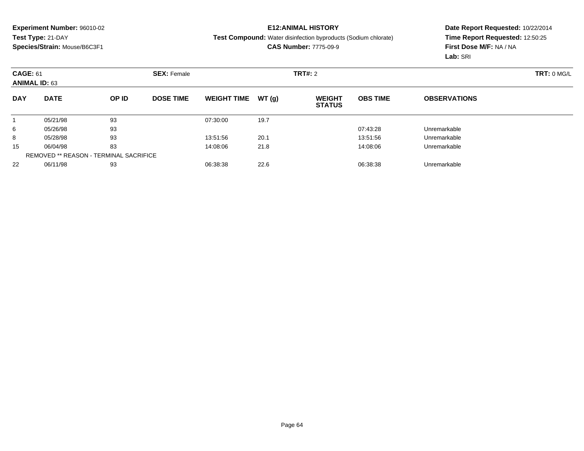## **E12:ANIMAL HISTORY**

**Test Compound:** Water disinfection byproducts (Sodium chlorate)

**CAS Number:** 7775-09-9

| <b>CAGE: 61</b><br><b>ANIMAL ID: 63</b> |                                               |       | <b>SEX: Female</b> |                    |       | TRT#: 2                        |                 | TRT: 0 MG/L         |  |
|-----------------------------------------|-----------------------------------------------|-------|--------------------|--------------------|-------|--------------------------------|-----------------|---------------------|--|
| <b>DAY</b>                              | <b>DATE</b>                                   | OP ID | <b>DOSE TIME</b>   | <b>WEIGHT TIME</b> | WT(g) | <b>WEIGHT</b><br><b>STATUS</b> | <b>OBS TIME</b> | <b>OBSERVATIONS</b> |  |
|                                         | 05/21/98                                      | 93    |                    | 07:30:00           | 19.7  |                                |                 |                     |  |
| 6                                       | 05/26/98                                      | 93    |                    |                    |       |                                | 07:43:28        | Unremarkable        |  |
| 8                                       | 05/28/98                                      | 93    |                    | 13:51:56           | 20.1  |                                | 13:51:56        | Unremarkable        |  |
| 15                                      | 06/04/98                                      | 83    |                    | 14:08:06           | 21.8  |                                | 14:08:06        | Unremarkable        |  |
|                                         | <b>REMOVED ** REASON - TERMINAL SACRIFICE</b> |       |                    |                    |       |                                |                 |                     |  |
| 22                                      | 06/11/98                                      | 93    |                    | 06:38:38           | 22.6  |                                | 06:38:38        | Unremarkable        |  |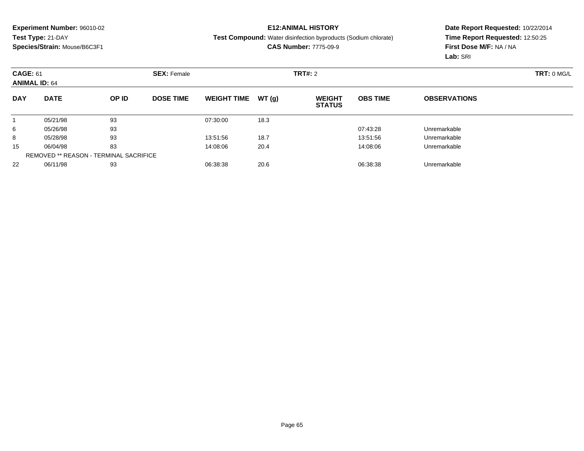## **E12:ANIMAL HISTORY**

**Test Compound:** Water disinfection byproducts (Sodium chlorate)

**CAS Number:** 7775-09-9

| <b>CAGE: 61</b><br><b>ANIMAL ID: 64</b> |                                               |       | <b>SEX: Female</b> |                    |       | TRT#: 2                        | TRT: 0 MGL      |                     |  |
|-----------------------------------------|-----------------------------------------------|-------|--------------------|--------------------|-------|--------------------------------|-----------------|---------------------|--|
| <b>DAY</b>                              | <b>DATE</b>                                   | OP ID | <b>DOSE TIME</b>   | <b>WEIGHT TIME</b> | WT(g) | <b>WEIGHT</b><br><b>STATUS</b> | <b>OBS TIME</b> | <b>OBSERVATIONS</b> |  |
|                                         | 05/21/98                                      | 93    |                    | 07:30:00           | 18.3  |                                |                 |                     |  |
| 6                                       | 05/26/98                                      | 93    |                    |                    |       |                                | 07:43:28        | Unremarkable        |  |
| 8                                       | 05/28/98                                      | 93    |                    | 13:51:56           | 18.7  |                                | 13:51:56        | Unremarkable        |  |
| 15                                      | 06/04/98                                      | 83    |                    | 14:08:06           | 20.4  |                                | 14:08:06        | Unremarkable        |  |
|                                         | <b>REMOVED ** REASON - TERMINAL SACRIFICE</b> |       |                    |                    |       |                                |                 |                     |  |
| 22                                      | 06/11/98                                      | 93    |                    | 06:38:38           | 20.6  |                                | 06:38:38        | Unremarkable        |  |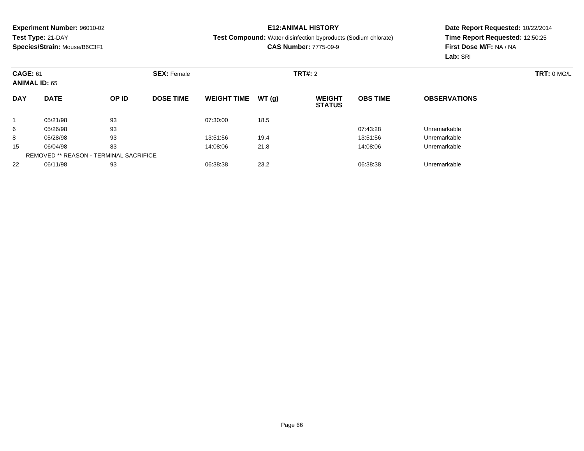## **E12:ANIMAL HISTORY**

**Test Compound:** Water disinfection byproducts (Sodium chlorate)

**CAS Number:** 7775-09-9

|            | <b>CAGE: 61</b><br><b>ANIMAL ID: 65</b>       |       | <b>SEX: Female</b> |                    |       | TRT#: 2                        | TRT: 0 MGL      |                     |  |
|------------|-----------------------------------------------|-------|--------------------|--------------------|-------|--------------------------------|-----------------|---------------------|--|
| <b>DAY</b> | <b>DATE</b>                                   | OP ID | <b>DOSE TIME</b>   | <b>WEIGHT TIME</b> | WT(g) | <b>WEIGHT</b><br><b>STATUS</b> | <b>OBS TIME</b> | <b>OBSERVATIONS</b> |  |
|            | 05/21/98                                      | 93    |                    | 07:30:00           | 18.5  |                                |                 |                     |  |
| 6          | 05/26/98                                      | 93    |                    |                    |       |                                | 07:43:28        | Unremarkable        |  |
| 8          | 05/28/98                                      | 93    |                    | 13:51:56           | 19.4  |                                | 13:51:56        | Unremarkable        |  |
| 15         | 06/04/98                                      | 83    |                    | 14:08:06           | 21.8  |                                | 14:08:06        | Unremarkable        |  |
|            | <b>REMOVED ** REASON - TERMINAL SACRIFICE</b> |       |                    |                    |       |                                |                 |                     |  |
| 22         | 06/11/98                                      | 93    |                    | 06:38:38           | 23.2  |                                | 06:38:38        | Unremarkable        |  |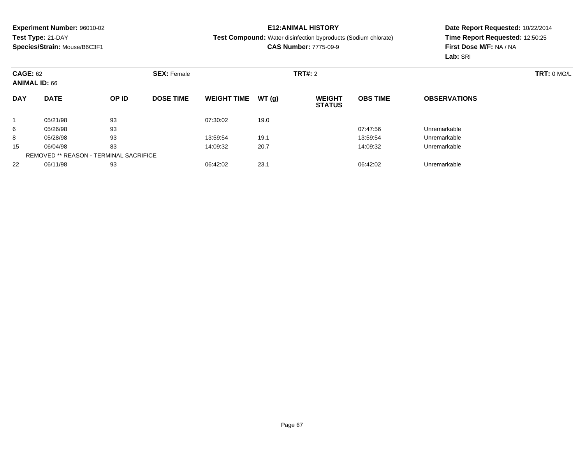## **E12:ANIMAL HISTORY**

#### **Test Compound:** Water disinfection byproducts (Sodium chlorate)

**CAS Number:** 7775-09-9

|            | <b>CAGE: 62</b><br><b>ANIMAL ID: 66</b>       |       | <b>SEX: Female</b> |                    |       | TRT#: 2                        | TRT: 0 MG/L     |                     |  |
|------------|-----------------------------------------------|-------|--------------------|--------------------|-------|--------------------------------|-----------------|---------------------|--|
| <b>DAY</b> | <b>DATE</b>                                   | OP ID | <b>DOSE TIME</b>   | <b>WEIGHT TIME</b> | WT(g) | <b>WEIGHT</b><br><b>STATUS</b> | <b>OBS TIME</b> | <b>OBSERVATIONS</b> |  |
|            | 05/21/98                                      | 93    |                    | 07:30:02           | 19.0  |                                |                 |                     |  |
| 6          | 05/26/98                                      | 93    |                    |                    |       |                                | 07:47:56        | Unremarkable        |  |
| 8          | 05/28/98                                      | 93    |                    | 13:59:54           | 19.1  |                                | 13:59:54        | Unremarkable        |  |
| 15         | 06/04/98                                      | 83    |                    | 14:09:32           | 20.7  |                                | 14:09:32        | Unremarkable        |  |
|            | <b>REMOVED ** REASON - TERMINAL SACRIFICE</b> |       |                    |                    |       |                                |                 |                     |  |
| 22         | 06/11/98                                      | 93    |                    | 06:42:02           | 23.1  |                                | 06:42:02        | Unremarkable        |  |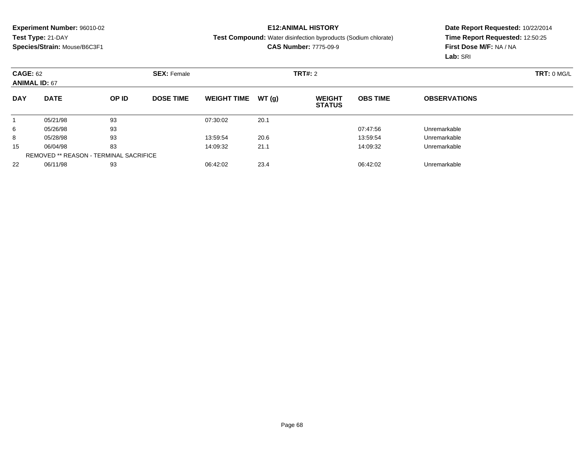## **E12:ANIMAL HISTORY**

**Test Compound:** Water disinfection byproducts (Sodium chlorate)

**CAS Number:** 7775-09-9

| <b>CAGE: 62</b><br><b>ANIMAL ID: 67</b> |                                               |       | <b>SEX: Female</b> |                    | TRT#: 2 |                                | TRT: 0 MG/L     |                     |  |
|-----------------------------------------|-----------------------------------------------|-------|--------------------|--------------------|---------|--------------------------------|-----------------|---------------------|--|
| <b>DAY</b>                              | <b>DATE</b>                                   | OP ID | <b>DOSE TIME</b>   | <b>WEIGHT TIME</b> | WT(g)   | <b>WEIGHT</b><br><b>STATUS</b> | <b>OBS TIME</b> | <b>OBSERVATIONS</b> |  |
|                                         | 05/21/98                                      | 93    |                    | 07:30:02           | 20.1    |                                |                 |                     |  |
| 6                                       | 05/26/98                                      | 93    |                    |                    |         |                                | 07:47:56        | Unremarkable        |  |
| 8                                       | 05/28/98                                      | 93    |                    | 13:59:54           | 20.6    |                                | 13:59:54        | Unremarkable        |  |
| 15                                      | 06/04/98                                      | 83    |                    | 14:09:32           | 21.1    |                                | 14:09:32        | Unremarkable        |  |
|                                         | <b>REMOVED ** REASON - TERMINAL SACRIFICE</b> |       |                    |                    |         |                                |                 |                     |  |
| 22                                      | 06/11/98                                      | 93    |                    | 06:42:02           | 23.4    |                                | 06:42:02        | Unremarkable        |  |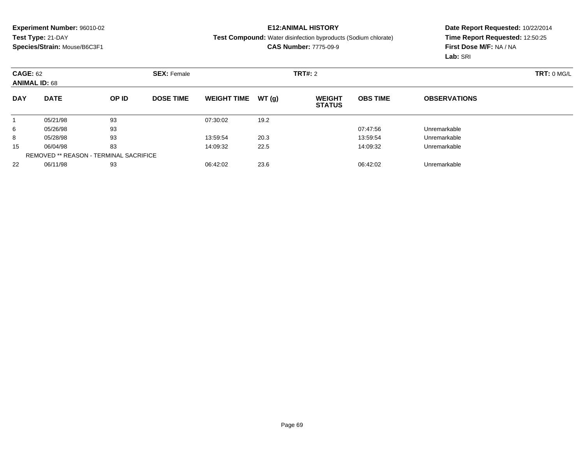## **E12:ANIMAL HISTORY**

**Test Compound:** Water disinfection byproducts (Sodium chlorate)

**CAS Number:** 7775-09-9

| <b>CAGE: 62</b><br><b>ANIMAL ID: 68</b> |                                               |       | <b>SEX: Female</b> |                    | TRT#: 2 |                                | TRT: 0 MG/L     |                     |  |
|-----------------------------------------|-----------------------------------------------|-------|--------------------|--------------------|---------|--------------------------------|-----------------|---------------------|--|
| <b>DAY</b>                              | <b>DATE</b>                                   | OP ID | <b>DOSE TIME</b>   | <b>WEIGHT TIME</b> | WT(g)   | <b>WEIGHT</b><br><b>STATUS</b> | <b>OBS TIME</b> | <b>OBSERVATIONS</b> |  |
|                                         | 05/21/98                                      | 93    |                    | 07:30:02           | 19.2    |                                |                 |                     |  |
| 6                                       | 05/26/98                                      | 93    |                    |                    |         |                                | 07:47:56        | Unremarkable        |  |
| 8                                       | 05/28/98                                      | 93    |                    | 13:59:54           | 20.3    |                                | 13:59:54        | Unremarkable        |  |
| 15                                      | 06/04/98                                      | 83    |                    | 14:09:32           | 22.5    |                                | 14:09:32        | Unremarkable        |  |
|                                         | <b>REMOVED ** REASON - TERMINAL SACRIFICE</b> |       |                    |                    |         |                                |                 |                     |  |
| 22                                      | 06/11/98                                      | 93    |                    | 06:42:02           | 23.6    |                                | 06:42:02        | Unremarkable        |  |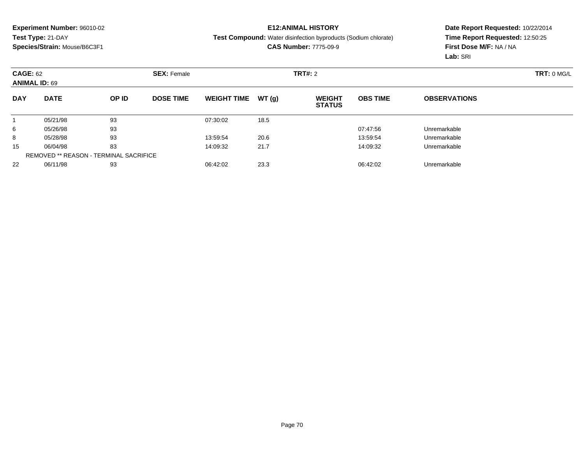## **E12:ANIMAL HISTORY**

#### **Test Compound:** Water disinfection byproducts (Sodium chlorate)

**CAS Number:** 7775-09-9

| <b>CAGE: 62</b><br><b>ANIMAL ID: 69</b> |                                               |       | <b>SEX: Female</b> |                    |       |                                | TRT#: 2         |                     |  |  |
|-----------------------------------------|-----------------------------------------------|-------|--------------------|--------------------|-------|--------------------------------|-----------------|---------------------|--|--|
| <b>DAY</b>                              | <b>DATE</b>                                   | OP ID | <b>DOSE TIME</b>   | <b>WEIGHT TIME</b> | WT(g) | <b>WEIGHT</b><br><b>STATUS</b> | <b>OBS TIME</b> | <b>OBSERVATIONS</b> |  |  |
|                                         | 05/21/98                                      | 93    |                    | 07:30:02           | 18.5  |                                |                 |                     |  |  |
| 6                                       | 05/26/98                                      | 93    |                    |                    |       |                                | 07:47:56        | Unremarkable        |  |  |
| 8                                       | 05/28/98                                      | 93    |                    | 13:59:54           | 20.6  |                                | 13:59:54        | Unremarkable        |  |  |
| 15                                      | 06/04/98                                      | 83    |                    | 14:09:32           | 21.7  |                                | 14:09:32        | Unremarkable        |  |  |
|                                         | <b>REMOVED ** REASON - TERMINAL SACRIFICE</b> |       |                    |                    |       |                                |                 |                     |  |  |
| 22                                      | 06/11/98                                      | 93    |                    | 06:42:02           | 23.3  |                                | 06:42:02        | Unremarkable        |  |  |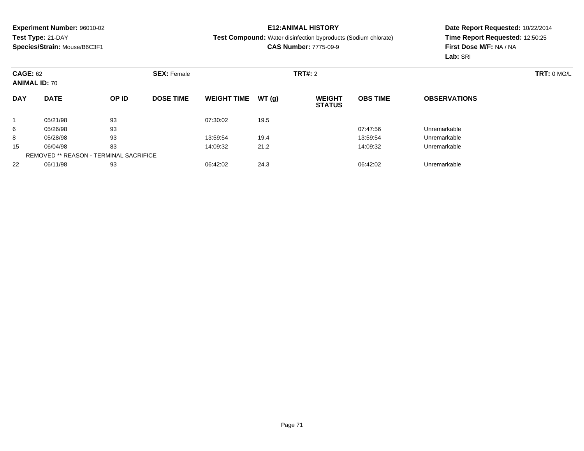## **E12:ANIMAL HISTORY**

#### **Test Compound:** Water disinfection byproducts (Sodium chlorate)

**CAS Number:** 7775-09-9

| <b>CAGE: 62</b><br><b>ANIMAL ID: 70</b> |                                               |       | <b>SEX: Female</b> |                    |       | TRT#: 2                        | TRT: 0 MGL      |                     |  |
|-----------------------------------------|-----------------------------------------------|-------|--------------------|--------------------|-------|--------------------------------|-----------------|---------------------|--|
| <b>DAY</b>                              | <b>DATE</b>                                   | OP ID | <b>DOSE TIME</b>   | <b>WEIGHT TIME</b> | WT(g) | <b>WEIGHT</b><br><b>STATUS</b> | <b>OBS TIME</b> | <b>OBSERVATIONS</b> |  |
|                                         | 05/21/98                                      | 93    |                    | 07:30:02           | 19.5  |                                |                 |                     |  |
| 6                                       | 05/26/98                                      | 93    |                    |                    |       |                                | 07:47:56        | Unremarkable        |  |
| 8                                       | 05/28/98                                      | 93    |                    | 13:59:54           | 19.4  |                                | 13:59:54        | Unremarkable        |  |
| 15                                      | 06/04/98                                      | 83    |                    | 14:09:32           | 21.2  |                                | 14:09:32        | Unremarkable        |  |
|                                         | <b>REMOVED ** REASON - TERMINAL SACRIFICE</b> |       |                    |                    |       |                                |                 |                     |  |
| 22                                      | 06/11/98                                      | 93    |                    | 06:42:02           | 24.3  |                                | 06:42:02        | Unremarkable        |  |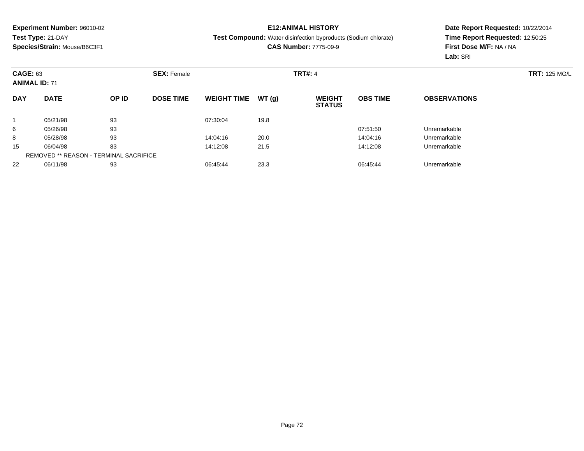## **E12:ANIMAL HISTORY**

#### **Test Compound:** Water disinfection byproducts (Sodium chlorate)

**CAS Number:** 7775-09-9

| <b>CAGE: 63</b><br><b>ANIMAL ID: 71</b> |                                               | <b>SEX: Female</b> |                  |                    | <b>TRT#: 4</b> |                                |                 |                     |  |  |
|-----------------------------------------|-----------------------------------------------|--------------------|------------------|--------------------|----------------|--------------------------------|-----------------|---------------------|--|--|
| <b>DAY</b>                              | <b>DATE</b>                                   | OP ID              | <b>DOSE TIME</b> | <b>WEIGHT TIME</b> | WT(g)          | <b>WEIGHT</b><br><b>STATUS</b> | <b>OBS TIME</b> | <b>OBSERVATIONS</b> |  |  |
|                                         | 05/21/98                                      | 93                 |                  | 07:30:04           | 19.8           |                                |                 |                     |  |  |
| 6                                       | 05/26/98                                      | 93                 |                  |                    |                |                                | 07:51:50        | Unremarkable        |  |  |
| 8                                       | 05/28/98                                      | 93                 |                  | 14:04:16           | 20.0           |                                | 14:04:16        | Unremarkable        |  |  |
| 15                                      | 06/04/98                                      | 83                 |                  | 14:12:08           | 21.5           |                                | 14:12:08        | Unremarkable        |  |  |
|                                         | <b>REMOVED ** REASON - TERMINAL SACRIFICE</b> |                    |                  |                    |                |                                |                 |                     |  |  |
| 22                                      | 06/11/98                                      | 93                 |                  | 06:45:44           | 23.3           |                                | 06:45:44        | Unremarkable        |  |  |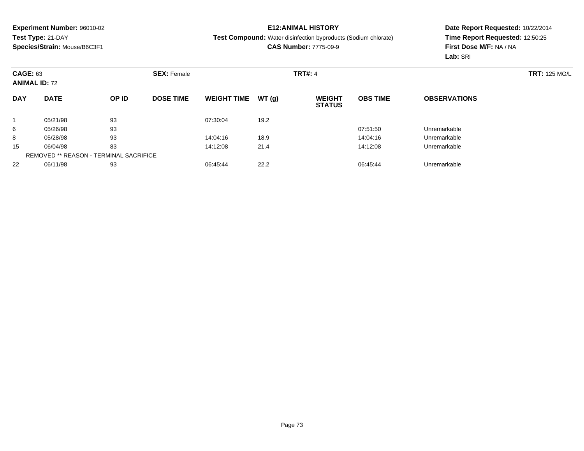### **E12:ANIMAL HISTORY**

**Test Compound:** Water disinfection byproducts (Sodium chlorate)

**CAS Number:** 7775-09-9

|            | <b>CAGE: 63</b><br><b>ANIMAL ID: 72</b>       |       |                  | <b>SEX: Female</b> |       |                                | <b>TRT#: 4</b>  |                     |  |  |  |
|------------|-----------------------------------------------|-------|------------------|--------------------|-------|--------------------------------|-----------------|---------------------|--|--|--|
| <b>DAY</b> | <b>DATE</b>                                   | OP ID | <b>DOSE TIME</b> | <b>WEIGHT TIME</b> | WT(g) | <b>WEIGHT</b><br><b>STATUS</b> | <b>OBS TIME</b> | <b>OBSERVATIONS</b> |  |  |  |
|            | 05/21/98                                      | 93    |                  | 07:30:04           | 19.2  |                                |                 |                     |  |  |  |
| 6          | 05/26/98                                      | 93    |                  |                    |       |                                | 07:51:50        | Unremarkable        |  |  |  |
| 8          | 05/28/98                                      | 93    |                  | 14:04:16           | 18.9  |                                | 14:04:16        | Unremarkable        |  |  |  |
| 15         | 06/04/98                                      | 83    |                  | 14:12:08           | 21.4  |                                | 14:12:08        | Unremarkable        |  |  |  |
|            | <b>REMOVED ** REASON - TERMINAL SACRIFICE</b> |       |                  |                    |       |                                |                 |                     |  |  |  |
| 22         | 06/11/98                                      | 93    |                  | 06:45:44           | 22.2  |                                | 06:45:44        | Unremarkable        |  |  |  |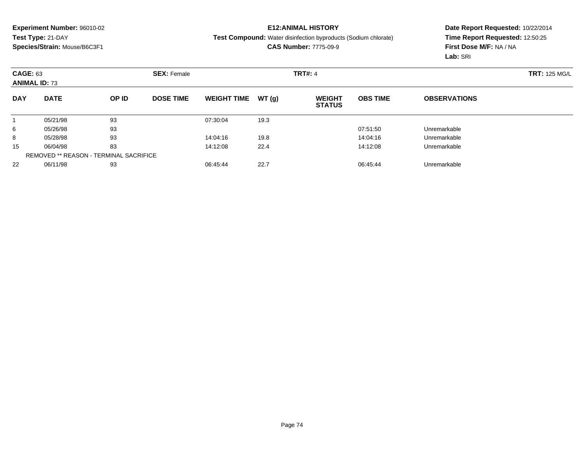### **E12:ANIMAL HISTORY**

**Test Compound:** Water disinfection byproducts (Sodium chlorate)

**CAS Number:** 7775-09-9

|            | <b>CAGE: 63</b><br><b>ANIMAL ID: 73</b>       |       | <b>SEX: Female</b> |                    |       | <b>TRT#: 4</b>                 |                 | <b>TRT: 125 MG/L</b> |  |
|------------|-----------------------------------------------|-------|--------------------|--------------------|-------|--------------------------------|-----------------|----------------------|--|
| <b>DAY</b> | <b>DATE</b>                                   | OP ID | <b>DOSE TIME</b>   | <b>WEIGHT TIME</b> | WT(g) | <b>WEIGHT</b><br><b>STATUS</b> | <b>OBS TIME</b> | <b>OBSERVATIONS</b>  |  |
|            | 05/21/98                                      | 93    |                    | 07:30:04           | 19.3  |                                |                 |                      |  |
| 6          | 05/26/98                                      | 93    |                    |                    |       |                                | 07:51:50        | Unremarkable         |  |
| 8          | 05/28/98                                      | 93    |                    | 14:04:16           | 19.8  |                                | 14:04:16        | Unremarkable         |  |
| 15         | 06/04/98                                      | 83    |                    | 14:12:08           | 22.4  |                                | 14:12:08        | Unremarkable         |  |
|            | <b>REMOVED ** REASON - TERMINAL SACRIFICE</b> |       |                    |                    |       |                                |                 |                      |  |
| 22         | 06/11/98                                      | 93    |                    | 06:45:44           | 22.7  |                                | 06:45:44        | Unremarkable         |  |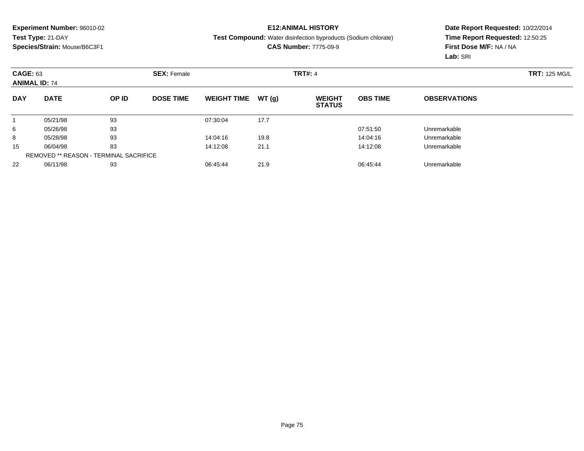### **E12:ANIMAL HISTORY**

**Test Compound:** Water disinfection byproducts (Sodium chlorate)

**CAS Number:** 7775-09-9

|            | <b>CAGE: 63</b><br><b>ANIMAL ID: 74</b>       |       | <b>SEX: Female</b> |                    |       | <b>TRT#: 4</b>                 |                 | <b>TRT: 125 MG/L</b> |  |
|------------|-----------------------------------------------|-------|--------------------|--------------------|-------|--------------------------------|-----------------|----------------------|--|
| <b>DAY</b> | <b>DATE</b>                                   | OP ID | <b>DOSE TIME</b>   | <b>WEIGHT TIME</b> | WT(g) | <b>WEIGHT</b><br><b>STATUS</b> | <b>OBS TIME</b> | <b>OBSERVATIONS</b>  |  |
|            | 05/21/98                                      | 93    |                    | 07:30:04           | 17.7  |                                |                 |                      |  |
| 6          | 05/26/98                                      | 93    |                    |                    |       |                                | 07:51:50        | Unremarkable         |  |
| 8          | 05/28/98                                      | 93    |                    | 14:04:16           | 19.8  |                                | 14:04:16        | Unremarkable         |  |
| 15         | 06/04/98                                      | 83    |                    | 14:12:08           | 21.1  |                                | 14:12:08        | Unremarkable         |  |
|            | <b>REMOVED ** REASON - TERMINAL SACRIFICE</b> |       |                    |                    |       |                                |                 |                      |  |
| 22         | 06/11/98                                      | 93    |                    | 06:45:44           | 21.9  |                                | 06:45:44        | Unremarkable         |  |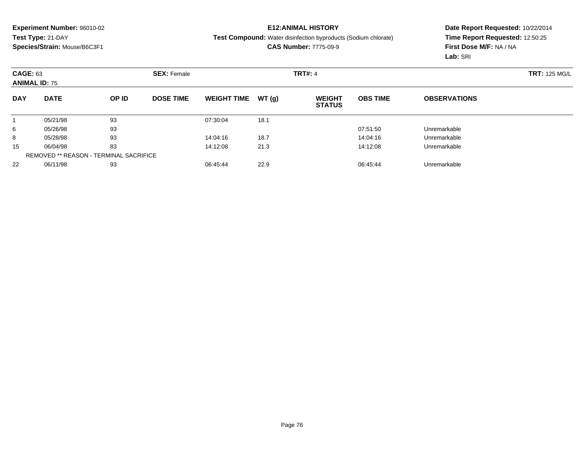### **E12:ANIMAL HISTORY**

**Test Compound:** Water disinfection byproducts (Sodium chlorate)

**CAS Number:** 7775-09-9

|            | <b>CAGE: 63</b><br><b>ANIMAL ID: 75</b>       |       |                  | <b>SEX: Female</b> |       |                                | <b>TRT#: 4</b>  |                     |  |  |  |
|------------|-----------------------------------------------|-------|------------------|--------------------|-------|--------------------------------|-----------------|---------------------|--|--|--|
| <b>DAY</b> | <b>DATE</b>                                   | OP ID | <b>DOSE TIME</b> | <b>WEIGHT TIME</b> | WT(g) | <b>WEIGHT</b><br><b>STATUS</b> | <b>OBS TIME</b> | <b>OBSERVATIONS</b> |  |  |  |
|            | 05/21/98                                      | 93    |                  | 07:30:04           | 18.1  |                                |                 |                     |  |  |  |
| 6          | 05/26/98                                      | 93    |                  |                    |       |                                | 07:51:50        | Unremarkable        |  |  |  |
| 8          | 05/28/98                                      | 93    |                  | 14:04:16           | 18.7  |                                | 14:04:16        | Unremarkable        |  |  |  |
| 15         | 06/04/98                                      | 83    |                  | 14:12:08           | 21.3  |                                | 14:12:08        | Unremarkable        |  |  |  |
|            | <b>REMOVED ** REASON - TERMINAL SACRIFICE</b> |       |                  |                    |       |                                |                 |                     |  |  |  |
| 22         | 06/11/98                                      | 93    |                  | 06:45:44           | 22.9  |                                | 06:45:44        | Unremarkable        |  |  |  |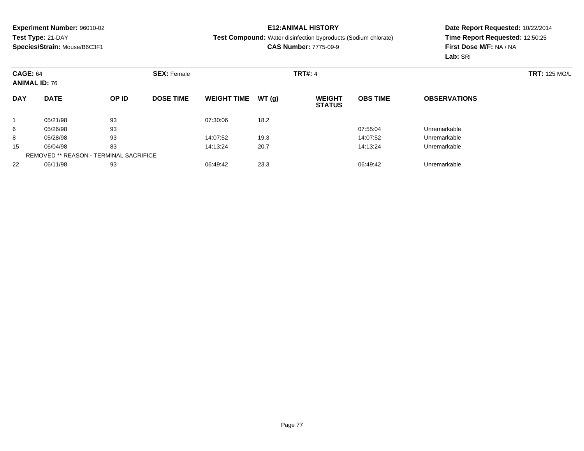## **E12:ANIMAL HISTORY**

**Test Compound:** Water disinfection byproducts (Sodium chlorate)

**CAS Number:** 7775-09-9

|            | <b>CAGE: 64</b><br><b>ANIMAL ID: 76</b>       |       | <b>SEX: Female</b> |                    |       |                                | <b>TRT#: 4</b>  |                     |  |  |
|------------|-----------------------------------------------|-------|--------------------|--------------------|-------|--------------------------------|-----------------|---------------------|--|--|
| <b>DAY</b> | <b>DATE</b>                                   | OP ID | <b>DOSE TIME</b>   | <b>WEIGHT TIME</b> | WT(g) | <b>WEIGHT</b><br><b>STATUS</b> | <b>OBS TIME</b> | <b>OBSERVATIONS</b> |  |  |
|            | 05/21/98                                      | 93    |                    | 07:30:06           | 18.2  |                                |                 |                     |  |  |
| 6          | 05/26/98                                      | 93    |                    |                    |       |                                | 07:55:04        | Unremarkable        |  |  |
| 8          | 05/28/98                                      | 93    |                    | 14:07:52           | 19.3  |                                | 14:07:52        | Unremarkable        |  |  |
| 15         | 06/04/98                                      | 83    |                    | 14:13:24           | 20.7  |                                | 14:13:24        | Unremarkable        |  |  |
|            | <b>REMOVED ** REASON - TERMINAL SACRIFICE</b> |       |                    |                    |       |                                |                 |                     |  |  |
| 22         | 06/11/98                                      | 93    |                    | 06:49:42           | 23.3  |                                | 06:49:42        | Unremarkable        |  |  |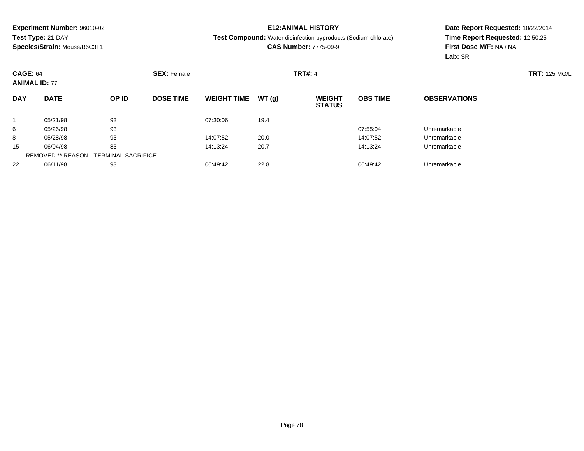### **E12:ANIMAL HISTORY**

**Test Compound:** Water disinfection byproducts (Sodium chlorate)

**CAS Number:** 7775-09-9

|            | <b>CAGE: 64</b><br><b>ANIMAL ID: 77</b>       |       |                  | <b>SEX: Female</b> |       |                                |                 |                     | <b>TRT: 125 MG/L</b> |
|------------|-----------------------------------------------|-------|------------------|--------------------|-------|--------------------------------|-----------------|---------------------|----------------------|
| <b>DAY</b> | <b>DATE</b>                                   | OP ID | <b>DOSE TIME</b> | <b>WEIGHT TIME</b> | WT(g) | <b>WEIGHT</b><br><b>STATUS</b> | <b>OBS TIME</b> | <b>OBSERVATIONS</b> |                      |
|            | 05/21/98                                      | 93    |                  | 07:30:06           | 19.4  |                                |                 |                     |                      |
| 6          | 05/26/98                                      | 93    |                  |                    |       |                                | 07:55:04        | Unremarkable        |                      |
| 8          | 05/28/98                                      | 93    |                  | 14:07:52           | 20.0  |                                | 14:07:52        | Unremarkable        |                      |
| 15         | 06/04/98                                      | 83    |                  | 14:13:24           | 20.7  |                                | 14:13:24        | Unremarkable        |                      |
|            | <b>REMOVED ** REASON - TERMINAL SACRIFICE</b> |       |                  |                    |       |                                |                 |                     |                      |
| 22         | 06/11/98                                      | 93    |                  | 06:49:42           | 22.8  |                                | 06:49:42        | Unremarkable        |                      |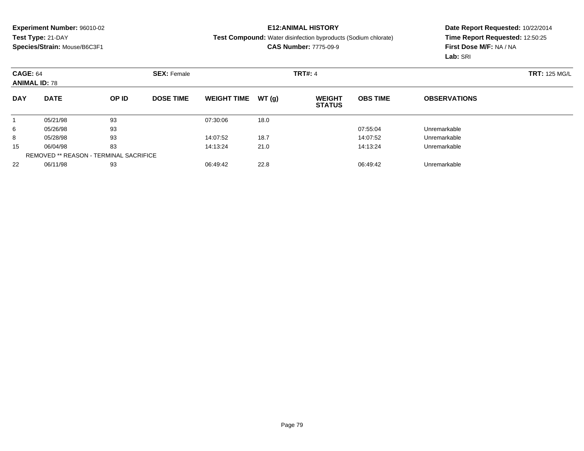### **E12:ANIMAL HISTORY**

**Test Compound:** Water disinfection byproducts (Sodium chlorate)

**CAS Number:** 7775-09-9

|            | <b>CAGE: 64</b><br><b>ANIMAL ID: 78</b>       |       |                  | <b>SEX: Female</b> |       |                                | <b>TRT#: 4</b>  |                     |  |  |  |
|------------|-----------------------------------------------|-------|------------------|--------------------|-------|--------------------------------|-----------------|---------------------|--|--|--|
| <b>DAY</b> | <b>DATE</b>                                   | OP ID | <b>DOSE TIME</b> | <b>WEIGHT TIME</b> | WT(g) | <b>WEIGHT</b><br><b>STATUS</b> | <b>OBS TIME</b> | <b>OBSERVATIONS</b> |  |  |  |
|            | 05/21/98                                      | 93    |                  | 07:30:06           | 18.0  |                                |                 |                     |  |  |  |
| 6          | 05/26/98                                      | 93    |                  |                    |       |                                | 07:55:04        | Unremarkable        |  |  |  |
| 8          | 05/28/98                                      | 93    |                  | 14:07:52           | 18.7  |                                | 14:07:52        | Unremarkable        |  |  |  |
| 15         | 06/04/98                                      | 83    |                  | 14:13:24           | 21.0  |                                | 14:13:24        | Unremarkable        |  |  |  |
|            | <b>REMOVED ** REASON - TERMINAL SACRIFICE</b> |       |                  |                    |       |                                |                 |                     |  |  |  |
| 22         | 06/11/98                                      | 93    |                  | 06:49:42           | 22.8  |                                | 06:49:42        | Unremarkable        |  |  |  |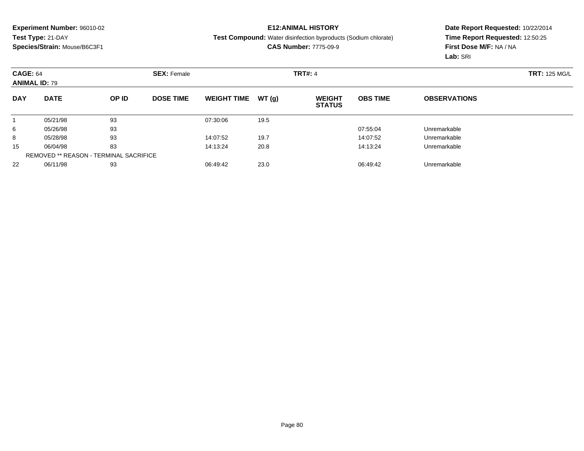### **E12:ANIMAL HISTORY**

**Test Compound:** Water disinfection byproducts (Sodium chlorate)

**CAS Number:** 7775-09-9

| <b>CAGE: 64</b><br><b>ANIMAL ID: 79</b> |                                               |       | <b>SEX: Female</b> |                    |       | <b>TRT#: 4</b>                 |                 | <b>TRT: 125 MG/L</b> |  |
|-----------------------------------------|-----------------------------------------------|-------|--------------------|--------------------|-------|--------------------------------|-----------------|----------------------|--|
| <b>DAY</b>                              | <b>DATE</b>                                   | OP ID | <b>DOSE TIME</b>   | <b>WEIGHT TIME</b> | WT(g) | <b>WEIGHT</b><br><b>STATUS</b> | <b>OBS TIME</b> | <b>OBSERVATIONS</b>  |  |
|                                         | 05/21/98                                      | 93    |                    | 07:30:06           | 19.5  |                                |                 |                      |  |
| 6                                       | 05/26/98                                      | 93    |                    |                    |       |                                | 07:55:04        | Unremarkable         |  |
| 8                                       | 05/28/98                                      | 93    |                    | 14:07:52           | 19.7  |                                | 14:07:52        | Unremarkable         |  |
| 15                                      | 06/04/98                                      | 83    |                    | 14:13:24           | 20.8  |                                | 14:13:24        | Unremarkable         |  |
|                                         | <b>REMOVED ** REASON - TERMINAL SACRIFICE</b> |       |                    |                    |       |                                |                 |                      |  |
| 22                                      | 06/11/98                                      | 93    |                    | 06:49:42           | 23.0  |                                | 06:49:42        | Unremarkable         |  |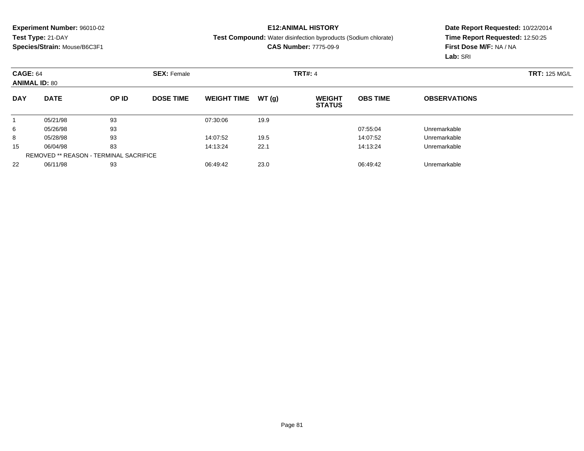### **E12:ANIMAL HISTORY**

#### **Test Compound:** Water disinfection byproducts (Sodium chlorate)

**CAS Number:** 7775-09-9

| <b>CAGE: 64</b><br><b>ANIMAL ID: 80</b> |                                               | <b>SEX: Female</b> |                  |                    | <b>TRT#: 4</b> |                                |                 |                     |  |  |
|-----------------------------------------|-----------------------------------------------|--------------------|------------------|--------------------|----------------|--------------------------------|-----------------|---------------------|--|--|
| <b>DAY</b>                              | <b>DATE</b>                                   | OP ID              | <b>DOSE TIME</b> | <b>WEIGHT TIME</b> | WT(g)          | <b>WEIGHT</b><br><b>STATUS</b> | <b>OBS TIME</b> | <b>OBSERVATIONS</b> |  |  |
|                                         | 05/21/98                                      | 93                 |                  | 07:30:06           | 19.9           |                                |                 |                     |  |  |
| 6                                       | 05/26/98                                      | 93                 |                  |                    |                |                                | 07:55:04        | Unremarkable        |  |  |
| 8                                       | 05/28/98                                      | 93                 |                  | 14:07:52           | 19.5           |                                | 14:07:52        | Unremarkable        |  |  |
| 15                                      | 06/04/98                                      | 83                 |                  | 14:13:24           | 22.1           |                                | 14:13:24        | Unremarkable        |  |  |
|                                         | <b>REMOVED ** REASON - TERMINAL SACRIFICE</b> |                    |                  |                    |                |                                |                 |                     |  |  |
| 22                                      | 06/11/98                                      | 93                 |                  | 06:49:42           | 23.0           |                                | 06:49:42        | Unremarkable        |  |  |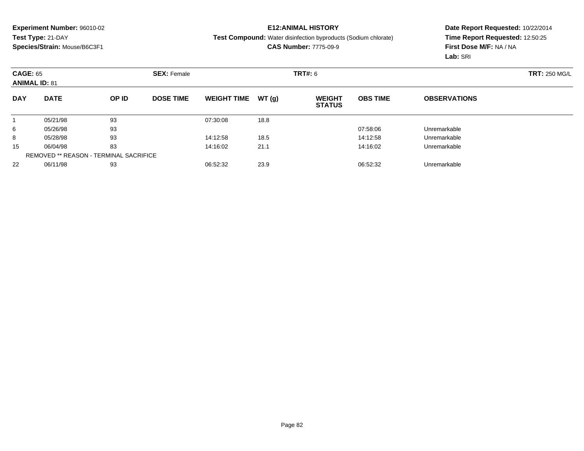### **E12:ANIMAL HISTORY**

#### **Test Compound:** Water disinfection byproducts (Sodium chlorate)

**CAS Number:** 7775-09-9

|            | <b>CAGE: 65</b><br><b>ANIMAL ID: 81</b> |       | <b>SEX: Female</b> |                    |       | <b>TRT#: 6</b>                 |                 | <b>TRT: 250 MG/L</b> |  |
|------------|-----------------------------------------|-------|--------------------|--------------------|-------|--------------------------------|-----------------|----------------------|--|
| <b>DAY</b> | <b>DATE</b>                             | OP ID | <b>DOSE TIME</b>   | <b>WEIGHT TIME</b> | WT(g) | <b>WEIGHT</b><br><b>STATUS</b> | <b>OBS TIME</b> | <b>OBSERVATIONS</b>  |  |
|            | 05/21/98                                | 93    |                    | 07:30:08           | 18.8  |                                |                 |                      |  |
| 6          | 05/26/98                                | 93    |                    |                    |       |                                | 07:58:06        | Unremarkable         |  |
| 8          | 05/28/98                                | 93    |                    | 14:12:58           | 18.5  |                                | 14:12:58        | Unremarkable         |  |
| 15         | 06/04/98                                | 83    |                    | 14:16:02           | 21.1  |                                | 14:16:02        | Unremarkable         |  |
|            | REMOVED ** REASON - TERMINAL SACRIFICE  |       |                    |                    |       |                                |                 |                      |  |
| 22         | 06/11/98                                | 93    |                    | 06:52:32           | 23.9  |                                | 06:52:32        | Unremarkable         |  |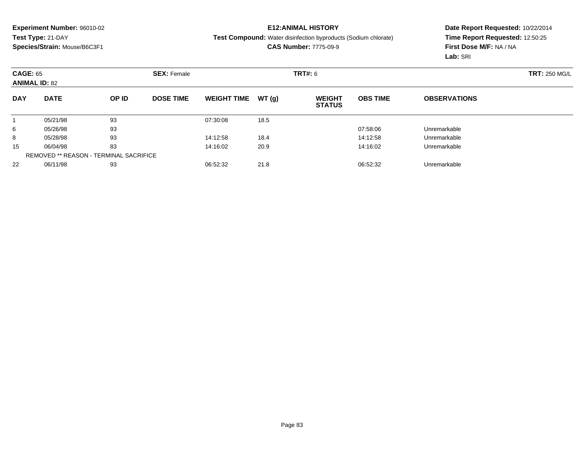### **E12:ANIMAL HISTORY**

**Test Compound:** Water disinfection byproducts (Sodium chlorate)

**CAS Number:** 7775-09-9

|            | <b>CAGE: 65</b><br><b>ANIMAL ID: 82</b>       |       |                  | <b>SEX: Female</b> |       |                                | <b>TRT#: 6</b>  |                     |  |  |  |
|------------|-----------------------------------------------|-------|------------------|--------------------|-------|--------------------------------|-----------------|---------------------|--|--|--|
| <b>DAY</b> | <b>DATE</b>                                   | OP ID | <b>DOSE TIME</b> | <b>WEIGHT TIME</b> | WT(g) | <b>WEIGHT</b><br><b>STATUS</b> | <b>OBS TIME</b> | <b>OBSERVATIONS</b> |  |  |  |
|            | 05/21/98                                      | 93    |                  | 07:30:08           | 18.5  |                                |                 |                     |  |  |  |
| 6          | 05/26/98                                      | 93    |                  |                    |       |                                | 07:58:06        | Unremarkable        |  |  |  |
| 8          | 05/28/98                                      | 93    |                  | 14:12:58           | 18.4  |                                | 14:12:58        | Unremarkable        |  |  |  |
| 15         | 06/04/98                                      | 83    |                  | 14:16:02           | 20.9  |                                | 14:16:02        | Unremarkable        |  |  |  |
|            | <b>REMOVED ** REASON - TERMINAL SACRIFICE</b> |       |                  |                    |       |                                |                 |                     |  |  |  |
| 22         | 06/11/98                                      | 93    |                  | 06:52:32           | 21.8  |                                | 06:52:32        | Unremarkable        |  |  |  |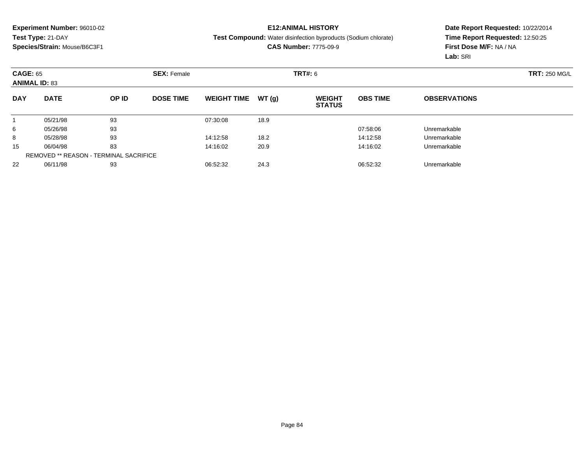### **E12:ANIMAL HISTORY**

**Test Compound:** Water disinfection byproducts (Sodium chlorate)

**CAS Number:** 7775-09-9

|            | <b>CAGE: 65</b><br><b>ANIMAL ID: 83</b>       |       |                  | <b>SEX: Female</b> |       |                                |                 |                     | <b>TRT: 250 MG/L</b> |
|------------|-----------------------------------------------|-------|------------------|--------------------|-------|--------------------------------|-----------------|---------------------|----------------------|
| <b>DAY</b> | <b>DATE</b>                                   | OP ID | <b>DOSE TIME</b> | <b>WEIGHT TIME</b> | WT(g) | <b>WEIGHT</b><br><b>STATUS</b> | <b>OBS TIME</b> | <b>OBSERVATIONS</b> |                      |
|            | 05/21/98                                      | 93    |                  | 07:30:08           | 18.9  |                                |                 |                     |                      |
| 6          | 05/26/98                                      | 93    |                  |                    |       |                                | 07:58:06        | Unremarkable        |                      |
| 8          | 05/28/98                                      | 93    |                  | 14:12:58           | 18.2  |                                | 14:12:58        | Unremarkable        |                      |
| 15         | 06/04/98                                      | 83    |                  | 14:16:02           | 20.9  |                                | 14:16:02        | Unremarkable        |                      |
|            | <b>REMOVED ** REASON - TERMINAL SACRIFICE</b> |       |                  |                    |       |                                |                 |                     |                      |
| 22         | 06/11/98                                      | 93    |                  | 06:52:32           | 24.3  |                                | 06:52:32        | Unremarkable        |                      |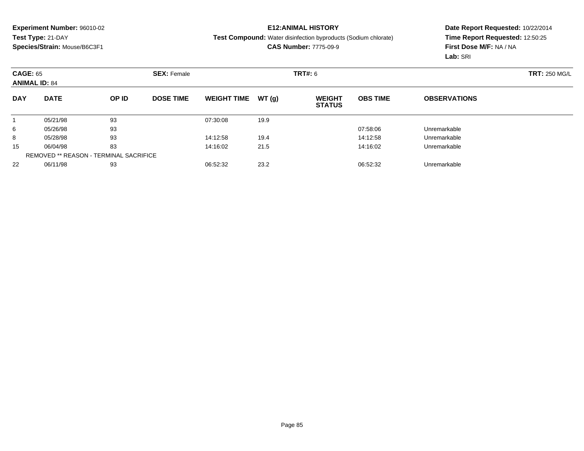### **E12:ANIMAL HISTORY**

**Test Compound:** Water disinfection byproducts (Sodium chlorate)

**CAS Number:** 7775-09-9

|            | <b>CAGE: 65</b><br><b>ANIMAL ID: 84</b>       |       | <b>SEX: Female</b> |                    |       | <b>TRT#: 6</b>                 |                 | <b>TRT: 250 MG/L</b> |  |
|------------|-----------------------------------------------|-------|--------------------|--------------------|-------|--------------------------------|-----------------|----------------------|--|
| <b>DAY</b> | <b>DATE</b>                                   | OP ID | <b>DOSE TIME</b>   | <b>WEIGHT TIME</b> | WT(g) | <b>WEIGHT</b><br><b>STATUS</b> | <b>OBS TIME</b> | <b>OBSERVATIONS</b>  |  |
|            | 05/21/98                                      | 93    |                    | 07:30:08           | 19.9  |                                |                 |                      |  |
| 6          | 05/26/98                                      | 93    |                    |                    |       |                                | 07:58:06        | Unremarkable         |  |
| 8          | 05/28/98                                      | 93    |                    | 14:12:58           | 19.4  |                                | 14:12:58        | Unremarkable         |  |
| 15         | 06/04/98                                      | 83    |                    | 14:16:02           | 21.5  |                                | 14:16:02        | Unremarkable         |  |
|            | <b>REMOVED ** REASON - TERMINAL SACRIFICE</b> |       |                    |                    |       |                                |                 |                      |  |
| 22         | 06/11/98                                      | 93    |                    | 06:52:32           | 23.2  |                                | 06:52:32        | Unremarkable         |  |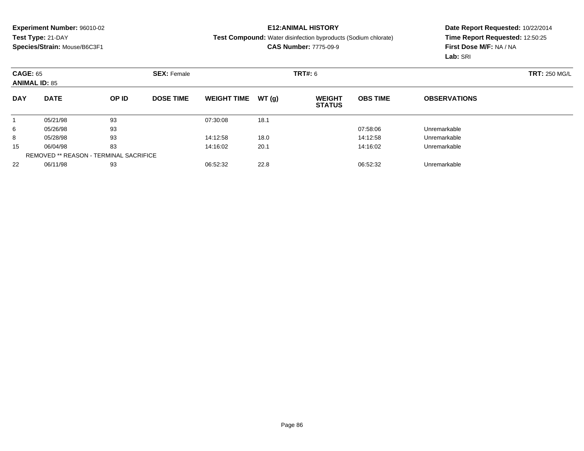### **E12:ANIMAL HISTORY**

#### **Test Compound:** Water disinfection byproducts (Sodium chlorate)

**CAS Number:** 7775-09-9

| <b>CAGE: 65</b><br><b>ANIMAL ID: 85</b> |                                               |       | <b>SEX: Female</b> |                    |       | TRT#: 6                        |                 | <b>TRT: 250 MG/L</b> |  |
|-----------------------------------------|-----------------------------------------------|-------|--------------------|--------------------|-------|--------------------------------|-----------------|----------------------|--|
| <b>DAY</b>                              | <b>DATE</b>                                   | OP ID | <b>DOSE TIME</b>   | <b>WEIGHT TIME</b> | WT(g) | <b>WEIGHT</b><br><b>STATUS</b> | <b>OBS TIME</b> | <b>OBSERVATIONS</b>  |  |
|                                         | 05/21/98                                      | 93    |                    | 07:30:08           | 18.1  |                                |                 |                      |  |
| 6                                       | 05/26/98                                      | 93    |                    |                    |       |                                | 07:58:06        | Unremarkable         |  |
| 8                                       | 05/28/98                                      | 93    |                    | 14:12:58           | 18.0  |                                | 14:12:58        | Unremarkable         |  |
| 15                                      | 06/04/98                                      | 83    |                    | 14:16:02           | 20.1  |                                | 14:16:02        | Unremarkable         |  |
|                                         | <b>REMOVED ** REASON - TERMINAL SACRIFICE</b> |       |                    |                    |       |                                |                 |                      |  |
| 22                                      | 06/11/98                                      | 93    |                    | 06:52:32           | 22.8  |                                | 06:52:32        | Unremarkable         |  |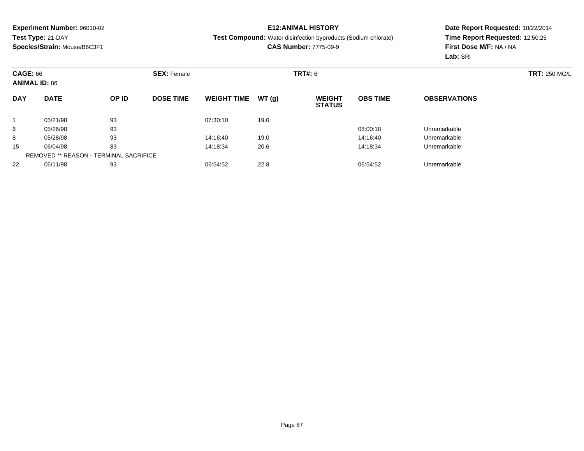### **E12:ANIMAL HISTORY**

#### **Test Compound:** Water disinfection byproducts (Sodium chlorate)

**CAS Number:** 7775-09-9

|            | <b>CAGE: 66</b><br><b>ANIMAL ID: 86</b>       |       | <b>SEX: Female</b> |                    |       | TRT#: 6                        |                 | <b>TRT: 250 MG/L</b> |  |
|------------|-----------------------------------------------|-------|--------------------|--------------------|-------|--------------------------------|-----------------|----------------------|--|
| <b>DAY</b> | <b>DATE</b>                                   | OP ID | <b>DOSE TIME</b>   | <b>WEIGHT TIME</b> | WT(g) | <b>WEIGHT</b><br><b>STATUS</b> | <b>OBS TIME</b> | <b>OBSERVATIONS</b>  |  |
|            | 05/21/98                                      | 93    |                    | 07:30:10           | 19.0  |                                |                 |                      |  |
| 6          | 05/26/98                                      | 93    |                    |                    |       |                                | 08:00:18        | Unremarkable         |  |
| 8          | 05/28/98                                      | 93    |                    | 14:16:40           | 19.0  |                                | 14:16:40        | Unremarkable         |  |
| 15         | 06/04/98                                      | 83    |                    | 14:18:34           | 20.6  |                                | 14:18:34        | Unremarkable         |  |
|            | <b>REMOVED ** REASON - TERMINAL SACRIFICE</b> |       |                    |                    |       |                                |                 |                      |  |
| 22         | 06/11/98                                      | 93    |                    | 06:54:52           | 22.8  |                                | 06:54:52        | Unremarkable         |  |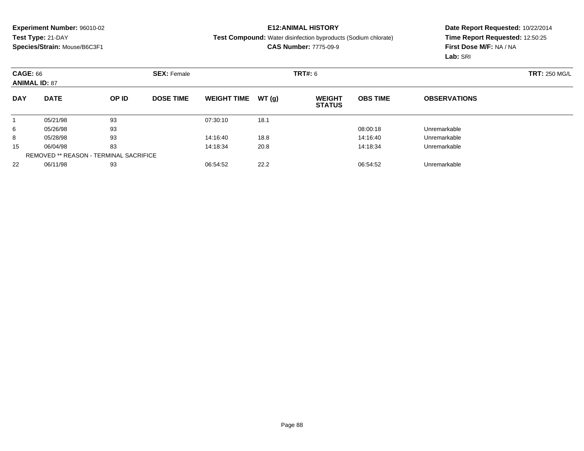### **E12:ANIMAL HISTORY**

**Test Compound:** Water disinfection byproducts (Sodium chlorate)

**CAS Number:** 7775-09-9

|            | <b>CAGE: 66</b><br><b>ANIMAL ID: 87</b>       |       | <b>SEX: Female</b> |                    |       | <b>TRT#: 6</b>                 |                 | <b>TRT: 250 MG/L</b> |  |
|------------|-----------------------------------------------|-------|--------------------|--------------------|-------|--------------------------------|-----------------|----------------------|--|
| <b>DAY</b> | <b>DATE</b>                                   | OP ID | <b>DOSE TIME</b>   | <b>WEIGHT TIME</b> | WT(g) | <b>WEIGHT</b><br><b>STATUS</b> | <b>OBS TIME</b> | <b>OBSERVATIONS</b>  |  |
|            | 05/21/98                                      | 93    |                    | 07:30:10           | 18.1  |                                |                 |                      |  |
| 6          | 05/26/98                                      | 93    |                    |                    |       |                                | 08:00:18        | Unremarkable         |  |
| 8          | 05/28/98                                      | 93    |                    | 14:16:40           | 18.8  |                                | 14:16:40        | Unremarkable         |  |
| 15         | 06/04/98                                      | 83    |                    | 14:18:34           | 20.8  |                                | 14:18:34        | Unremarkable         |  |
|            | <b>REMOVED ** REASON - TERMINAL SACRIFICE</b> |       |                    |                    |       |                                |                 |                      |  |
| 22         | 06/11/98                                      | 93    |                    | 06:54:52           | 22.2  |                                | 06:54:52        | Unremarkable         |  |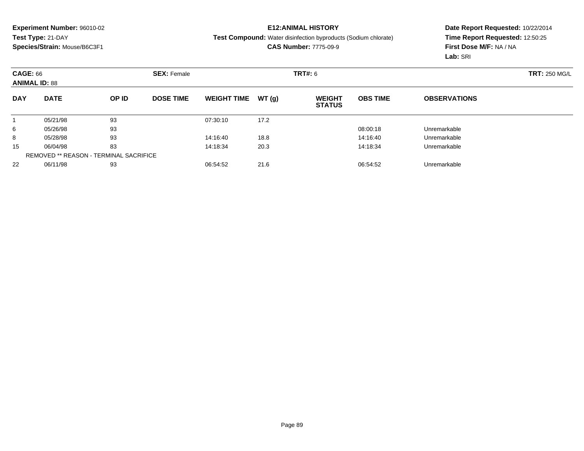### **E12:ANIMAL HISTORY**

**Test Compound:** Water disinfection byproducts (Sodium chlorate)

**CAS Number:** 7775-09-9

|            | <b>CAGE: 66</b><br><b>ANIMAL ID: 88</b>       |       | <b>SEX: Female</b> |                    |       | <b>TRT#: 6</b>                 |                 | <b>TRT: 250 MG/L</b> |  |
|------------|-----------------------------------------------|-------|--------------------|--------------------|-------|--------------------------------|-----------------|----------------------|--|
| <b>DAY</b> | <b>DATE</b>                                   | OP ID | <b>DOSE TIME</b>   | <b>WEIGHT TIME</b> | WT(g) | <b>WEIGHT</b><br><b>STATUS</b> | <b>OBS TIME</b> | <b>OBSERVATIONS</b>  |  |
|            | 05/21/98                                      | 93    |                    | 07:30:10           | 17.2  |                                |                 |                      |  |
| 6          | 05/26/98                                      | 93    |                    |                    |       |                                | 08:00:18        | Unremarkable         |  |
| 8          | 05/28/98                                      | 93    |                    | 14:16:40           | 18.8  |                                | 14:16:40        | Unremarkable         |  |
| 15         | 06/04/98                                      | 83    |                    | 14:18:34           | 20.3  |                                | 14:18:34        | Unremarkable         |  |
|            | <b>REMOVED ** REASON - TERMINAL SACRIFICE</b> |       |                    |                    |       |                                |                 |                      |  |
| 22         | 06/11/98                                      | 93    |                    | 06:54:52           | 21.6  |                                | 06:54:52        | Unremarkable         |  |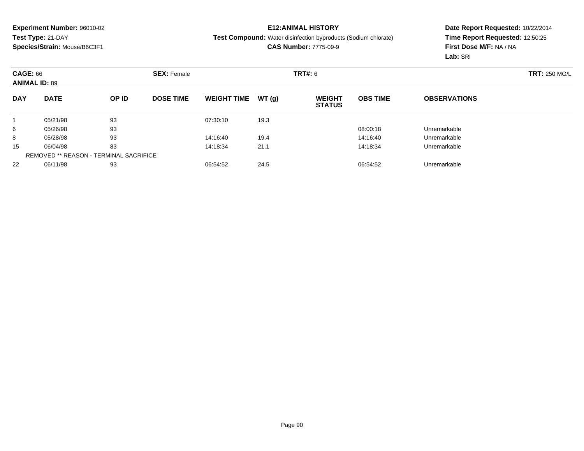### **E12:ANIMAL HISTORY**

#### **Test Compound:** Water disinfection byproducts (Sodium chlorate)

**CAS Number:** 7775-09-9

| <b>CAGE: 66</b><br><b>ANIMAL ID: 89</b> |                                               |       | <b>SEX: Female</b> |                    |       | TRT#: 6                        |                 | <b>TRT: 250 MG/L</b> |  |
|-----------------------------------------|-----------------------------------------------|-------|--------------------|--------------------|-------|--------------------------------|-----------------|----------------------|--|
| <b>DAY</b>                              | <b>DATE</b>                                   | OP ID | <b>DOSE TIME</b>   | <b>WEIGHT TIME</b> | WT(g) | <b>WEIGHT</b><br><b>STATUS</b> | <b>OBS TIME</b> | <b>OBSERVATIONS</b>  |  |
|                                         | 05/21/98                                      | 93    |                    | 07:30:10           | 19.3  |                                |                 |                      |  |
| 6                                       | 05/26/98                                      | 93    |                    |                    |       |                                | 08:00:18        | Unremarkable         |  |
| 8                                       | 05/28/98                                      | 93    |                    | 14:16:40           | 19.4  |                                | 14:16:40        | Unremarkable         |  |
| 15                                      | 06/04/98                                      | 83    |                    | 14:18:34           | 21.1  |                                | 14:18:34        | Unremarkable         |  |
|                                         | <b>REMOVED ** REASON - TERMINAL SACRIFICE</b> |       |                    |                    |       |                                |                 |                      |  |
| 22                                      | 06/11/98                                      | 93    |                    | 06:54:52           | 24.5  |                                | 06:54:52        | Unremarkable         |  |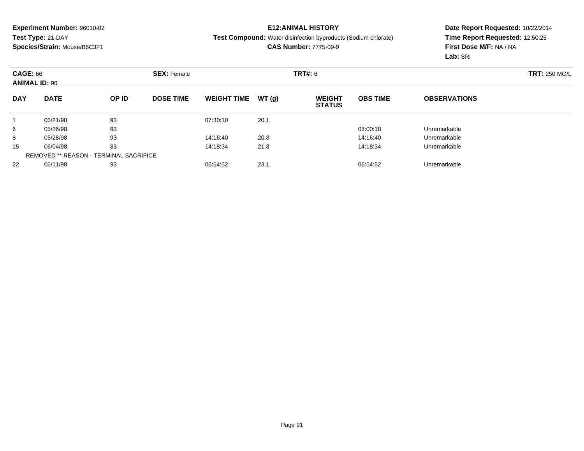### **E12:ANIMAL HISTORY**

#### **Test Compound:** Water disinfection byproducts (Sodium chlorate)

**CAS Number:** 7775-09-9

| <b>CAGE: 66</b><br><b>ANIMAL ID: 90</b> |                                               |       | <b>SEX: Female</b> |                    |       | <b>TRT#: 6</b>                 |                 | <b>TRT: 250 MG/L</b> |  |
|-----------------------------------------|-----------------------------------------------|-------|--------------------|--------------------|-------|--------------------------------|-----------------|----------------------|--|
| <b>DAY</b>                              | <b>DATE</b>                                   | OP ID | <b>DOSE TIME</b>   | <b>WEIGHT TIME</b> | WT(g) | <b>WEIGHT</b><br><b>STATUS</b> | <b>OBS TIME</b> | <b>OBSERVATIONS</b>  |  |
|                                         | 05/21/98                                      | 93    |                    | 07:30:10           | 20.1  |                                |                 |                      |  |
| 6                                       | 05/26/98                                      | 93    |                    |                    |       |                                | 08:00:18        | Unremarkable         |  |
| 8                                       | 05/28/98                                      | 93    |                    | 14:16:40           | 20.3  |                                | 14:16:40        | Unremarkable         |  |
| 15                                      | 06/04/98                                      | 83    |                    | 14:18:34           | 21.3  |                                | 14:18:34        | Unremarkable         |  |
|                                         | <b>REMOVED ** REASON - TERMINAL SACRIFICE</b> |       |                    |                    |       |                                |                 |                      |  |
| 22                                      | 06/11/98                                      | 93    |                    | 06:54:52           | 23.1  |                                | 06:54:52        | Unremarkable         |  |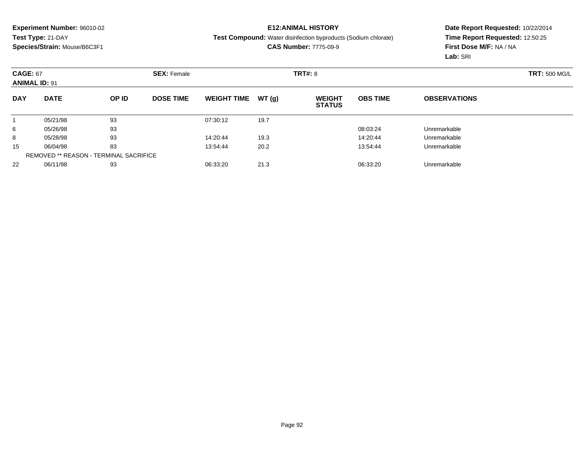### **E12:ANIMAL HISTORY**

#### **Test Compound:** Water disinfection byproducts (Sodium chlorate)

**CAS Number:** 7775-09-9

|            | <b>CAGE: 67</b><br><b>ANIMAL ID: 91</b>       |       | <b>SEX: Female</b> |                    |       | <b>TRT#: 8</b>                 |                 | <b>TRT: 500 MG/L</b> |  |
|------------|-----------------------------------------------|-------|--------------------|--------------------|-------|--------------------------------|-----------------|----------------------|--|
| <b>DAY</b> | <b>DATE</b>                                   | OP ID | <b>DOSE TIME</b>   | <b>WEIGHT TIME</b> | WT(g) | <b>WEIGHT</b><br><b>STATUS</b> | <b>OBS TIME</b> | <b>OBSERVATIONS</b>  |  |
|            | 05/21/98                                      | 93    |                    | 07:30:12           | 19.7  |                                |                 |                      |  |
| 6          | 05/26/98                                      | 93    |                    |                    |       |                                | 08:03:24        | Unremarkable         |  |
| 8          | 05/28/98                                      | 93    |                    | 14:20:44           | 19.3  |                                | 14:20:44        | Unremarkable         |  |
| 15         | 06/04/98                                      | 83    |                    | 13:54:44           | 20.2  |                                | 13:54:44        | Unremarkable         |  |
|            | <b>REMOVED ** REASON - TERMINAL SACRIFICE</b> |       |                    |                    |       |                                |                 |                      |  |
| 22         | 06/11/98                                      | 93    |                    | 06:33:20           | 21.3  |                                | 06:33:20        | Unremarkable         |  |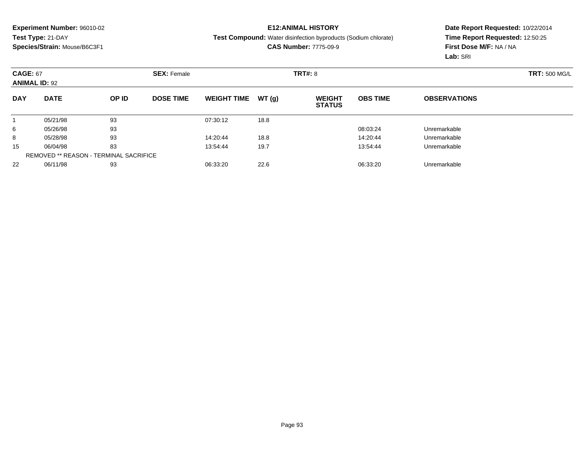### **E12:ANIMAL HISTORY**

#### **Test Compound:** Water disinfection byproducts (Sodium chlorate)

**CAS Number:** 7775-09-9

| <b>CAGE: 67</b><br><b>ANIMAL ID: 92</b> |                                               |       | <b>SEX: Female</b> |                    |       | <b>TRT#: 8</b>                 |                 | <b>TRT: 500 MG/L</b> |  |
|-----------------------------------------|-----------------------------------------------|-------|--------------------|--------------------|-------|--------------------------------|-----------------|----------------------|--|
| <b>DAY</b>                              | <b>DATE</b>                                   | OP ID | <b>DOSE TIME</b>   | <b>WEIGHT TIME</b> | WT(g) | <b>WEIGHT</b><br><b>STATUS</b> | <b>OBS TIME</b> | <b>OBSERVATIONS</b>  |  |
|                                         | 05/21/98                                      | 93    |                    | 07:30:12           | 18.8  |                                |                 |                      |  |
| 6                                       | 05/26/98                                      | 93    |                    |                    |       |                                | 08:03:24        | Unremarkable         |  |
| 8                                       | 05/28/98                                      | 93    |                    | 14:20:44           | 18.8  |                                | 14:20:44        | Unremarkable         |  |
| 15                                      | 06/04/98                                      | 83    |                    | 13:54:44           | 19.7  |                                | 13:54:44        | Unremarkable         |  |
|                                         | <b>REMOVED ** REASON - TERMINAL SACRIFICE</b> |       |                    |                    |       |                                |                 |                      |  |
| 22                                      | 06/11/98                                      | 93    |                    | 06:33:20           | 22.6  |                                | 06:33:20        | Unremarkable         |  |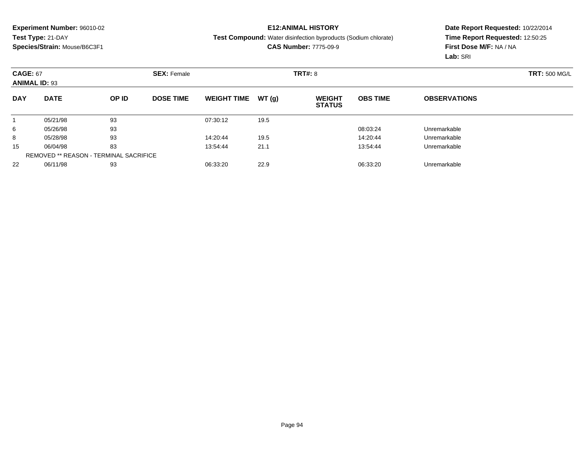### **E12:ANIMAL HISTORY**

#### **Test Compound:** Water disinfection byproducts (Sodium chlorate)

**CAS Number:** 7775-09-9

| <b>CAGE: 67</b><br><b>ANIMAL ID: 93</b> |                                               |       | <b>SEX: Female</b> |                    |       | <b>TRT#: 8</b>                 |                 | <b>TRT: 500 MG/L</b> |  |
|-----------------------------------------|-----------------------------------------------|-------|--------------------|--------------------|-------|--------------------------------|-----------------|----------------------|--|
| <b>DAY</b>                              | <b>DATE</b>                                   | OP ID | <b>DOSE TIME</b>   | <b>WEIGHT TIME</b> | WT(g) | <b>WEIGHT</b><br><b>STATUS</b> | <b>OBS TIME</b> | <b>OBSERVATIONS</b>  |  |
|                                         | 05/21/98                                      | 93    |                    | 07:30:12           | 19.5  |                                |                 |                      |  |
| 6                                       | 05/26/98                                      | 93    |                    |                    |       |                                | 08:03:24        | Unremarkable         |  |
| 8                                       | 05/28/98                                      | 93    |                    | 14:20:44           | 19.5  |                                | 14:20:44        | Unremarkable         |  |
| 15                                      | 06/04/98                                      | 83    |                    | 13:54:44           | 21.1  |                                | 13:54:44        | Unremarkable         |  |
|                                         | <b>REMOVED ** REASON - TERMINAL SACRIFICE</b> |       |                    |                    |       |                                |                 |                      |  |
| 22                                      | 06/11/98                                      | 93    |                    | 06:33:20           | 22.9  |                                | 06:33:20        | Unremarkable         |  |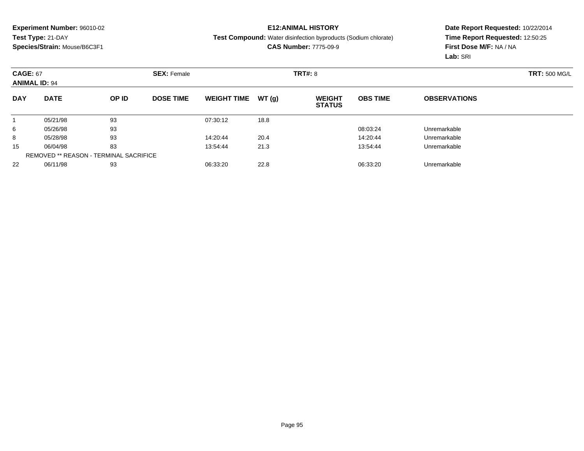### **E12:ANIMAL HISTORY**

**Test Compound:** Water disinfection byproducts (Sodium chlorate)

**CAS Number:** 7775-09-9

|            | <b>CAGE: 67</b><br><b>ANIMAL ID: 94</b>       |       | <b>SEX: Female</b> |                    |       | <b>TRT#: 8</b>                 |                 | <b>TRT: 500 MG/L</b> |  |
|------------|-----------------------------------------------|-------|--------------------|--------------------|-------|--------------------------------|-----------------|----------------------|--|
| <b>DAY</b> | <b>DATE</b>                                   | OP ID | <b>DOSE TIME</b>   | <b>WEIGHT TIME</b> | WT(g) | <b>WEIGHT</b><br><b>STATUS</b> | <b>OBS TIME</b> | <b>OBSERVATIONS</b>  |  |
|            | 05/21/98                                      | 93    |                    | 07:30:12           | 18.8  |                                |                 |                      |  |
| 6          | 05/26/98                                      | 93    |                    |                    |       |                                | 08:03:24        | Unremarkable         |  |
| 8          | 05/28/98                                      | 93    |                    | 14:20:44           | 20.4  |                                | 14:20:44        | Unremarkable         |  |
| 15         | 06/04/98                                      | 83    |                    | 13:54:44           | 21.3  |                                | 13:54:44        | Unremarkable         |  |
|            | <b>REMOVED ** REASON - TERMINAL SACRIFICE</b> |       |                    |                    |       |                                |                 |                      |  |
| 22         | 06/11/98                                      | 93    |                    | 06:33:20           | 22.8  |                                | 06:33:20        | Unremarkable         |  |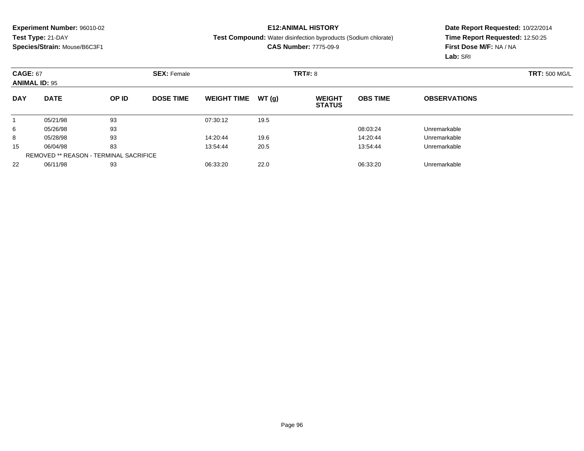### **E12:ANIMAL HISTORY**

**Test Compound:** Water disinfection byproducts (Sodium chlorate)

**CAS Number:** 7775-09-9

|            | <b>CAGE: 67</b><br><b>ANIMAL ID: 95</b>       |       | <b>SEX: Female</b> |                    |       | <b>TRT#: 8</b>                 |                 | <b>TRT: 500 MG/L</b> |  |
|------------|-----------------------------------------------|-------|--------------------|--------------------|-------|--------------------------------|-----------------|----------------------|--|
| <b>DAY</b> | <b>DATE</b>                                   | OP ID | <b>DOSE TIME</b>   | <b>WEIGHT TIME</b> | WT(g) | <b>WEIGHT</b><br><b>STATUS</b> | <b>OBS TIME</b> | <b>OBSERVATIONS</b>  |  |
|            | 05/21/98                                      | 93    |                    | 07:30:12           | 19.5  |                                |                 |                      |  |
| 6          | 05/26/98                                      | 93    |                    |                    |       |                                | 08:03:24        | Unremarkable         |  |
| 8          | 05/28/98                                      | 93    |                    | 14:20:44           | 19.6  |                                | 14:20:44        | Unremarkable         |  |
| 15         | 06/04/98                                      | 83    |                    | 13:54:44           | 20.5  |                                | 13:54:44        | Unremarkable         |  |
|            | <b>REMOVED ** REASON - TERMINAL SACRIFICE</b> |       |                    |                    |       |                                |                 |                      |  |
| 22         | 06/11/98                                      | 93    |                    | 06:33:20           | 22.0  |                                | 06:33:20        | Unremarkable         |  |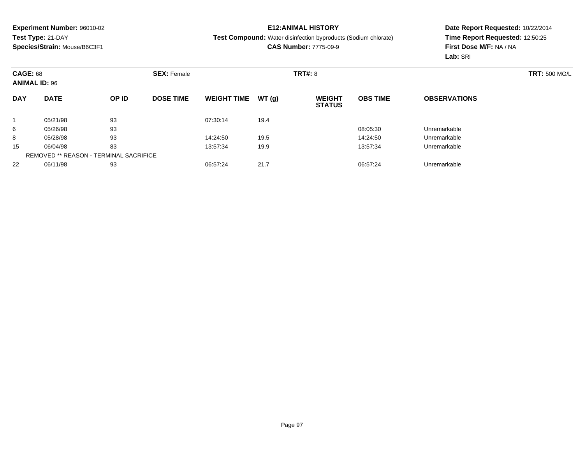## **E12:ANIMAL HISTORY**

**Test Compound:** Water disinfection byproducts (Sodium chlorate)

**CAS Number:** 7775-09-9

|            | <b>CAGE: 68</b><br><b>ANIMAL ID: 96</b>       |       | <b>SEX: Female</b> |                    |       |                                | <b>TRT#: 8</b>  |                     |  |  |
|------------|-----------------------------------------------|-------|--------------------|--------------------|-------|--------------------------------|-----------------|---------------------|--|--|
| <b>DAY</b> | <b>DATE</b>                                   | OP ID | <b>DOSE TIME</b>   | <b>WEIGHT TIME</b> | WT(g) | <b>WEIGHT</b><br><b>STATUS</b> | <b>OBS TIME</b> | <b>OBSERVATIONS</b> |  |  |
|            | 05/21/98                                      | 93    |                    | 07:30:14           | 19.4  |                                |                 |                     |  |  |
| 6          | 05/26/98                                      | 93    |                    |                    |       |                                | 08:05:30        | Unremarkable        |  |  |
| 8          | 05/28/98                                      | 93    |                    | 14:24:50           | 19.5  |                                | 14:24:50        | Unremarkable        |  |  |
| 15         | 06/04/98                                      | 83    |                    | 13:57:34           | 19.9  |                                | 13:57:34        | Unremarkable        |  |  |
|            | <b>REMOVED ** REASON - TERMINAL SACRIFICE</b> |       |                    |                    |       |                                |                 |                     |  |  |
| 22         | 06/11/98                                      | 93    |                    | 06:57:24           | 21.7  |                                | 06:57:24        | Unremarkable        |  |  |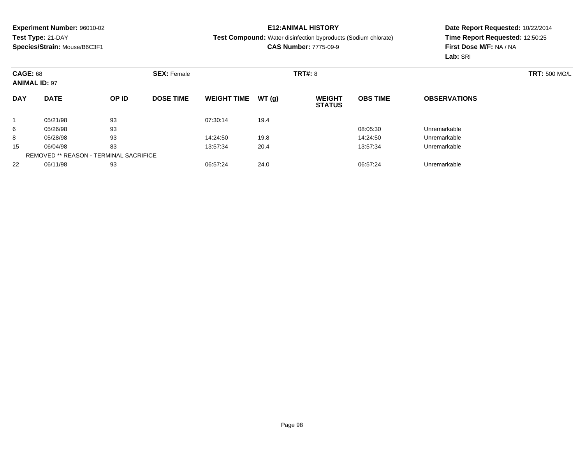### **E12:ANIMAL HISTORY**

**Test Compound:** Water disinfection byproducts (Sodium chlorate)

**CAS Number:** 7775-09-9

| <b>CAGE: 68</b><br><b>ANIMAL ID: 97</b> |                                               |       | <b>SEX: Female</b> |                    |       | <b>TRT#: 8</b>                 |                 |                     | <b>TRT: 500 MG/L</b> |
|-----------------------------------------|-----------------------------------------------|-------|--------------------|--------------------|-------|--------------------------------|-----------------|---------------------|----------------------|
| <b>DAY</b>                              | <b>DATE</b>                                   | OP ID | <b>DOSE TIME</b>   | <b>WEIGHT TIME</b> | WT(g) | <b>WEIGHT</b><br><b>STATUS</b> | <b>OBS TIME</b> | <b>OBSERVATIONS</b> |                      |
|                                         | 05/21/98                                      | 93    |                    | 07:30:14           | 19.4  |                                |                 |                     |                      |
| 6                                       | 05/26/98                                      | 93    |                    |                    |       |                                | 08:05:30        | Unremarkable        |                      |
| 8                                       | 05/28/98                                      | 93    |                    | 14:24:50           | 19.8  |                                | 14:24:50        | Unremarkable        |                      |
| 15                                      | 06/04/98                                      | 83    |                    | 13:57:34           | 20.4  |                                | 13:57:34        | Unremarkable        |                      |
|                                         | <b>REMOVED ** REASON - TERMINAL SACRIFICE</b> |       |                    |                    |       |                                |                 |                     |                      |
| 22                                      | 06/11/98                                      | 93    |                    | 06:57:24           | 24.0  |                                | 06:57:24        | Unremarkable        |                      |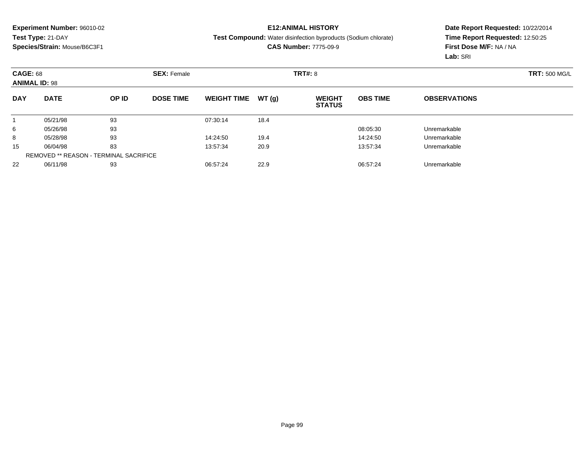## **E12:ANIMAL HISTORY**

**Test Compound:** Water disinfection byproducts (Sodium chlorate)

**CAS Number:** 7775-09-9

|            | <b>CAGE: 68</b><br><b>ANIMAL ID: 98</b>       |       | <b>SEX: Female</b> |                    |       | <b>TRT#: 8</b>                 |                 | <b>TRT: 500 MG/L</b> |  |
|------------|-----------------------------------------------|-------|--------------------|--------------------|-------|--------------------------------|-----------------|----------------------|--|
| <b>DAY</b> | <b>DATE</b>                                   | OP ID | <b>DOSE TIME</b>   | <b>WEIGHT TIME</b> | WT(g) | <b>WEIGHT</b><br><b>STATUS</b> | <b>OBS TIME</b> | <b>OBSERVATIONS</b>  |  |
|            | 05/21/98                                      | 93    |                    | 07:30:14           | 18.4  |                                |                 |                      |  |
| 6          | 05/26/98                                      | 93    |                    |                    |       |                                | 08:05:30        | Unremarkable         |  |
| 8          | 05/28/98                                      | 93    |                    | 14:24:50           | 19.4  |                                | 14:24:50        | Unremarkable         |  |
| 15         | 06/04/98                                      | 83    |                    | 13:57:34           | 20.9  |                                | 13:57:34        | Unremarkable         |  |
|            | <b>REMOVED ** REASON - TERMINAL SACRIFICE</b> |       |                    |                    |       |                                |                 |                      |  |
| 22         | 06/11/98                                      | 93    |                    | 06:57:24           | 22.9  |                                | 06:57:24        | Unremarkable         |  |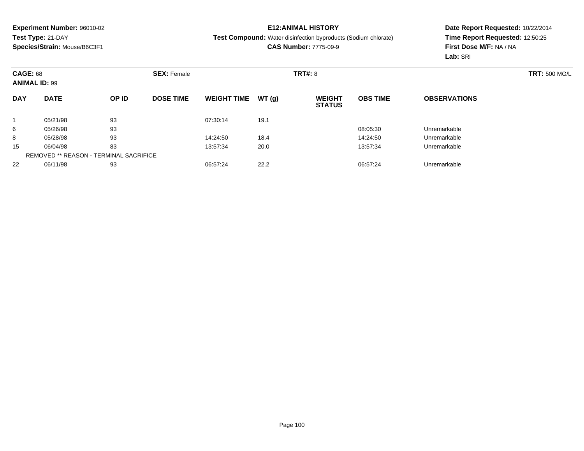### **E12:ANIMAL HISTORY**

**Test Compound:** Water disinfection byproducts (Sodium chlorate)

**CAS Number:** 7775-09-9

|            | <b>CAGE: 68</b><br><b>ANIMAL ID: 99</b>       |       | <b>SEX: Female</b> |                    |       | <b>TRT#: 8</b>                 |                 | <b>TRT: 500 MG/L</b> |  |
|------------|-----------------------------------------------|-------|--------------------|--------------------|-------|--------------------------------|-----------------|----------------------|--|
| <b>DAY</b> | <b>DATE</b>                                   | OP ID | <b>DOSE TIME</b>   | <b>WEIGHT TIME</b> | WT(g) | <b>WEIGHT</b><br><b>STATUS</b> | <b>OBS TIME</b> | <b>OBSERVATIONS</b>  |  |
|            | 05/21/98                                      | 93    |                    | 07:30:14           | 19.1  |                                |                 |                      |  |
| 6          | 05/26/98                                      | 93    |                    |                    |       |                                | 08:05:30        | Unremarkable         |  |
| 8          | 05/28/98                                      | 93    |                    | 14:24:50           | 18.4  |                                | 14:24:50        | Unremarkable         |  |
| 15         | 06/04/98                                      | 83    |                    | 13:57:34           | 20.0  |                                | 13:57:34        | Unremarkable         |  |
|            | <b>REMOVED ** REASON - TERMINAL SACRIFICE</b> |       |                    |                    |       |                                |                 |                      |  |
| 22         | 06/11/98                                      | 93    |                    | 06:57:24           | 22.2  |                                | 06:57:24        | Unremarkable         |  |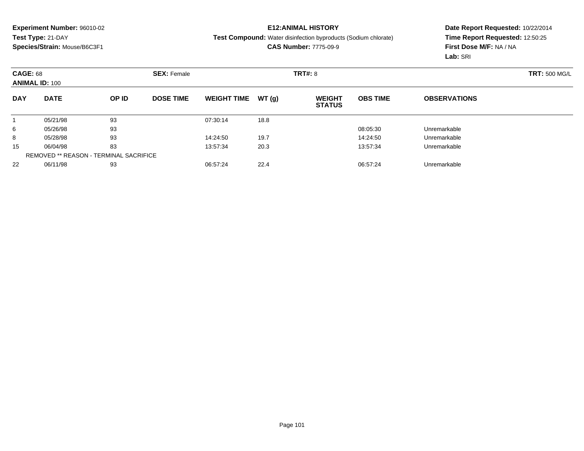### **E12:ANIMAL HISTORY**

**Test Compound:** Water disinfection byproducts (Sodium chlorate)

**CAS Number:** 7775-09-9

|            | <b>CAGE: 68</b><br><b>ANIMAL ID: 100</b>      |       | <b>SEX: Female</b> |                    |       | <b>TRT#: 8</b>                 |                 | <b>TRT: 500 MG/L</b> |  |
|------------|-----------------------------------------------|-------|--------------------|--------------------|-------|--------------------------------|-----------------|----------------------|--|
| <b>DAY</b> | <b>DATE</b>                                   | OP ID | <b>DOSE TIME</b>   | <b>WEIGHT TIME</b> | WT(g) | <b>WEIGHT</b><br><b>STATUS</b> | <b>OBS TIME</b> | <b>OBSERVATIONS</b>  |  |
|            | 05/21/98                                      | 93    |                    | 07:30:14           | 18.8  |                                |                 |                      |  |
| 6          | 05/26/98                                      | 93    |                    |                    |       |                                | 08:05:30        | Unremarkable         |  |
| 8          | 05/28/98                                      | 93    |                    | 14:24:50           | 19.7  |                                | 14:24:50        | Unremarkable         |  |
| 15         | 06/04/98                                      | 83    |                    | 13:57:34           | 20.3  |                                | 13:57:34        | Unremarkable         |  |
|            | <b>REMOVED ** REASON - TERMINAL SACRIFICE</b> |       |                    |                    |       |                                |                 |                      |  |
| 22         | 06/11/98                                      | 93    |                    | 06:57:24           | 22.4  |                                | 06:57:24        | Unremarkable         |  |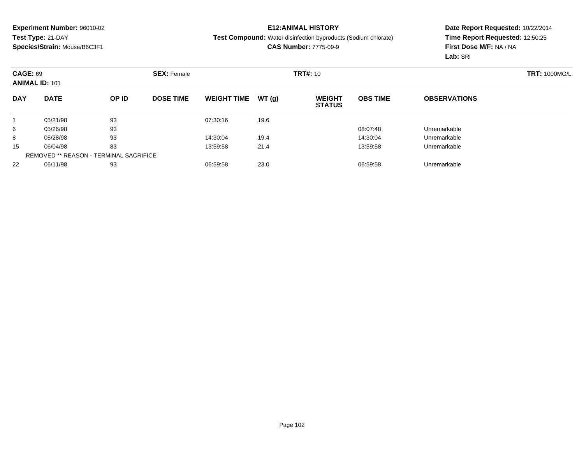## **E12:ANIMAL HISTORY**

**Test Compound:** Water disinfection byproducts (Sodium chlorate)

**CAS Number:** 7775-09-9

|            | <b>CAGE: 69</b><br><b>ANIMAL ID: 101</b>      |       | <b>SEX: Female</b> |                    |       |                                | <b>TRT#: 10</b> |                     |  |  |
|------------|-----------------------------------------------|-------|--------------------|--------------------|-------|--------------------------------|-----------------|---------------------|--|--|
| <b>DAY</b> | <b>DATE</b>                                   | OP ID | <b>DOSE TIME</b>   | <b>WEIGHT TIME</b> | WT(g) | <b>WEIGHT</b><br><b>STATUS</b> | <b>OBS TIME</b> | <b>OBSERVATIONS</b> |  |  |
|            | 05/21/98                                      | 93    |                    | 07:30:16           | 19.6  |                                |                 |                     |  |  |
| 6          | 05/26/98                                      | 93    |                    |                    |       |                                | 08:07:48        | Unremarkable        |  |  |
| 8          | 05/28/98                                      | 93    |                    | 14:30:04           | 19.4  |                                | 14:30:04        | Unremarkable        |  |  |
| 15         | 06/04/98                                      | 83    |                    | 13:59:58           | 21.4  |                                | 13:59:58        | Unremarkable        |  |  |
|            | <b>REMOVED ** REASON - TERMINAL SACRIFICE</b> |       |                    |                    |       |                                |                 |                     |  |  |
| 22         | 06/11/98                                      | 93    |                    | 06:59:58           | 23.0  |                                | 06:59:58        | Unremarkable        |  |  |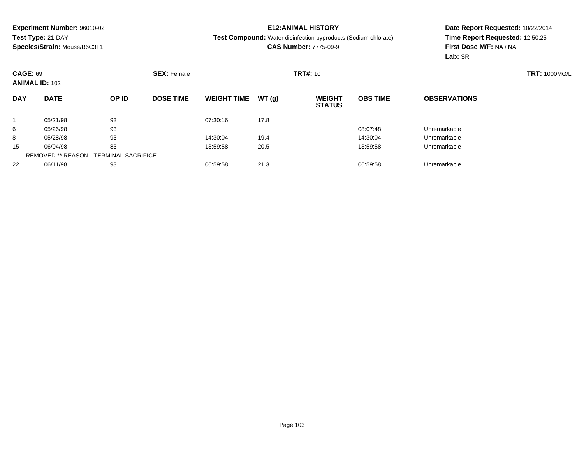## **E12:ANIMAL HISTORY**

**Test Compound:** Water disinfection byproducts (Sodium chlorate)

**CAS Number:** 7775-09-9

|            | <b>CAGE: 69</b><br><b>ANIMAL ID: 102</b>      |       | <b>SEX: Female</b> |                    |       |                                | <b>TRT#: 10</b> |                     |  |  |
|------------|-----------------------------------------------|-------|--------------------|--------------------|-------|--------------------------------|-----------------|---------------------|--|--|
| <b>DAY</b> | <b>DATE</b>                                   | OP ID | <b>DOSE TIME</b>   | <b>WEIGHT TIME</b> | WT(g) | <b>WEIGHT</b><br><b>STATUS</b> | <b>OBS TIME</b> | <b>OBSERVATIONS</b> |  |  |
|            | 05/21/98                                      | 93    |                    | 07:30:16           | 17.8  |                                |                 |                     |  |  |
| 6          | 05/26/98                                      | 93    |                    |                    |       |                                | 08:07:48        | Unremarkable        |  |  |
| 8          | 05/28/98                                      | 93    |                    | 14:30:04           | 19.4  |                                | 14:30:04        | Unremarkable        |  |  |
| 15         | 06/04/98                                      | 83    |                    | 13:59:58           | 20.5  |                                | 13:59:58        | Unremarkable        |  |  |
|            | <b>REMOVED ** REASON - TERMINAL SACRIFICE</b> |       |                    |                    |       |                                |                 |                     |  |  |
| 22         | 06/11/98                                      | 93    |                    | 06:59:58           | 21.3  |                                | 06:59:58        | Unremarkable        |  |  |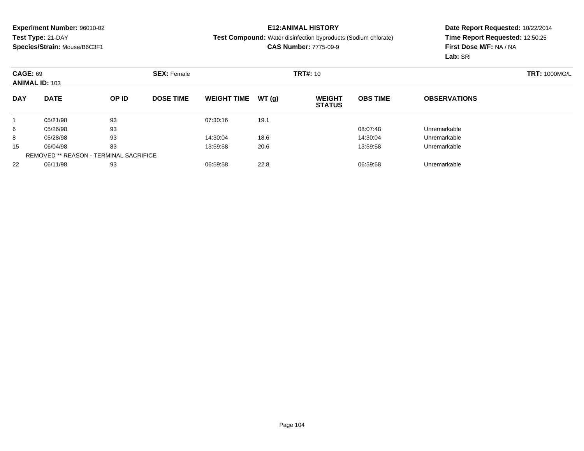## **E12:ANIMAL HISTORY**

**Test Compound:** Water disinfection byproducts (Sodium chlorate)

**CAS Number:** 7775-09-9

|            | <b>CAGE: 69</b><br><b>ANIMAL ID: 103</b>      |       | <b>SEX: Female</b> |                    |       |                                | <b>TRT#: 10</b> |                     |  |  |
|------------|-----------------------------------------------|-------|--------------------|--------------------|-------|--------------------------------|-----------------|---------------------|--|--|
| <b>DAY</b> | <b>DATE</b>                                   | OP ID | <b>DOSE TIME</b>   | <b>WEIGHT TIME</b> | WT(g) | <b>WEIGHT</b><br><b>STATUS</b> | <b>OBS TIME</b> | <b>OBSERVATIONS</b> |  |  |
|            | 05/21/98                                      | 93    |                    | 07:30:16           | 19.1  |                                |                 |                     |  |  |
| 6          | 05/26/98                                      | 93    |                    |                    |       |                                | 08:07:48        | Unremarkable        |  |  |
| 8          | 05/28/98                                      | 93    |                    | 14:30:04           | 18.6  |                                | 14:30:04        | Unremarkable        |  |  |
| 15         | 06/04/98                                      | 83    |                    | 13:59:58           | 20.6  |                                | 13:59:58        | Unremarkable        |  |  |
|            | <b>REMOVED ** REASON - TERMINAL SACRIFICE</b> |       |                    |                    |       |                                |                 |                     |  |  |
| 22         | 06/11/98                                      | 93    |                    | 06:59:58           | 22.8  |                                | 06:59:58        | Unremarkable        |  |  |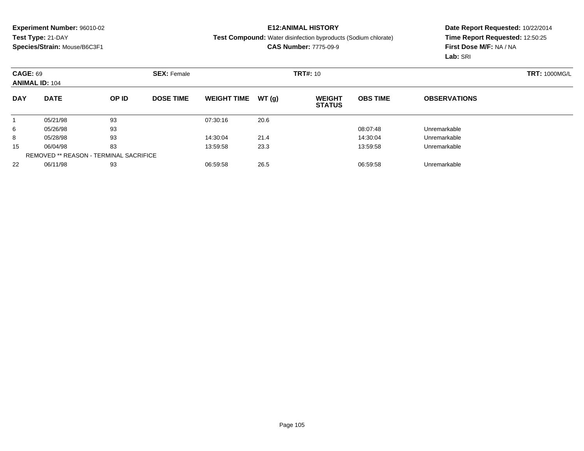## **E12:ANIMAL HISTORY**

**Test Compound:** Water disinfection byproducts (Sodium chlorate)

**CAS Number:** 7775-09-9

| <b>CAGE: 69</b><br><b>ANIMAL ID: 104</b> |                                               | <b>SEX: Female</b> |                  |                    | <b>TRT#: 10</b> |                                |                 | <b>TRT: 1000MG/L</b> |  |
|------------------------------------------|-----------------------------------------------|--------------------|------------------|--------------------|-----------------|--------------------------------|-----------------|----------------------|--|
| <b>DAY</b>                               | <b>DATE</b>                                   | OP ID              | <b>DOSE TIME</b> | <b>WEIGHT TIME</b> | WT(g)           | <b>WEIGHT</b><br><b>STATUS</b> | <b>OBS TIME</b> | <b>OBSERVATIONS</b>  |  |
|                                          | 05/21/98                                      | 93                 |                  | 07:30:16           | 20.6            |                                |                 |                      |  |
| 6                                        | 05/26/98                                      | 93                 |                  |                    |                 |                                | 08:07:48        | Unremarkable         |  |
| 8                                        | 05/28/98                                      | 93                 |                  | 14:30:04           | 21.4            |                                | 14:30:04        | Unremarkable         |  |
| 15                                       | 06/04/98                                      | 83                 |                  | 13:59:58           | 23.3            |                                | 13:59:58        | Unremarkable         |  |
|                                          | <b>REMOVED ** REASON - TERMINAL SACRIFICE</b> |                    |                  |                    |                 |                                |                 |                      |  |
| 22                                       | 06/11/98                                      | 93                 |                  | 06:59:58           | 26.5            |                                | 06:59:58        | Unremarkable         |  |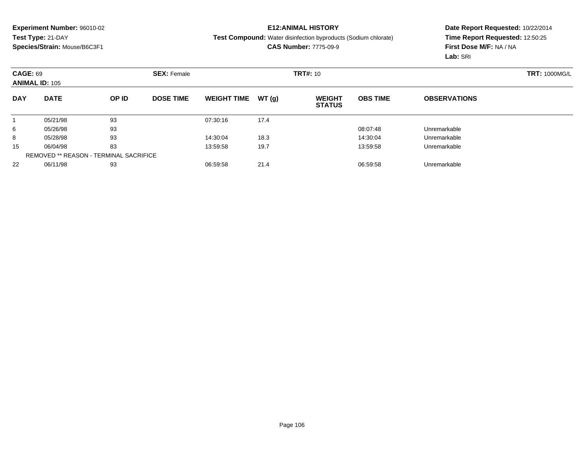## **E12:ANIMAL HISTORY**

**Test Compound:** Water disinfection byproducts (Sodium chlorate)

**CAS Number:** 7775-09-9

|            | <b>CAGE: 69</b><br><b>ANIMAL ID: 105</b>      |       | <b>SEX: Female</b> |                    |       |                                | <b>TRT#: 10</b> |                     |  |  |
|------------|-----------------------------------------------|-------|--------------------|--------------------|-------|--------------------------------|-----------------|---------------------|--|--|
| <b>DAY</b> | <b>DATE</b>                                   | OP ID | <b>DOSE TIME</b>   | <b>WEIGHT TIME</b> | WT(g) | <b>WEIGHT</b><br><b>STATUS</b> | <b>OBS TIME</b> | <b>OBSERVATIONS</b> |  |  |
|            | 05/21/98                                      | 93    |                    | 07:30:16           | 17.4  |                                |                 |                     |  |  |
| 6          | 05/26/98                                      | 93    |                    |                    |       |                                | 08:07:48        | Unremarkable        |  |  |
| 8          | 05/28/98                                      | 93    |                    | 14:30:04           | 18.3  |                                | 14:30:04        | Unremarkable        |  |  |
| 15         | 06/04/98                                      | 83    |                    | 13:59:58           | 19.7  |                                | 13:59:58        | Unremarkable        |  |  |
|            | <b>REMOVED ** REASON - TERMINAL SACRIFICE</b> |       |                    |                    |       |                                |                 |                     |  |  |
| 22         | 06/11/98                                      | 93    |                    | 06:59:58           | 21.4  |                                | 06:59:58        | Unremarkable        |  |  |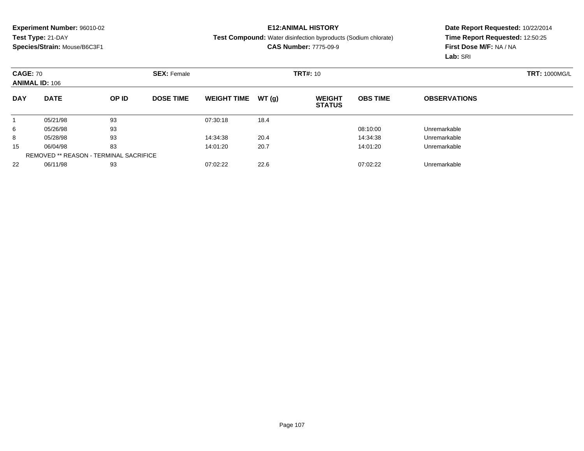## **E12:ANIMAL HISTORY**

**Test Compound:** Water disinfection byproducts (Sodium chlorate)

**CAS Number:** 7775-09-9

|            | <b>CAGE: 70</b><br><b>ANIMAL ID: 106</b>      |       | <b>SEX: Female</b> |                    |       |                                | <b>TRT#: 10</b> |                     |  |  |
|------------|-----------------------------------------------|-------|--------------------|--------------------|-------|--------------------------------|-----------------|---------------------|--|--|
| <b>DAY</b> | <b>DATE</b>                                   | OP ID | <b>DOSE TIME</b>   | <b>WEIGHT TIME</b> | WT(g) | <b>WEIGHT</b><br><b>STATUS</b> | <b>OBS TIME</b> | <b>OBSERVATIONS</b> |  |  |
|            | 05/21/98                                      | 93    |                    | 07:30:18           | 18.4  |                                |                 |                     |  |  |
| 6          | 05/26/98                                      | 93    |                    |                    |       |                                | 08:10:00        | Unremarkable        |  |  |
| 8          | 05/28/98                                      | 93    |                    | 14:34:38           | 20.4  |                                | 14:34:38        | Unremarkable        |  |  |
| 15         | 06/04/98                                      | 83    |                    | 14:01:20           | 20.7  |                                | 14:01:20        | Unremarkable        |  |  |
|            | <b>REMOVED ** REASON - TERMINAL SACRIFICE</b> |       |                    |                    |       |                                |                 |                     |  |  |
| 22         | 06/11/98                                      | 93    |                    | 07:02:22           | 22.6  |                                | 07:02:22        | Unremarkable        |  |  |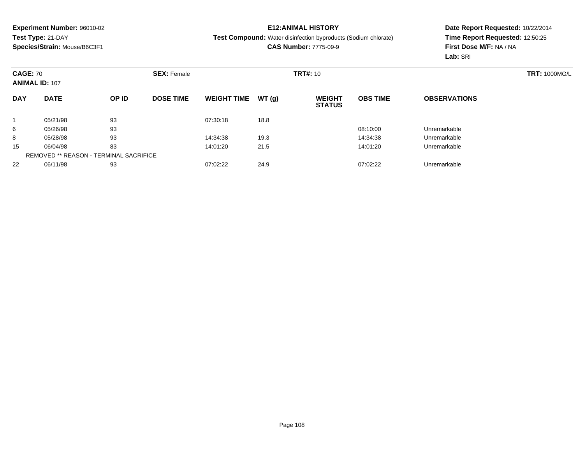## **E12:ANIMAL HISTORY**

**Test Compound:** Water disinfection byproducts (Sodium chlorate)

**CAS Number:** 7775-09-9

|            | <b>CAGE: 70</b><br><b>ANIMAL ID: 107</b>      |       | <b>SEX: Female</b> |                    |       | <b>TRT#: 10</b>                |                 | <b>TRT: 1000MG/L</b> |  |
|------------|-----------------------------------------------|-------|--------------------|--------------------|-------|--------------------------------|-----------------|----------------------|--|
| <b>DAY</b> | <b>DATE</b>                                   | OP ID | <b>DOSE TIME</b>   | <b>WEIGHT TIME</b> | WT(g) | <b>WEIGHT</b><br><b>STATUS</b> | <b>OBS TIME</b> | <b>OBSERVATIONS</b>  |  |
|            | 05/21/98                                      | 93    |                    | 07:30:18           | 18.8  |                                |                 |                      |  |
| 6          | 05/26/98                                      | 93    |                    |                    |       |                                | 08:10:00        | Unremarkable         |  |
| 8          | 05/28/98                                      | 93    |                    | 14:34:38           | 19.3  |                                | 14:34:38        | Unremarkable         |  |
| 15         | 06/04/98                                      | 83    |                    | 14:01:20           | 21.5  |                                | 14:01:20        | Unremarkable         |  |
|            | <b>REMOVED ** REASON - TERMINAL SACRIFICE</b> |       |                    |                    |       |                                |                 |                      |  |
| 22         | 06/11/98                                      | 93    |                    | 07:02:22           | 24.9  |                                | 07:02:22        | Unremarkable         |  |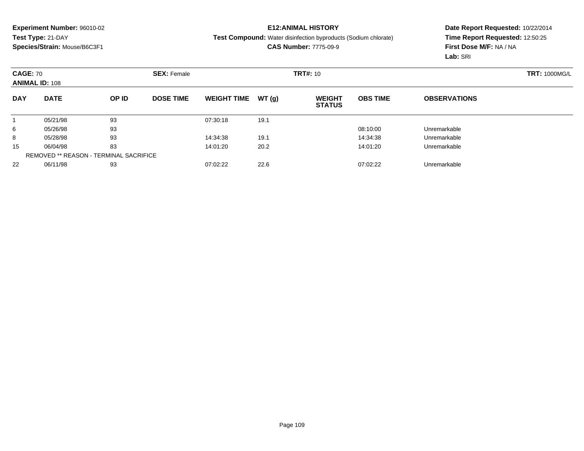#### **E12:ANIMAL HISTORY**

**Test Compound:** Water disinfection byproducts (Sodium chlorate)

**CAS Number:** 7775-09-9

|            | <b>CAGE: 70</b><br><b>ANIMAL ID: 108</b>      |       | <b>SEX: Female</b> |                    |       | <b>TRT#: 10</b>                |                 | <b>TRT: 1000MG/L</b> |  |
|------------|-----------------------------------------------|-------|--------------------|--------------------|-------|--------------------------------|-----------------|----------------------|--|
| <b>DAY</b> | <b>DATE</b>                                   | OP ID | <b>DOSE TIME</b>   | <b>WEIGHT TIME</b> | WT(g) | <b>WEIGHT</b><br><b>STATUS</b> | <b>OBS TIME</b> | <b>OBSERVATIONS</b>  |  |
|            | 05/21/98                                      | 93    |                    | 07:30:18           | 19.1  |                                |                 |                      |  |
| 6          | 05/26/98                                      | 93    |                    |                    |       |                                | 08:10:00        | Unremarkable         |  |
| 8          | 05/28/98                                      | 93    |                    | 14:34:38           | 19.1  |                                | 14:34:38        | Unremarkable         |  |
| 15         | 06/04/98                                      | 83    |                    | 14:01:20           | 20.2  |                                | 14:01:20        | Unremarkable         |  |
|            | <b>REMOVED ** REASON - TERMINAL SACRIFICE</b> |       |                    |                    |       |                                |                 |                      |  |
| 22         | 06/11/98                                      | 93    |                    | 07:02:22           | 22.6  |                                | 07:02:22        | Unremarkable         |  |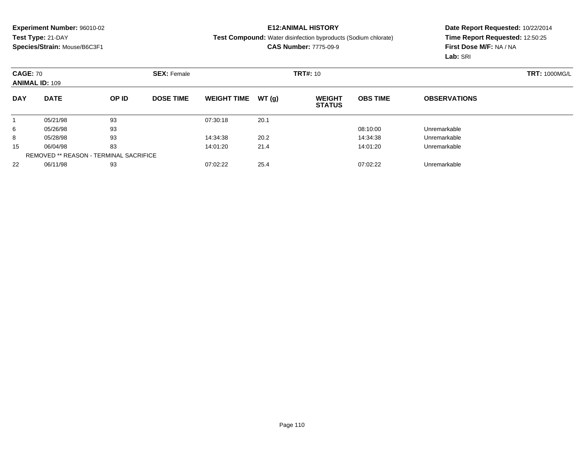#### **E12:ANIMAL HISTORY**

**Test Compound:** Water disinfection byproducts (Sodium chlorate)

**CAS Number:** 7775-09-9

|            | <b>CAGE: 70</b><br><b>ANIMAL ID: 109</b>      |       | <b>SEX: Female</b> |                    |       | <b>TRT#: 10</b>                |                 | <b>TRT: 1000MG/L</b> |  |
|------------|-----------------------------------------------|-------|--------------------|--------------------|-------|--------------------------------|-----------------|----------------------|--|
| <b>DAY</b> | <b>DATE</b>                                   | OP ID | <b>DOSE TIME</b>   | <b>WEIGHT TIME</b> | WT(g) | <b>WEIGHT</b><br><b>STATUS</b> | <b>OBS TIME</b> | <b>OBSERVATIONS</b>  |  |
|            | 05/21/98                                      | 93    |                    | 07:30:18           | 20.1  |                                |                 |                      |  |
| 6          | 05/26/98                                      | 93    |                    |                    |       |                                | 08:10:00        | Unremarkable         |  |
| 8          | 05/28/98                                      | 93    |                    | 14:34:38           | 20.2  |                                | 14:34:38        | Unremarkable         |  |
| 15         | 06/04/98                                      | 83    |                    | 14:01:20           | 21.4  |                                | 14:01:20        | Unremarkable         |  |
|            | <b>REMOVED ** REASON - TERMINAL SACRIFICE</b> |       |                    |                    |       |                                |                 |                      |  |
| 22         | 06/11/98                                      | 93    |                    | 07:02:22           | 25.4  |                                | 07:02:22        | Unremarkable         |  |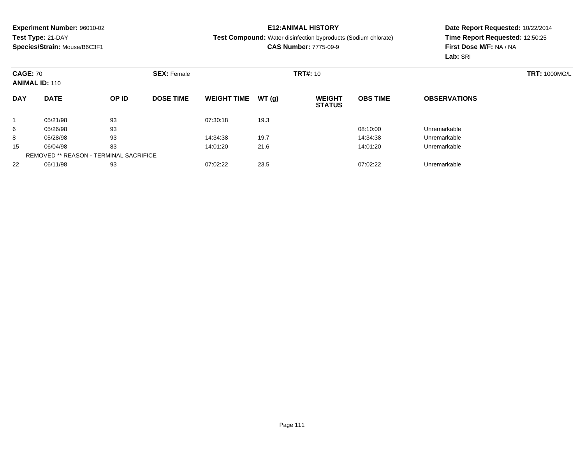#### **E12:ANIMAL HISTORY**

**Test Compound:** Water disinfection byproducts (Sodium chlorate)

**CAS Number:** 7775-09-9

| <b>CAGE: 70</b><br><b>ANIMAL ID: 110</b> |                                               |       | <b>SEX: Female</b> |                    |       | <b>TRT#: 10</b>                |                 |                     | <b>TRT: 1000MG/L</b> |
|------------------------------------------|-----------------------------------------------|-------|--------------------|--------------------|-------|--------------------------------|-----------------|---------------------|----------------------|
| <b>DAY</b>                               | <b>DATE</b>                                   | OP ID | <b>DOSE TIME</b>   | <b>WEIGHT TIME</b> | WT(g) | <b>WEIGHT</b><br><b>STATUS</b> | <b>OBS TIME</b> | <b>OBSERVATIONS</b> |                      |
|                                          | 05/21/98                                      | 93    |                    | 07:30:18           | 19.3  |                                |                 |                     |                      |
| 6                                        | 05/26/98                                      | 93    |                    |                    |       |                                | 08:10:00        | Unremarkable        |                      |
| 8                                        | 05/28/98                                      | 93    |                    | 14:34:38           | 19.7  |                                | 14:34:38        | Unremarkable        |                      |
| 15                                       | 06/04/98                                      | 83    |                    | 14:01:20           | 21.6  |                                | 14:01:20        | Unremarkable        |                      |
|                                          | <b>REMOVED ** REASON - TERMINAL SACRIFICE</b> |       |                    |                    |       |                                |                 |                     |                      |
| 22                                       | 06/11/98                                      | 93    |                    | 07:02:22           | 23.5  |                                | 07:02:22        | Unremarkable        |                      |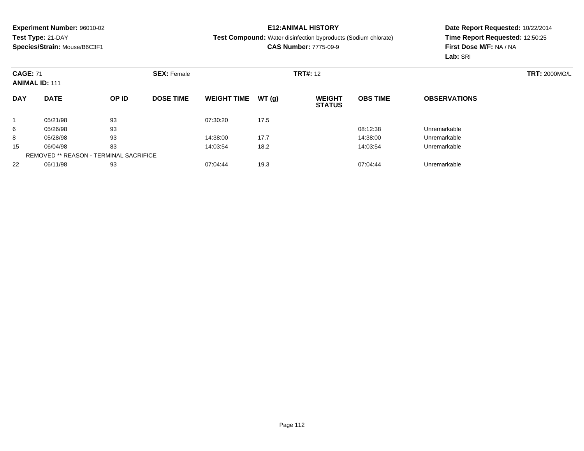#### **E12:ANIMAL HISTORY**

**Test Compound:** Water disinfection byproducts (Sodium chlorate)

**CAS Number:** 7775-09-9

| <b>CAGE: 71</b><br><b>ANIMAL ID: 111</b> |                                               |       | <b>SEX: Female</b> |                    |       | <b>TRT#: 12</b>                |                 |                     | <b>TRT: 2000MG/L</b> |
|------------------------------------------|-----------------------------------------------|-------|--------------------|--------------------|-------|--------------------------------|-----------------|---------------------|----------------------|
| <b>DAY</b>                               | <b>DATE</b>                                   | OP ID | <b>DOSE TIME</b>   | <b>WEIGHT TIME</b> | WT(g) | <b>WEIGHT</b><br><b>STATUS</b> | <b>OBS TIME</b> | <b>OBSERVATIONS</b> |                      |
|                                          | 05/21/98                                      | 93    |                    | 07:30:20           | 17.5  |                                |                 |                     |                      |
| 6                                        | 05/26/98                                      | 93    |                    |                    |       |                                | 08:12:38        | Unremarkable        |                      |
| 8                                        | 05/28/98                                      | 93    |                    | 14:38:00           | 17.7  |                                | 14:38:00        | Unremarkable        |                      |
| 15                                       | 06/04/98                                      | 83    |                    | 14:03:54           | 18.2  |                                | 14:03:54        | Unremarkable        |                      |
|                                          | <b>REMOVED ** REASON - TERMINAL SACRIFICE</b> |       |                    |                    |       |                                |                 |                     |                      |
| 22                                       | 06/11/98                                      | 93    |                    | 07:04:44           | 19.3  |                                | 07:04:44        | Unremarkable        |                      |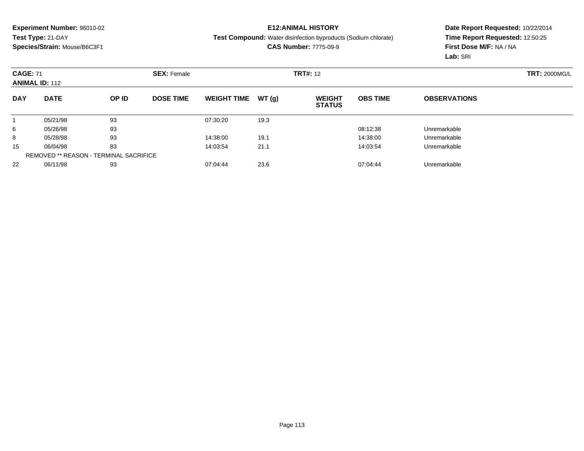#### **E12:ANIMAL HISTORY**

**Test Compound:** Water disinfection byproducts (Sodium chlorate)

**CAS Number:** 7775-09-9

| <b>CAGE: 71</b><br><b>ANIMAL ID: 112</b> |                                               | <b>SEX: Female</b> |                  |                    | <b>TRT#: 12</b> |                                |                 | <b>TRT: 2000MG/L</b> |  |
|------------------------------------------|-----------------------------------------------|--------------------|------------------|--------------------|-----------------|--------------------------------|-----------------|----------------------|--|
| <b>DAY</b>                               | <b>DATE</b>                                   | OP ID              | <b>DOSE TIME</b> | <b>WEIGHT TIME</b> | WT(g)           | <b>WEIGHT</b><br><b>STATUS</b> | <b>OBS TIME</b> | <b>OBSERVATIONS</b>  |  |
|                                          | 05/21/98                                      | 93                 |                  | 07:30:20           | 19.3            |                                |                 |                      |  |
| 6                                        | 05/26/98                                      | 93                 |                  |                    |                 |                                | 08:12:38        | Unremarkable         |  |
| 8                                        | 05/28/98                                      | 93                 |                  | 14:38:00           | 19.1            |                                | 14:38:00        | Unremarkable         |  |
| 15                                       | 06/04/98                                      | 83                 |                  | 14:03:54           | 21.1            |                                | 14:03:54        | Unremarkable         |  |
|                                          | <b>REMOVED ** REASON - TERMINAL SACRIFICE</b> |                    |                  |                    |                 |                                |                 |                      |  |
| 22                                       | 06/11/98                                      | 93                 |                  | 07:04:44           | 23.6            |                                | 07:04:44        | Unremarkable         |  |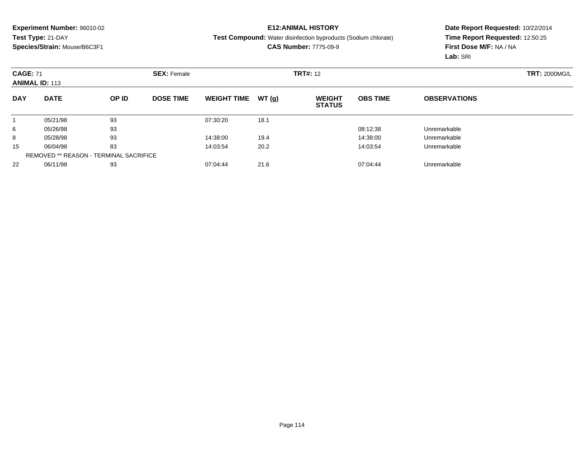#### **E12:ANIMAL HISTORY**

**Test Compound:** Water disinfection byproducts (Sodium chlorate)

**CAS Number:** 7775-09-9

|            | <b>CAGE: 71</b><br><b>ANIMAL ID: 113</b>      |       | <b>SEX: Female</b> |                    |       | <b>TRT#: 12</b>                |                 | <b>TRT: 2000MG/L</b> |  |
|------------|-----------------------------------------------|-------|--------------------|--------------------|-------|--------------------------------|-----------------|----------------------|--|
| <b>DAY</b> | <b>DATE</b>                                   | OP ID | <b>DOSE TIME</b>   | <b>WEIGHT TIME</b> | WT(g) | <b>WEIGHT</b><br><b>STATUS</b> | <b>OBS TIME</b> | <b>OBSERVATIONS</b>  |  |
|            | 05/21/98                                      | 93    |                    | 07:30:20           | 18.1  |                                |                 |                      |  |
| 6          | 05/26/98                                      | 93    |                    |                    |       |                                | 08:12:38        | Unremarkable         |  |
| 8          | 05/28/98                                      | 93    |                    | 14:38:00           | 19.4  |                                | 14:38:00        | Unremarkable         |  |
| 15         | 06/04/98                                      | 83    |                    | 14:03:54           | 20.2  |                                | 14:03:54        | Unremarkable         |  |
|            | <b>REMOVED ** REASON - TERMINAL SACRIFICE</b> |       |                    |                    |       |                                |                 |                      |  |
| 22         | 06/11/98                                      | 93    |                    | 07:04:44           | 21.6  |                                | 07:04:44        | Unremarkable         |  |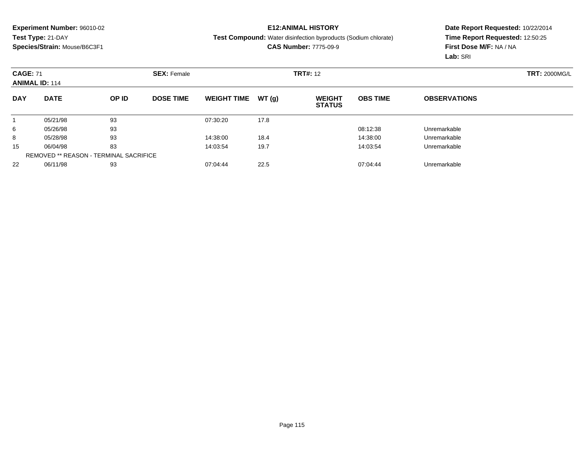#### **E12:ANIMAL HISTORY**

**Test Compound:** Water disinfection byproducts (Sodium chlorate)

**CAS Number:** 7775-09-9

| <b>CAGE: 71</b><br><b>ANIMAL ID: 114</b> |                                               |       | <b>SEX: Female</b> |                    | <b>TRT#: 12</b> |                                |                 | <b>TRT: 2000MG/L</b> |  |
|------------------------------------------|-----------------------------------------------|-------|--------------------|--------------------|-----------------|--------------------------------|-----------------|----------------------|--|
| <b>DAY</b>                               | <b>DATE</b>                                   | OP ID | <b>DOSE TIME</b>   | <b>WEIGHT TIME</b> | WT(g)           | <b>WEIGHT</b><br><b>STATUS</b> | <b>OBS TIME</b> | <b>OBSERVATIONS</b>  |  |
|                                          | 05/21/98                                      | 93    |                    | 07:30:20           | 17.8            |                                |                 |                      |  |
| 6                                        | 05/26/98                                      | 93    |                    |                    |                 |                                | 08:12:38        | Unremarkable         |  |
| 8                                        | 05/28/98                                      | 93    |                    | 14:38:00           | 18.4            |                                | 14:38:00        | Unremarkable         |  |
| 15                                       | 06/04/98                                      | 83    |                    | 14:03:54           | 19.7            |                                | 14:03:54        | Unremarkable         |  |
|                                          | <b>REMOVED ** REASON - TERMINAL SACRIFICE</b> |       |                    |                    |                 |                                |                 |                      |  |
| 22                                       | 06/11/98                                      | 93    |                    | 07:04:44           | 22.5            |                                | 07:04:44        | Unremarkable         |  |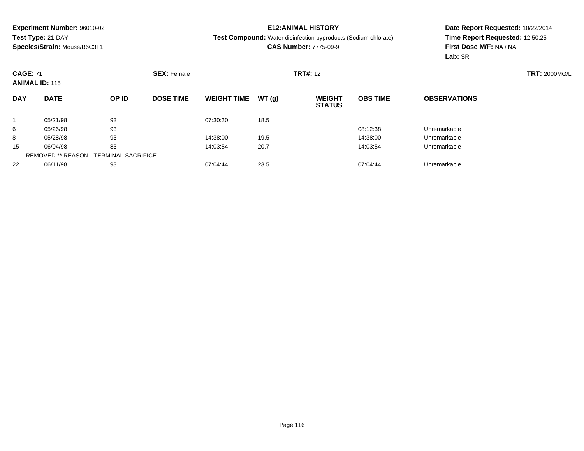#### **E12:ANIMAL HISTORY**

**Test Compound:** Water disinfection byproducts (Sodium chlorate)

**CAS Number:** 7775-09-9

| <b>CAGE: 71</b><br><b>ANIMAL ID: 115</b> |                                               |       | <b>SEX: Female</b> |                    | <b>TRT#: 12</b> |                                |                 | <b>TRT: 2000MG/L</b> |  |
|------------------------------------------|-----------------------------------------------|-------|--------------------|--------------------|-----------------|--------------------------------|-----------------|----------------------|--|
| <b>DAY</b>                               | <b>DATE</b>                                   | OP ID | <b>DOSE TIME</b>   | <b>WEIGHT TIME</b> | WT(g)           | <b>WEIGHT</b><br><b>STATUS</b> | <b>OBS TIME</b> | <b>OBSERVATIONS</b>  |  |
|                                          | 05/21/98                                      | 93    |                    | 07:30:20           | 18.5            |                                |                 |                      |  |
| 6                                        | 05/26/98                                      | 93    |                    |                    |                 |                                | 08:12:38        | Unremarkable         |  |
| 8                                        | 05/28/98                                      | 93    |                    | 14:38:00           | 19.5            |                                | 14:38:00        | Unremarkable         |  |
| 15                                       | 06/04/98                                      | 83    |                    | 14:03:54           | 20.7            |                                | 14:03:54        | Unremarkable         |  |
|                                          | <b>REMOVED ** REASON - TERMINAL SACRIFICE</b> |       |                    |                    |                 |                                |                 |                      |  |
| 22                                       | 06/11/98                                      | 93    |                    | 07:04:44           | 23.5            |                                | 07:04:44        | Unremarkable         |  |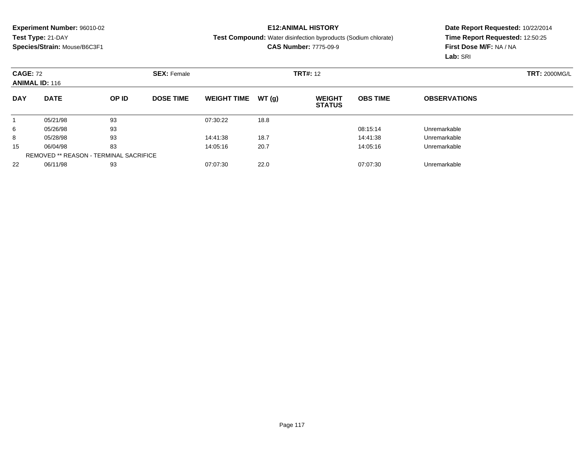#### **E12:ANIMAL HISTORY**

**Test Compound:** Water disinfection byproducts (Sodium chlorate)

**CAS Number:** 7775-09-9

| <b>CAGE: 72</b><br><b>ANIMAL ID: 116</b> |                                               |       | <b>SEX: Female</b> |                    |       | <b>TRT#: 12</b>                |                 |                     | <b>TRT: 2000MG/L</b> |
|------------------------------------------|-----------------------------------------------|-------|--------------------|--------------------|-------|--------------------------------|-----------------|---------------------|----------------------|
| <b>DAY</b>                               | <b>DATE</b>                                   | OP ID | <b>DOSE TIME</b>   | <b>WEIGHT TIME</b> | WT(g) | <b>WEIGHT</b><br><b>STATUS</b> | <b>OBS TIME</b> | <b>OBSERVATIONS</b> |                      |
|                                          | 05/21/98                                      | 93    |                    | 07:30:22           | 18.8  |                                |                 |                     |                      |
| 6                                        | 05/26/98                                      | 93    |                    |                    |       |                                | 08:15:14        | Unremarkable        |                      |
| 8                                        | 05/28/98                                      | 93    |                    | 14:41:38           | 18.7  |                                | 14:41:38        | Unremarkable        |                      |
| 15                                       | 06/04/98                                      | 83    |                    | 14:05:16           | 20.7  |                                | 14:05:16        | Unremarkable        |                      |
|                                          | <b>REMOVED ** REASON - TERMINAL SACRIFICE</b> |       |                    |                    |       |                                |                 |                     |                      |
| 22                                       | 06/11/98                                      | 93    |                    | 07:07:30           | 22.0  |                                | 07:07:30        | Unremarkable        |                      |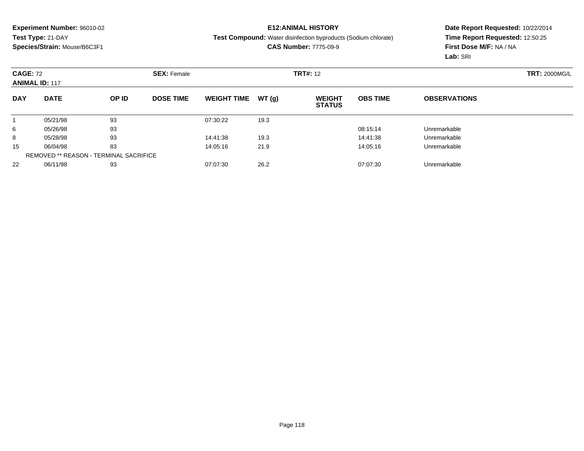#### **E12:ANIMAL HISTORY**

**Test Compound:** Water disinfection byproducts (Sodium chlorate)

**CAS Number:** 7775-09-9

| <b>CAGE: 72</b><br><b>ANIMAL ID: 117</b> |                                               |       | <b>SEX: Female</b> |                    |       | <b>TRT#: 12</b>                |                 |                     | <b>TRT: 2000MG/L</b> |
|------------------------------------------|-----------------------------------------------|-------|--------------------|--------------------|-------|--------------------------------|-----------------|---------------------|----------------------|
| <b>DAY</b>                               | <b>DATE</b>                                   | OP ID | <b>DOSE TIME</b>   | <b>WEIGHT TIME</b> | WT(g) | <b>WEIGHT</b><br><b>STATUS</b> | <b>OBS TIME</b> | <b>OBSERVATIONS</b> |                      |
|                                          | 05/21/98                                      | 93    |                    | 07:30:22           | 19.3  |                                |                 |                     |                      |
| 6                                        | 05/26/98                                      | 93    |                    |                    |       |                                | 08:15:14        | Unremarkable        |                      |
| 8                                        | 05/28/98                                      | 93    |                    | 14:41:38           | 19.3  |                                | 14:41:38        | Unremarkable        |                      |
| 15                                       | 06/04/98                                      | 83    |                    | 14:05:16           | 21.9  |                                | 14:05:16        | Unremarkable        |                      |
|                                          | <b>REMOVED ** REASON - TERMINAL SACRIFICE</b> |       |                    |                    |       |                                |                 |                     |                      |
| 22                                       | 06/11/98                                      | 93    |                    | 07:07:30           | 26.2  |                                | 07:07:30        | Unremarkable        |                      |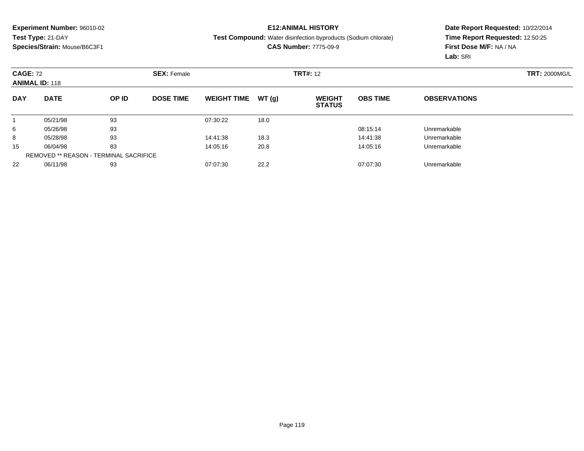#### **E12:ANIMAL HISTORY**

**Test Compound:** Water disinfection byproducts (Sodium chlorate)

**CAS Number:** 7775-09-9

|            | <b>CAGE: 72</b><br><b>ANIMAL ID: 118</b>      |       | <b>SEX: Female</b> |                    |       |                                | <b>TRT#: 12</b> |                     |  |  |
|------------|-----------------------------------------------|-------|--------------------|--------------------|-------|--------------------------------|-----------------|---------------------|--|--|
| <b>DAY</b> | <b>DATE</b>                                   | OP ID | <b>DOSE TIME</b>   | <b>WEIGHT TIME</b> | WT(g) | <b>WEIGHT</b><br><b>STATUS</b> | <b>OBS TIME</b> | <b>OBSERVATIONS</b> |  |  |
|            | 05/21/98                                      | 93    |                    | 07:30:22           | 18.0  |                                |                 |                     |  |  |
| 6          | 05/26/98                                      | 93    |                    |                    |       |                                | 08:15:14        | Unremarkable        |  |  |
| 8          | 05/28/98                                      | 93    |                    | 14:41:38           | 18.3  |                                | 14:41:38        | Unremarkable        |  |  |
| 15         | 06/04/98                                      | 83    |                    | 14:05:16           | 20.8  |                                | 14:05:16        | Unremarkable        |  |  |
|            | <b>REMOVED ** REASON - TERMINAL SACRIFICE</b> |       |                    |                    |       |                                |                 |                     |  |  |
| 22         | 06/11/98                                      | 93    |                    | 07:07:30           | 22.2  |                                | 07:07:30        | Unremarkable        |  |  |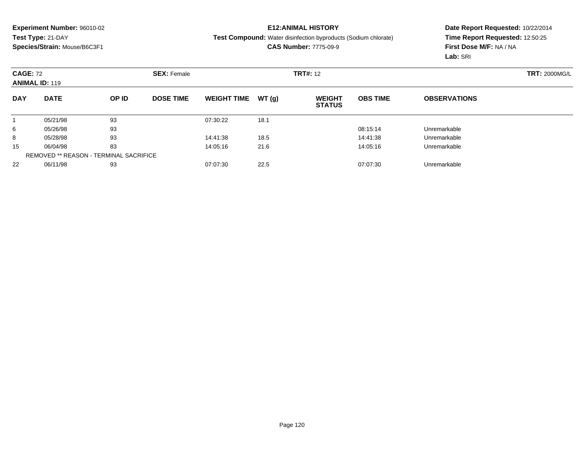#### **E12:ANIMAL HISTORY**

**Test Compound:** Water disinfection byproducts (Sodium chlorate)

**CAS Number:** 7775-09-9

|            | <b>CAGE: 72</b><br><b>ANIMAL ID: 119</b>      |       | <b>SEX: Female</b> |                    |       | <b>TRT#: 12</b>                |                 |                     | <b>TRT: 2000MG/L</b> |
|------------|-----------------------------------------------|-------|--------------------|--------------------|-------|--------------------------------|-----------------|---------------------|----------------------|
| <b>DAY</b> | <b>DATE</b>                                   | OP ID | <b>DOSE TIME</b>   | <b>WEIGHT TIME</b> | WT(g) | <b>WEIGHT</b><br><b>STATUS</b> | <b>OBS TIME</b> | <b>OBSERVATIONS</b> |                      |
|            | 05/21/98                                      | 93    |                    | 07:30:22           | 18.1  |                                |                 |                     |                      |
| 6          | 05/26/98                                      | 93    |                    |                    |       |                                | 08:15:14        | Unremarkable        |                      |
| 8          | 05/28/98                                      | 93    |                    | 14:41:38           | 18.5  |                                | 14:41:38        | Unremarkable        |                      |
| 15         | 06/04/98                                      | 83    |                    | 14:05:16           | 21.6  |                                | 14:05:16        | Unremarkable        |                      |
|            | <b>REMOVED ** REASON - TERMINAL SACRIFICE</b> |       |                    |                    |       |                                |                 |                     |                      |
| 22         | 06/11/98                                      | 93    |                    | 07:07:30           | 22.5  |                                | 07:07:30        | Unremarkable        |                      |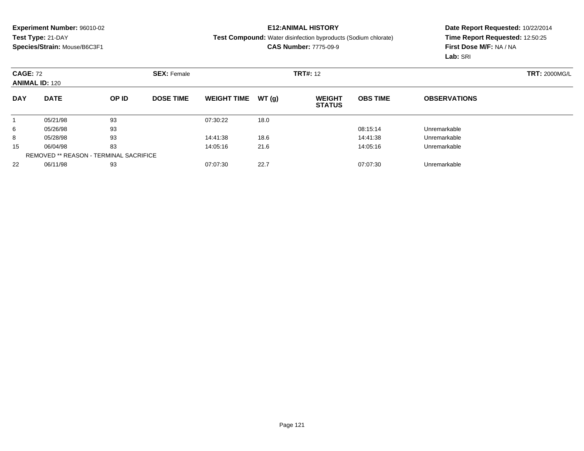#### **E12:ANIMAL HISTORY**

**Test Compound:** Water disinfection byproducts (Sodium chlorate)

**CAS Number:** 7775-09-9

| <b>CAGE: 72</b><br><b>ANIMAL ID: 120</b>      |             |       | <b>SEX: Female</b> |                    |       | <b>TRT#: 12</b>                |                 |                     | <b>TRT: 2000MG/L</b> |
|-----------------------------------------------|-------------|-------|--------------------|--------------------|-------|--------------------------------|-----------------|---------------------|----------------------|
| <b>DAY</b>                                    | <b>DATE</b> | OP ID | <b>DOSE TIME</b>   | <b>WEIGHT TIME</b> | WT(g) | <b>WEIGHT</b><br><b>STATUS</b> | <b>OBS TIME</b> | <b>OBSERVATIONS</b> |                      |
|                                               | 05/21/98    | 93    |                    | 07:30:22           | 18.0  |                                |                 |                     |                      |
| 6                                             | 05/26/98    | 93    |                    |                    |       |                                | 08:15:14        | Unremarkable        |                      |
| 8                                             | 05/28/98    | 93    |                    | 14:41:38           | 18.6  |                                | 14:41:38        | Unremarkable        |                      |
| 15                                            | 06/04/98    | 83    |                    | 14:05:16           | 21.6  |                                | 14:05:16        | Unremarkable        |                      |
| <b>REMOVED ** REASON - TERMINAL SACRIFICE</b> |             |       |                    |                    |       |                                |                 |                     |                      |
| 22                                            | 06/11/98    | 93    |                    | 07:07:30           | 22.7  |                                | 07:07:30        | Unremarkable        |                      |